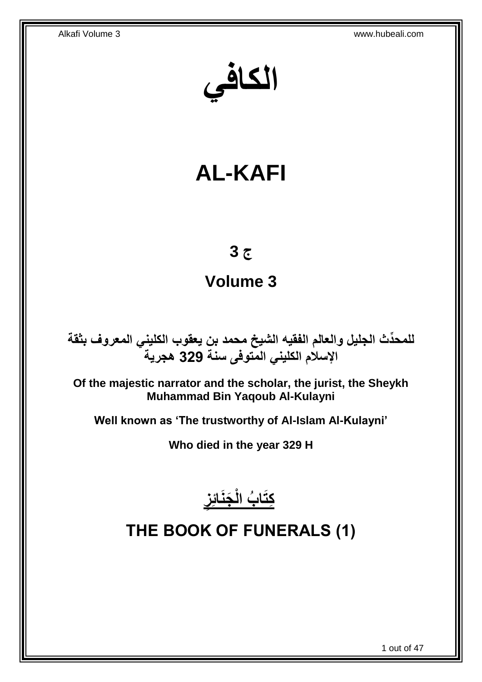**الكافي**

# **AL-KAFI**

# **ج 3**

# **Volume 3**

**دث الجليل والعالم الفقيه الشيخ محمد بن يعقوب الكليني المعروف بثقة للمح ِّ اإلسالم الكليني المتوفى سنة 329 هجرية**

**Of the majestic narrator and the scholar, the jurist, the Sheykh Muhammad Bin Yaqoub Al-Kulayni**

**Well known as 'The trustworthy of Al-Islam Al-Kulayni'**

**Who died in the year 329 H**



<span id="page-0-0"></span>**THE BOOK OF FUNERALS (1)**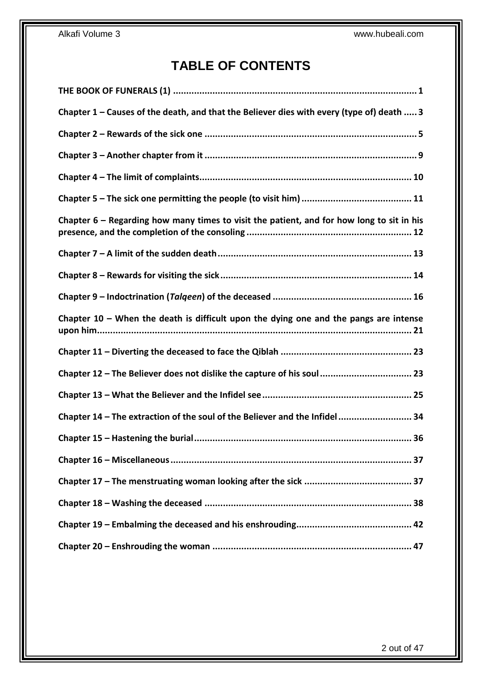# **TABLE OF CONTENTS**

| Chapter 1 – Causes of the death, and that the Believer dies with every (type of) death  3   |
|---------------------------------------------------------------------------------------------|
|                                                                                             |
|                                                                                             |
|                                                                                             |
|                                                                                             |
| Chapter $6$ – Regarding how many times to visit the patient, and for how long to sit in his |
|                                                                                             |
|                                                                                             |
|                                                                                             |
| Chapter $10$ – When the death is difficult upon the dying one and the pangs are intense     |
|                                                                                             |
| Chapter 12 - The Believer does not dislike the capture of his soul 23                       |
|                                                                                             |
| Chapter 14 - The extraction of the soul of the Believer and the Infidel 34                  |
|                                                                                             |
|                                                                                             |
|                                                                                             |
|                                                                                             |
|                                                                                             |
|                                                                                             |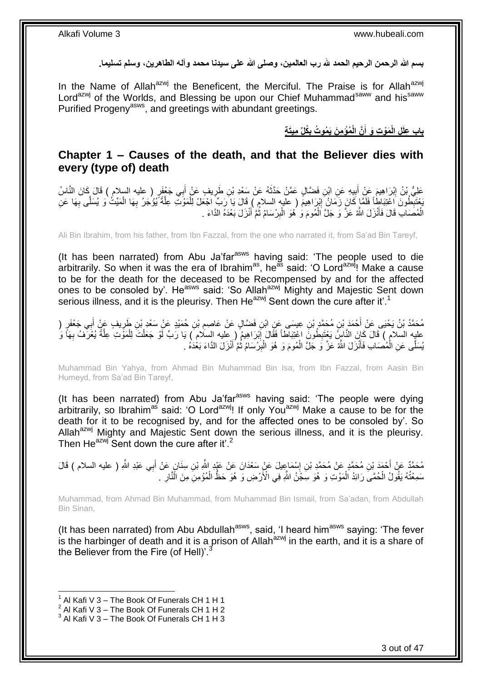**بسم هللا الرحمن الرحيم الحمد هلل رب العالمين، وصلى هللا على سيدنا محمد وآله الطاهرين، وسلم تسليما.**

In the Name of Allah<sup>azwj</sup> the Beneficent, the Merciful. The Praise is for Allah<sup>azwj</sup> Lord<sup>azwj</sup> of the Worlds, and Blessing be upon our Chief Muhammad<sup>saww</sup> and his<sup>saww</sup> Purified Progeny<sup>asws</sup>, and greetings with abundant greetings.

> **ِميَت ة ُكلِّ ُمْؤ ِم َن َي ُمو ُت ب َّن الْ َمْو ِت َو أ ِل الْ باب ِعلَ ِ َ**

### <span id="page-2-0"></span>**Chapter 1 – Causes of the death, and that the Believer dies with every (type of) death**

عَلِيُّ بْنُ إِبْرَاهِيمَ عَنْ أَبِيهِ عَنِ ابْنِ فَضَّالٍ عَمَّنْ حَذَّثَهُ عَنْ سَعْدِ بْنِ طَرِيفٍ عَنْ أَبِي جَعْفَرٍ ( عليه السلام ) قَالَ كَانَ النَّاسُ َ **∶** َ **!** َ ِ َمْ تَبِدَّنُولُونَ اَعْتِبَاطاً فَلَمَّا كَانَ زَمَانُ لِإِرَاهِيمَ ( عليه السلام ) قَالَ يَا َرَبِّ اجْعَلْ لِلْمَوْتِ عِلَّةً يُؤْجَرُ بِهَا الْمَيِّتُ وَ يُسَلَّى بِهَا عَنِّ ْ ِ ِ **∶** ْ **∶** َّ الْمُصَابِ قَالَ فَأَنْزَلَ اللَّهُ عَزَّ وَ جَلَّ اَلْمُومَ وَ هُوَ الْبِرْسَامُ ثُمَّ أَنْزَلَ بَعْدَهُ الدَّاءَ . َ  $\ddot{\phantom{0}}$ ِ ْ ْ َ ْ

Ali Bin Ibrahim, from his father, from Ibn Fazzal, from the one who narrated it, from Sa'ad Bin Tareyf,

(It has been narrated) from Abu Ja'far<sup>asws</sup> having said: 'The people used to die arbitrarily. So when it was the era of Ibrahim<sup>as</sup>, he<sup>as</sup> said: 'O Lord<sup>azw)</sup>! Make a cause to be for the death for the deceased to be Recompensed by and for the affected ones to be consoled by'. He<sup>asws</sup> said: 'So Allah<sup>azwj</sup> Mighty and Majestic Sent down serious illness, and it is the pleurisy. Then He $^{az}$ <sup>yj</sup> Sent down the cure after it'.<sup>1</sup>

مُحَمَّدُ بْنُ يَحْيَى عَنْ أَحْمَدَ بْنِ مُحَمَّدٍ بْنِ عِيسَى عَنِ ابْنِ فَضَّالٍ عَنْ عَاصِمِ بْنِ حُمَيْدٍ عَنْ سَعْدِ بْنِ طَرِيفٍ عَنْ أَبِي جَعْفَرٍ (  $\ddot{\phantom{a}}$ َ ِ عليِه السلام ) قَالَ كَانَ النَّاسُِ يَعْنَنِطُونَ اعْتِبَاطاً فَقَالَ إِبْرَاهِيمُ ( ِعليه السلام ) يَا رَبِّ لَوْ جَعَلْتَ لِلْمَوَّتِ عِلَّةً يُعْرَفْ بِهَا وَ ِ ِ ِ ْ يُسَلَّى عَنِ الْمُصْمَابِ فَأَنْزَلَ اللَّهُ عَزَّ وَ جَلَّ الْمُومَ وَ هُوَ الْبِرْسَامُ ثُمَّ أَنْزَلَ الدَّاءَ بَعْدَهُ . َ  $\ddot{\cdot}$ ِ ْ ْ َ ْ

Muhammad Bin Yahya, from Ahmad Bin Muhammad Bin Isa, from Ibn Fazzal, from Aasin Bin Humeyd, from Sa'ad Bin Tareyf,

(It has been narrated) from Abu Ja'far<sup>asws</sup> having said: 'The people were dying arbitrarily, so Ibrahim<sup>as</sup> said: 'O Lord<sup>azwj</sup>! If only You<sup>azwj</sup> Make a cause to be for the death for it to be recognised by, and for the affected ones to be consoled by'. So Allah<sup>azwj</sup> Mighty and Majestic Sent down the serious illness, and it is the pleurisy. Then He<sup>azwj</sup> Sent down the cure after it'.<sup>2</sup>

Muhammad, from Ahmad Bin Muhammad, from Muhammad Bin Ismail, from Sa'adan, from Abdullah Bin Sinan,

(It has been narrated) from Abu Abdullah<sup>asws</sup>, said, 'I heard him<sup>asws</sup> saying: 'The fever is the harbinger of death and it is a prison of Allah $a^{2}$  in the earth, and it is a share of the Believer from the Fire (of Hell)'.

مُحَمَّدٌ عَنْ أَحْمَدَ بْنِ مُحَمَّدٍ عَنْ مُحَمَّدِ بْنِ إِسْمَاعِيلَ عَنْ سَعْدَانَ عَنْ عَيْدٍ اللَّهِ بْنِ سِنَانٍ عَنْ أَبِي عَبْدِ اللَّهِ ( عليه السلام ) قَالَ ِ َ َ سَمِعْتُهُ يَقُولُ الْحُمَّىِّ رَائِدُ الْمَوْتِ وَ هُوَ سِّجْنُ اللَّهِ فِي الْأَرْضِ وَ هُوَ حَظٌ الْمُؤْمِنِّ مِنَ الَّذَارِ ۚ. ْ ْ **∶** ْ

 $1$  Al Kafi V 3 – The Book Of Funerals CH 1 H 1

 $2$  Al Kafi V 3 – The Book Of Funerals CH 1 H 2

 $3$  Al Kafi V  $3$  – The Book Of Funerals CH 1 H 3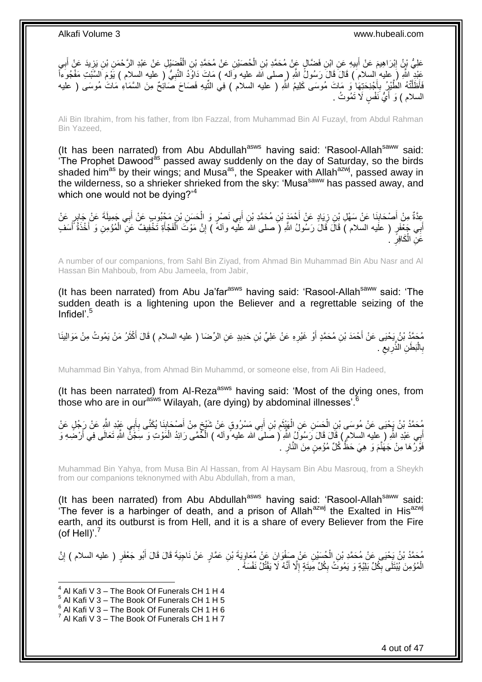عَلِيُّ بْنُ إِبْرَاهِيمَ عَنْ أَبِيهِ عَنِ ابْنِ فَضَّالٍ عَبْن مُحَمَّدِ بْنِ الْحُصَيْنِ عَنْ مُحَمَّدِ بْنِ الْفُضَيْلِ عَنْ عَبْدِ الرَّحْمَنِ بْنِ يَزِيدَ عَنْ أَبِي ْ ْ **!** َ ِ ِ َ ِ عَبْدٍ اللَّهِ (َ عِليه ٰالسلامَ ) قَالَ قَالَ رَسُولُ اللَّهِ ( ِصلى الله عليه وَاله ) مَاتٍ دَاوُدُ النَّبِيُّ ( عليه السلام ) يَوْمَ السَّبْتِ مَفْجُوَءاً ِ فَأَظَلَّتْهُ الطَّيْرِ بِأَجْذِحَتِهَا وَ مَاتَ مُوسَى كَلِيمُ اللَّهِ ( عليه السلام ) فِي التِّيهِ فَصَاحَ صَائِحٌ مِنَ السَّمَاءِ مَاتَ مُوسَى ( عليه َ ِ َّ السلام ) وَ أَيُّ نَفْسٍ لَا تَمُوتُ <sub>.</sub> َ

Ali Bin Ibrahim, from his father, from Ibn Fazzal, from Muhammad Bin Al Fuzayl, from Abdul Rahman Bin Yazeed,

(It has been narrated) from Abu Abdullah<sup>asws</sup> having said: 'Rasool-Allah<sup>saww</sup> said: The Prophet Dawood<sup>as</sup> passed away suddenly on the day of Saturday, so the birds shaded him<sup>as</sup> by their wings; and Musa<sup>as</sup>, the Speaker with Allah<sup>azwj</sup>, passed away in the wilderness, so a shrieker shrieked from the sky: 'Musasaww has passed away, and which one would not be dying?<sup>4</sup>

عِدَّةٌ مِنْ أَصْحَابِنَا عَنْ سَهْلِ بْنِ زِيَادٍ عَنْ أَحْمَدَ بْنِ مُحَمَّدِ بْنِ أَبِي نَصْرٍ وَ الْحَسَنِ بْنِ مَجْبُوبٍ عَنْ أَبِي جَمِيلَةَ عَنْ جَابِرٍ عَنْ<br>يَحْمَدُ مِنْ أَسْحَابِنَا عَنْ سَهْلِ بْنِ زِيَادٍ عَنْ ْ َ َ ِ **∣** َ َ أَبِي جَعْفَرٍ ( علَيه السلام ) قَالَ قَالَ رَسُولُ اللَّهِ (َ صلى اللهَ عَلَيْه وألمَّ ) إِنَّ مَوْتَ الْفَجْأَةِ تَخْفِيفٌ عَنِّ الْمُؤْمِنِ وَ أَخْذَةُ أَسَفٍ ِ َ َ ْ َ ْ عَنِ الْكَافِرِّ . **∶** ْ

A number of our companions, from Sahl Bin Ziyad, from Ahmad Bin Muhammad Bin Abu Nasr and Al Hassan Bin Mahboub, from Abu Jameela, from Jabir,

(It has been narrated) from Abu Ja'far $a<sup>sws</sup>$  having said: 'Rasool-Allah $a<sup>sww</sup>$  said: 'The sudden death is a lightening upon the Believer and a regrettable seizing of the Infidel'.<sup>5</sup>

مُحَمَّدُ بْنُ يَحْيَى عَنْ أَحْمَدَ بْنِ مُحَمَّدٍ أَوْ غَيْرِهِ عَنْ عَلِيٍّ بْنِ حَدِيدٍ عَنِ الرِّضَا ( عليه السلام ) قَالَ أَكْثَرُ مَنْ بَمُوتُ مِنْ مَوَالِينَا ِ َ َ َ بِالْبَطَٰنِ الذَّرِيعِ ۖ. ِ ِ ا<br>ا **∶** 

Muhammad Bin Yahya, from Ahmad Bin Muhammd, or someone else, from Ali Bin Hadeed,

(It has been narrated) from Al-Reza<sup>asws</sup> having said: 'Most of the dying ones, from those who are in our<sup>asws</sup> Wilayah, (are dying) by abdominal illnesses'.<sup>6</sup>

مُحَمَّدُ بْنُ يَجْنَى عَنْ مُوسَى بْنِ الْحَسَنِ عَنِ الْهَيْنَمِ بْنِ أَبِي مَسْرُوقٍ عَنْ شَيْخٍ مِنْ أَصْحَابِنَا يُكَنَّى بِأَبِي عَبْدِ اللَّهِ عَنْ رَجُلٍ عَنْ ِ َ ٍ َ ِ َ ْ ْ اً ِ أَبِي عَبْدِ اللَّهِ ( عِليه السلام ) قَالَ قَالَ رَسُولُ اللَّهِ ( صَلَى الله عليه ًو اله ) الْحُمَّى رَائِدُ الْمَوْتِ وَ سِجَنَّ اللَّهِ تَعَالَى فِي أَرْضِهِ وَ َ َ ْ ْ فَوْلُ هَا مِنْ جَهَٰنَّمَ وَ هِيَ حَظٌّ كُلِّ مُؤْمِنٍ مِنَ النَّارِ . ِ

Muhammad Bin Yahya, from Musa Bin Al Hassan, from Al Haysam Bin Abu Masrouq, from a Sheykh from our companions teknonymed with Abu Abdullah, from a man,

(It has been narrated) from Abu Abdullah<sup>asws</sup> having said: 'Rasool-Allah<sup>saww</sup> said: The fever is a harbinger of death, and a prison of Allah<sup>azwj</sup> the Exalted in His<sup>azwj</sup> earth, and its outburst is from Hell, and it is a share of every Believer from the Fire (of Hell)'. $^7$ 

مُحَمَّدُ بْنُ يَحْيَى عَنْ مُحَمَّدِ بْنِ الْحُسَيْنِ عَنْ صَفْوَانَ عَنْ مُعَاوِيَةَ بْنِ عَمَّارٍ عَنْ نَاجِيَةَ قَالَ قَالَ أَبُو جَعْفَرٍ ( عليه السلام ) إِنَّ<br>مُعتَدُّ بُنَ يَحْيَى عَنْ مُحَمَّدِ بْنِ الْحُسَيْنِ عَ ِ ْ ِ َ الْمُؤْمِنَ يُبْتَلَى بِكُلِّ بَلِيَّةٍ وَ يَمُوتُ بِكُلِّ مِيتَةٍ إِلَّا أَنَّهُ لَا يَقْتُلُ نَفْسَهُ . َ ِ ِ ِ ْ

- $^5$  Al Kafi V 3 The Book Of Funerals CH 1 H 5
- $^6$  Al Kafi V 3 The Book Of Funerals CH 1 H 6

 $4$  Al Kafi V 3 – The Book Of Funerals CH 1 H 4

 $^7$  Al Kafi V 3 – The Book Of Funerals CH 1 H 7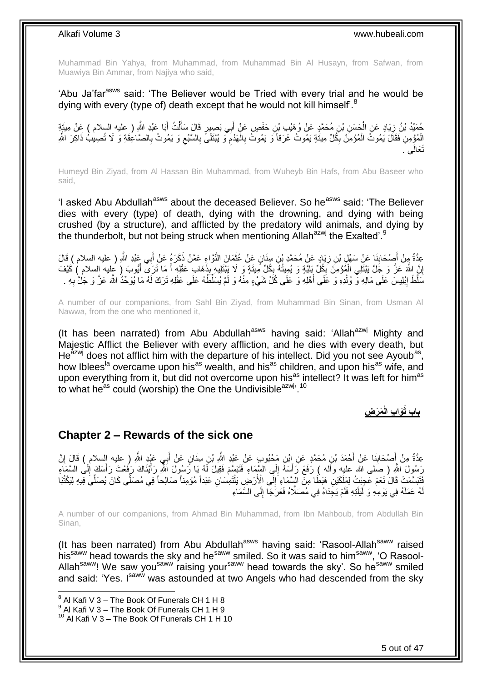Muhammad Bin Yahya, from Muhammad, from Muhammad Bin Al Husayn, from Safwan, from Muawiya Bin Ammar, from Najiya who said,

'Abu Ja'far<sup>asws</sup> said: 'The Believer would be Tried with every trial and he would be dying with every (type of) death except that he would not kill himself<sup>'.8</sup>

حُمَّيْدُ بْنُ زِيَادٍ عَنِ الْحَسَنِ بْنِ مُحَمَّدٍ عَنْ وُهَيْبِ بْنِ حَفْصٍ عَنْ أَبِي بَصِيرٍ قَالَ سَأَلْتُ أَبَا عَبْدِ اللَّهِ ( عليه السلام ) عَنْ مِيتَةٍ<br>مُنْذُ بِنَ زِيَادٍ عَنِ الْمَدَّسِ ، بِمُمَّدٍ عَنْ وُهَي َ ْ َ َ ْ ِ الْمُؤْمِنِ فَقَالَ يَمُوتُ الْمُؤْمِنُ بِكُلِّ مِيتَةٍ يَمُوتُ غَرَقاً وَ يَمُوتُ بِالْهَدْمِ وَ يُبْتَلَىَّ بِالسَّبُعِ وَ يَمُوتُ بِالصَّاعِقَةِ وَ لَا تُصِيبُ ذَاكِرَ اللَّهِ ِ ْ ْ **∶** ِ ِ ِ ْ **∶** نَتَعالَى َ.

Humeyd Bin Ziyad, from Al Hassan Bin Muhammad, from Wuheyb Bin Hafs, from Abu Baseer who said,

'I asked Abu Abdullah<sup>asws</sup> about the deceased Believer. So he<sup>asws</sup> said: 'The Believer dies with every (type) of death, dying with the drowning, and dying with being crushed (by a structure), and afflicted by the predatory wild animals, and dying by the thunderbolt, but not being struck when mentioning Allah<sup>azwj</sup> the Exalted'.<sup>9</sup>

عِدَّةٌ مِنْ أَصِنْحَابِذَا عَنْ سَهْلٍ بْنِ زِيَادٍ عَنْ مُحَمَّدٍ بْنِ سِنَانٍ عَنْ عُثْمَانَ النَّوَّاءِ عَمَّنْ ذَكَرَهُ عَنْ أَبِي عَبْدِ اللَّهِ ( عليه السلام ) قَالَ ْ ِ **∣** َ إِنَّ اللَّهَ عَزَّ وَ جَلَّ يَبْتَلِي الْمُؤْمِنَ بِكُلِّ بَلِيَّةٍ وَ يُمِيتُهُ بِكُلِّ مِيتَةٍ وَ لَا يَبْتَلِيهِ بِذَهَابٍ عَقْلِهِ أَ مَا تَرَى أَيُّوبَ ( عِليه السلام ) كَيْفَ<br>إِنَّ يَعْبَدُ بِنَّ مَنْ أَسْرَاهِ مِن ֦֧<u>֓</u> ِ ْ <u>֖֚֚֚֚֚֚֚֓</u> َ َ مَلَّظَ إِبْلِيسَ عَلَى مَالِهِ وَّ وُلْدِهِ وَ عَلَى أَهْلِهِ وَ عَلَى كُلِّ شَيْءٍ مِنْهُ وَ لَمْ يُسَلِّظْهُ عَلَى عَقْلِهِ تَرَكَ لَهُ مَا يُوَجِّدُ اللَّهَ عَزَّ وَ جَلْ بِهِ . َ ْ <u>֖֓</u> ِ

A number of our companions, from Sahl Bin Ziyad, from Muhammad Bin Sinan, from Usman Al Nawwa, from the one who mentioned it,

(It has been narrated) from Abu Abdullah<sup>asws</sup> having said: 'Allah<sup>azwj</sup> Mighty and Majestic Afflict the Believer with every affliction, and he dies with every death, but He $^{2x}$  does not afflict him with the departure of his intellect. Did you not see Ayoub<sup>as</sup>, how Iblees<sup>la</sup> overcame upon his<sup>as</sup> wealth, and his<sup>as</sup> children, and upon his<sup>as</sup> wife, and upon everything from it, but did not overcome upon his<sup>as</sup> intellect? It was left for him<sup>as</sup> to what he<sup>as</sup> could (worship) the One the Undivisible<sup>azwj, 10</sup>

> **َم َر ِض َوا ِب الْ باب ثَ**

### <span id="page-4-0"></span>**Chapter 2 – Rewards of the sick one**

عِدَّةٌ مِنْ إَصْحَابِنَا عَنْ أَحْمَدَ بْنِ مُحَمَّدٍ عَنِ إِبْنِ مَحْبُوبٍ عَنْ عَيْدِ اللَّهِ بْنِ سِنَانٍ عَنْ أَبِي عَيْدِ اللَّهِ ( عليه إلسلام ) قَالَ إِنَّ َ َ **∣** َ ِ رَسُولَ اللَّهِ ( صَلَّى الله عليهِ وأَله ) رَفَعَ رَأْسَهُ إِلَى السَّمَاءِ فَتَبَسَّمَ فَقِيلَ لَمُ يَا رَسُولَ اللَّهِ رَأَيْنَاكَ رَفَعْتَ رَأْسَكَ إِلَى السَّمَاءِ لَ ِ **ٔ** َ ِ ْ َفَتَبَسَّمْتَ قَالَ نَعَمْ عَجِبْتُ لِمَلَكَيْنِ هَبَطْا مِنَ الْبِسَّمَاءِ إِلَى الْأَرْضِ يَلْتَمِسَانِ عَبْداً مُؤْمِناً صَالِحاً فِي مُصَلِّى كَانَ يُصَلِّي فِيهِ لِيَكْتُبَا ْ ِ المالكات المسافرة المالكات المالكات المالكات المالكات المالكات المالكات المالكات المالكات المالكات ا ى هُ عَمَلَهُ فِي يَوْمِهِ وَ لََيْلَتِهِ فَلَمْ يَجِدَاهُ فِي مُصَلَّاهُ فَعَرَجَا إِلَى السَّمَاءِ  $\frac{1}{2}$ لَ

A number of our companions, from Ahmad Bin Muhammad, from Ibn Mahboub, from Abdullah Bin Sinan,

(It has been narrated) from Abu Abdullah<sup>asws</sup> having said: 'Rasool-Allah<sup>saww</sup> raised his<sup>saww</sup> head towards the sky and he<sup>saww</sup> smiled. So it was said to him<sup>saww</sup>, 'O Rasool-Allah<sup>saww</sup>! We saw you<sup>saww</sup> raising your<sup>saww</sup> head towards the sky'. So he<sup>saww</sup> smiled and said: 'Yes. Isaww was astounded at two Angels who had descended from the sky

 $^8$  Al Kafi V 3 – The Book Of Funerals CH 1 H 8

 $^9$  Al Kafi V 3 – The Book Of Funerals CH 1 H 9

 $10$  Al Kafi V 3 – The Book Of Funerals CH 1 H 10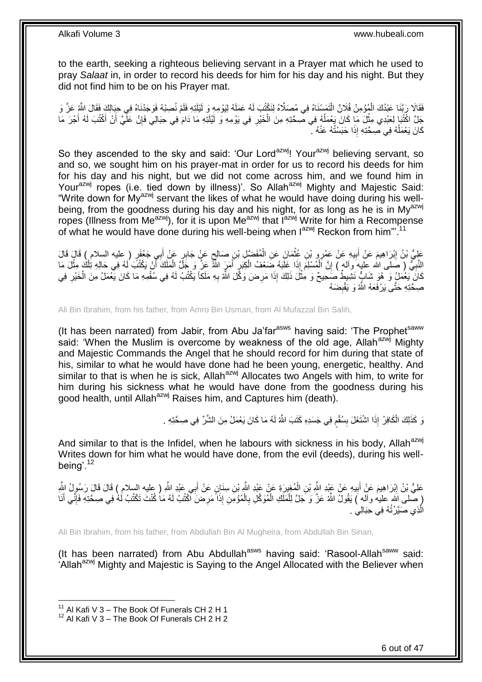to the earth, seeking a righteous believing servant in a Prayer mat which he used to pray *Salaat* in, in order to record his deeds for him for his day and his night. But they did not find him to be on his Prayer mat.

فَقَالَا رَبَّنَا عَبْدُكَ الْمُؤْمِنُ فُلَانٌ الْتَمَسْنَاهُ فِي مُصَلَّاهُ لِنَكْتُبَ لَهُ عَمَلَهُ لِيَوْمِهِ وَ لَيْلَذِهِ فَلَمْ نُصِبْهُ فَوَجَدْنَاهُ فِي حِبَالِكَ فَقَالَ اللَّهِ عَزَ وَ ْ ْ جَلَّ اكْتُبَا لِعَبْدِي مِثْلَ مَا كَانَ يَعْمَلُهُ فِي صِحَّتِهِ مِنَ الْخَيْرِ فِي يَوْمِهِ وَ لَيْلَتِهِ مَا دَامَ فِي حِبَالِي فَإِنَّ عَلَّيَّ أَنْ أَكْتُبَ لَهُ أُجْرَ مَا **ٔ** َ ∣lٍ ِ ْ  $\overline{a}$ َ كَانَ يَعْمَلُهُ فِي صِحَّتِهِ إِذَا حَبَسْتُهُ عَنْهُ ـ ۖ j

So they ascended to the sky and said: 'Our Lord<sup>azwj</sup>! Your<sup>azwj</sup> believing servant, so and so, we sought him on his prayer-mat in order for us to record his deeds for him for his day and his night, but we did not come across him, and we found him in Yourazwj ropes (i.e. tied down by illness)'. So Allahazwj Mighty and Majestic Said: "Write down for My<sup>azwj</sup> servant the likes of what he would have doing during his wellbeing, from the goodness during his day and his night, for as long as he is in My<sup>azwj</sup> ropes (Illness from Me<sup>azwj</sup>), for it is upon Me<sup>azwj</sup> that I<sup>azwj</sup> Write for him a Recompense of what he would have done during his well-being when  $I^{azwj}$  Reckon from him".<sup>11</sup>

عَلِيُّ بْنُ إِبْرَاهِيمَ عَنْ أَبِيهِ عَنْ عَمْرِو بْنِ عُثْمَانَ عَنِ الْمُفَضَّلِ بْنِ صَالِحٍ عَنٍْ جَابِرٍ عَنْ أَبِي جَعْفَرٍ ( عليه السلام ) قَالَ قَالَ َ ٍ ْ ْ **!** َ ِ َ النَّبِيُّ ( صَلى الله عِليه وآله ) إِنَّ اَلْمُسْلِمَ إِذَا غَلَبَهُ ضَعْفُ الْكِبَرِ أَمَرٍ اللَّهُ عَنَّ وَجَلَّ الْمَلَكَ أَنْ يَكْتُبَ لَهُ فِي حَالِهِ تِلْكَ مِثْلَ مَا ْ َ ِ ْ ْ ِ **∶** ْ ْ كَانَ ۖ يَعْمَلُ وَ هُوَ شَابٌٍّ نَشْيهِمْ صَحِيحٌ وَ مِثْلَ ذَلِكَ إِذَا مَرِضَ وَكَّلَ اللَّهُ بِهِ مَلَكًا يَكْتُبُ لَهُ فِي سُفْمِهِ مَا كَانَ يَعْمَلُ مِنَ الْخَيْرِ فِي ْ ِ ْ ِ ِ صِحَّتِهِ حَتَّى يَرْفَعَهُ اللَّهُ وَ يَقْبِضَهُ ِ

Ali Bin Ibrahim, from his father, from Amro Bin Usman, from Al Mufazzal Bin Salih,

(It has been narrated) from Jabir, from Abu Ja'far<sup>asws</sup> having said: 'The Prophet<sup>saww</sup> said: 'When the Muslim is overcome by weakness of the old age, Allah<sup>azwj</sup> Mighty and Majestic Commands the Angel that he should record for him during that state of his, similar to what he would have done had he been young, energetic, healthy. And similar to that is when he is sick, Allah<sup>azwj</sup> Allocates two Angels with him, to write for him during his sickness what he would have done from the goodness during his good health, until Allah<sup>azwj</sup> Raises him, and Captures him (death).

> نَ كَذَلِكَ الْكَافِرُ ۚ إِذَا اسْْتَغَلَ بِسُقْمٍ فِي جَسَدِهِ كَتَبَ اللَّهُ لَهُ مَا كَانَ يَعْمَلُ مِنَ الشَّرِّ فِي صِحَّتِهِ . ٍ **∣** ْ

And similar to that is the Infidel, when he labours with sickness in his body, Allah<sup>azwj</sup> Writes down for him what he would have done, from the evil (deeds), during his wellbeing'.<sup>12</sup>

عَلِيُّ بْنُ إِبْرَاهِيمَ عَنْ أَبِيهِ عَنْ عَيْدِ اللَّهِ بْنِ الْمُغِيرَةِ عَنْ عَيْدِ اللَّهِ بْنِ سِنَانٍ عَنْ أَبِي عَبْدِ اللَّهِ ( عِليه السلام ) قَالَ قَالَ رَسُولُ اللَّهِ الْمُغْلِيرَةِ عَنْ عَيْدِ اللَّهِ بِّنِ َ ْ **!**  ِ ( صَّلَى الله عليه وآله ) يَقُولُ اللَّهُ عَزَّ وَ جَلَّ لِلْمَلَكِ الْمُوَكَّلِ بِالْمُؤْمِنِ إِذَا مَرِضَ آكْتُبُ لَهُ مَا كُنْتَ تَكْتُبُ لَهُ فِي صِحَّتِهِ فَإِنِّي أَنَا ِ ْ ِ ْ ْ َ ِ الَّذِي صَيَّرْتُهُ فِي حِبَالِي َّ

Ali Bin Ibrahim, from his father, from Abdullah Bin Al Mugheira, from Abdullah Bin Sinan,

(It has been narrated) from Abu Abdullah<sup>asws</sup> having said: 'Rasool-Allah<sup>saww</sup> said: 'Allah<sup>azwj</sup> Mighty and Majestic is Saying to the Angel Allocated with the Believer when

 $11$  Al Kafi V 3 – The Book Of Funerals CH 2 H 1

 $12$  Al Kafi V 3 – The Book Of Funerals CH 2 H 2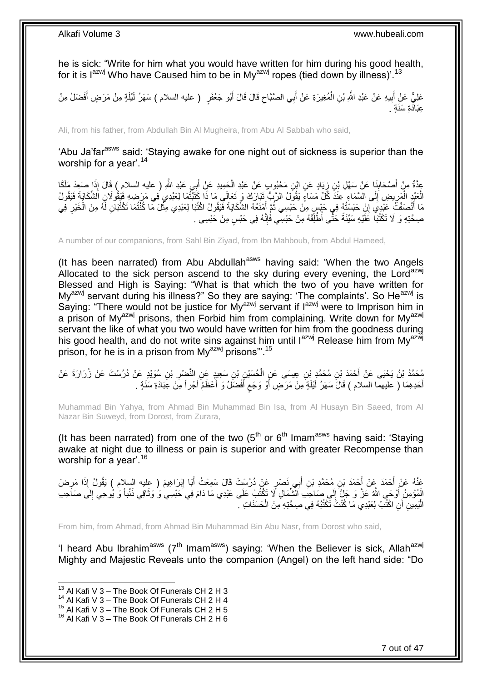he is sick: "Write for him what you would have written for him during his good health, for it is  $I^{azwj}$  Who have Caused him to be in My $a^{azwj}$  ropes (tied down by illness)'.<sup>13</sup>

عَلِيٌّ عَنْ أَبِيهِ عَنْ عَبْدِ اللَّهِ بْنِ الْمُغِيرَةِ عَنْ أَبِي الصَّبَّاحِ قَالَ قَالَ أَبُو جَعْفَرٍ ( عليه السلام ) سَهَرُ لَيْلَةٍ مِنْ مَرَضٍ أَفْضَلُ مِنْ َ ِ َ ْ **!** َ عَبَادَة سَنَة َ

Ali, from his father, from Abdullah Bin Al Mugheira, from Abu Al Sabbah who said,

'Abu Ja'far<sup>asws</sup> said: 'Staying awake for one night out of sickness is superior than the worship for a year'.<sup>14</sup>

عِدَّةٌ مِنْ أَصْحَابِنَا عَنْ سَهْلِ بْنِ زِيَادٍ عَنِ ابْنِ مَحْبُوبٍ عَنْ عَبْدِ الْحَمِيدِ عَنْ أَبِي عَبْدِ اللَّهِ ( عليه السلام ) قَالَ إِذَا صَعِدَ مَلَكَا<br>فَيَسْتَمَّمَّ مِنْ أَصْحَابِنَا عَنْ سَهْلِ بْنِ زِيَادٍ َ ْ ; ِ َ الْعَبْدِ الْمَرِيضِ إِلَى السَّمَاءِ عِنْدَ كُلِّ مَسَاءٍ يَقُولُ الرَّبِّ تَبَارَكَ وَ تَعَالَى مَا ذَا كَتَبْتُمَا لِعَبْدِي فِي مَرَضِهِ فَيَقُولَانِ الشَّكَايَةَ فَيَقُولُ ∣∣<br>∶ ِ ْ مَا أَنْصَفْتُ عَبْدِي إِنْ حَبَسْتُهُ فِي جَبْسٍ مِنْ حَبْسِي ثُمَّ أُمْنَعُهُ الشَّكَايَةَ فَيَقُولُ اكْتُبَا لِعَبْدِي مِثْلَ مَا كُنْتُمَا تَكْتُبَانِ لَهُ مِنَ الْخَيْرِ فِي ِ اً<br>ا ْ ْ َ  $\ddot{\cdot}$ ِ صِحَّتِهِ وَ لَا تَكْتُبَاّ عَلَّيْهِ سَيِّئَةً حَتَّى أُطُلِّقَهُ مِنْ حَبْسِي فَإِنَّهُ فِي حَبْسٍ مِنْ حَبْسِي . ِ

A number of our companions, from Sahl Bin Ziyad, from Ibn Mahboub, from Abdul Hameed,

(It has been narrated) from Abu Abdullah<sup>asws</sup> having said: 'When the two Angels Allocated to the sick person ascend to the sky during every evening, the Lord<sup>azwj</sup> Blessed and High is Saying: "What is that which the two of you have written for My<sup>azwj</sup> servant during his illness?" So they are saying: 'The complaints'. So He<sup>azwj</sup> is Saying: "There would not be justice for My<sup>azwj</sup> servant if l<sup>azwj</sup> were to Imprison him in a prison of My<sup>azwj</sup> prisons, then Forbid him from complaining. Write down for My<sup>azwj</sup> servant the like of what you two would have written for him from the goodness during his good health, and do not write sins against him until  $I^{azwj}$  Release him from My<sup>azwj</sup> prison, for he is in a prison from  $Mv^{a z w j}$  prisons". <sup>15</sup>

جُمَّدُ بْنُ يَحْيَى عَنْ أَحْمَدَ بْنِ مُحَمَّدٍ بْنِ عِيسَى عَنٍ الْحُسَيْنِ بْنِ سَعِيدٍ عَنِ النَّضْرِ بْنِ سُوَيْدٍ عَنْ دُرُسْتَ عَنْ زُرَارَةَ عَنْ ِ ْ َ أَحَدِهِمَا ( عليهما السلام ) قَالَ َسَهَرُ لَيْلَةٍ مِنْ مَرَضٍ أَوْ وَجَعٍ أَفْضَلَٰ وَ أَعْظَمُ أَجْراً مِنْ عِبَادَةِ سَنَةٍ . ۔<br>ا َ ٍ َ

Muhammad Bin Yahya, from Ahmad Bin Muhammad Bin Isa, from Al Husayn Bin Saeed, from Al Nazar Bin Suweyd, from Dorost, from Zurara,

(It has been narrated) from one of the two  $(5<sup>th</sup>$  or  $6<sup>th</sup>$  Imam<sup>asws</sup> having said: 'Staying awake at night due to illness or pain is superior and with greater Recompense than worship for a year'.<sup>16</sup>

عَذْهُ عَنْ أَحْمَدَ عَنْ أَحْمَدَ بْنِ مُحَمَّدِ بْنِ أَبِي نَصْرٍ عَنْ دُرُسْتَ قَالَ سَمِعْتُ أَبَا إِبْرَاهِيمَ ( عِليه السِلام ) يَقُولُ إِذَا مَرِضَ<br>وَمَدَ الْجَمَعَةُ عَنْ أَحْمَدَ بِنِ مُحَمَّدِ بْنِ أَبِي خَصْرٍ ِ َ َ َ ِ الْمُؤْمِنُ أَوْحَى اللَّهُ عَزَّ وَ جَلَّ َإِلَى صَاحِبِ الْشُّمَالِ لَا تَكْتُبْ عَلَى عَبْدِي مَا دَامَ فِي حَبْسِي وَ وَثَاقِي ذَنْباً وَ يُوحِي إِلَى صَاحِبِ ْ َ  $\frac{1}{2}$ لَ ِ الْيَمِينِ أَنِ اكْتُبْ لِعَبْدِي مَا كُنْتَ تَكْتُبُهُ فِي صِحَّتِهِ مِنَ الْحَسَنَاتِ . ْ اً :<br>ا

From him, from Ahmad, from Ahmad Bin Muhammad Bin Abu Nasr, from Dorost who said,

'I heard Abu Ibrahim<sup>asws</sup> ( $7<sup>th</sup>$  Imam<sup>asws</sup>) saying: 'When the Believer is sick, Allah<sup>azwj</sup> Mighty and Majestic Reveals unto the companion (Angel) on the left hand side: "Do

 $13$  Al Kafi V 3 – The Book Of Funerals CH 2 H 3

<sup>&</sup>lt;sup>14</sup> Al Kafi V 3 – The Book Of Funerals CH 2 H 4

 $^{15}$  Al Kafi V 3 – The Book Of Funerals CH 2 H 5

 $16$  Al Kafi V 3 – The Book Of Funerals CH 2 H 6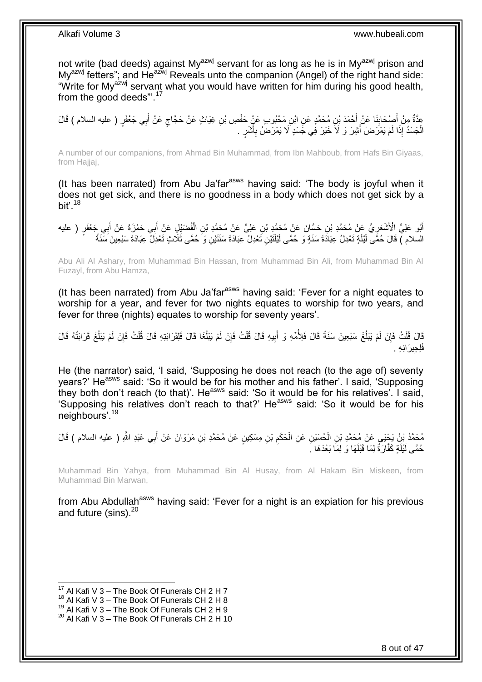not write (bad deeds) against My<sup>azwj</sup> servant for as long as he is in My<sup>azwj</sup> prison and  $My^{azwj}$  fetters"; and  $He^{azwj}$  Reveals unto the companion (Angel) of the right hand side: "Write for My<sup>azwj</sup> servant what you would have written for him during his good health, from the good deeds".<sup>17</sup>

عِدَّةٌ مِنْ أَصْحَابِذَا عَنْ أَحْمَدَ بْنِ مُحَمَّدٍ عَنِ ابْنِ مَحْبُوبٍ عَنٍْ حَفْصِ بْنِ غِيَاثٍ عَنْ حَجَّاجٍ عَنْ أَبِي جَعْفَرٍ ( عليه السلام ) قَالَ َ ٍ َ **∣** الْجَسَدُ إِذَا لَمْ يَمْرَضْ أَشِرَ وَ لَاَ خَيْرَ فِي جَسَدٍ َلا يَمْرَضُ بِأَشَرٍ . اُز ِ َ ْ

A number of our companions, from Ahmad Bin Muhammad, from Ibn Mahboub, from Hafs Bin Giyaas, from Hajjaj,

(It has been narrated) from Abu Ja'far<sup>asws</sup> having said: 'The body is joyful when it does not get sick, and there is no goodness in a body which does not get sick by a bit'. $18$ 

َ أَبُو عَلِيٍّ الْأَشْعَرِ يُّ عَنْ مُحَمَّدِ بْنِ حَسَّانَ عَنْ مُحَمَّدٍ بْنِ عَلِيٍّ عَنْ مُحَمَّدٍ بْنِ الْفُضَيْلِ عَنْ أَبِي حَمْزَةَ عَنْ أَبِي جَعْفَرٍ ( عليه<br>. ْ ِ َ السلام ) قَالَ حُمَّى لَيْلَةٍ تَعْدِلُ عِبَادَةَ سَنَةٍ وَ حُمَّى لَيْلَتَيْنِ تَعْدِلُ عِبَادَةَ سَنَتَيْنِ وَ حُمَّى ثَلَاثٍ تَعْدِلَّ عِبَادَةَ سَبْعِينَ سَنَةً

Abu Ali Al Ashary, from Muhammad Bin Hassan, from Muhammad Bin Ali, from Muhammad Bin Al Fuzayl, from Abu Hamza,

(It has been narrated) from Abu Ja'far<sup>asws</sup> having said: 'Fever for a night equates to worship for a year, and fever for two nights equates to worship for two years, and fever for three (nights) equates to worship for seventy years'.

قَالَ قُلْتُ فَإِنْ لَمْ يَبْلُغْ سَبْعِينَ سَنَةً قَالَ فَلِأُمِّهِ وَ أَبِيهِ قَالَ قُلْتُ فَإِنْ لَمْ يَبْلُغَا قَالَ فَلِقَرَابَتِهِ قَالَ قُلْتُ فَإِنَّهُ قَالَ  $\overline{\phantom{a}}$ ِ ْ  $\overline{a}$ ِ ْ ļ ِ ْ **!** َ فَلِجِيرَانِهِ .

He (the narrator) said, 'I said, 'Supposing he does not reach (to the age of) seventy years?' He<sup>asws</sup> said: 'So it would be for his mother and his father'. I said, 'Supposing they both don't reach (to that)'. He<sup>asws</sup> said: 'So it would be for his relatives'. I said, 'Supposing his relatives don't reach to that?' He<sup>asws</sup> said: 'So it would be for his neighbours'.<sup>19</sup>

مُحَمَّدُ بْنُ يَجْيَى عَنْ مُحَمَّدِ بْنِ الْحُسَيْنِ عَنِ الْحَكَمِ بْنِ مِسْكِينٍ عَنْ مُحَمَّدِ بْنِ مَرْوَانَ عَنْ أَبِي عَبْدِ اللَّهِ ( عليه السلام ) قَالَ<br>مُعَمَّدُ بَنُ يَجْيَـي عَنْ مُحَمَّدِ بْنِ الْحُسَيْنِ عَ **∶** َ ِ ْ ْ حُمَّى لَيْلَةٍ كَفَّارَةٌ لِمَا قَبْلَهَا وَ لِمَا بَعْدَهَا ۚ.

Muhammad Bin Yahya, from Muhammad Bin Al Husay, from Al Hakam Bin Miskeen, from Muhammad Bin Marwan,

from Abu Abdullah<sup>asws</sup> having said: 'Fever for a night is an expiation for his previous and future (sins).<sup>20</sup>

 $17$  Al Kafi V 3 – The Book Of Funerals CH 2 H 7

 $18$  Al Kafi V 3 – The Book Of Funerals CH 2 H 8

 $^{19}$  Al Kafi V 3 – The Book Of Funerals CH 2 H 9

 $20$  Al Kafi V 3 – The Book Of Funerals CH 2 H 10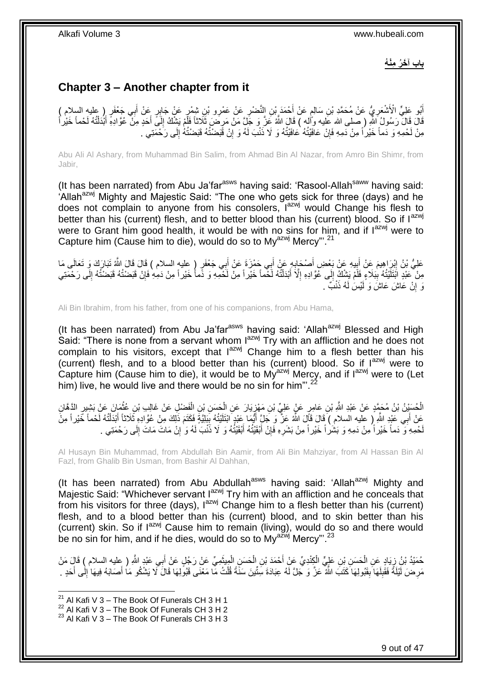**باب آ َخ ُر ِمْن ُه**

## <span id="page-8-0"></span>**Chapter 3 – Another chapter from it**

اُبُو عَلِيٍّ الْأَشْعَرِيُّ عَنْ مُحَمَّدِ بْنِ سَالِمٍ عَنْ أَحْمَدَ بْنِ النَّضْبِرِ عَنْ عَمْرِو بْنِ شَمْرٍ عَنْ جَابِرٍ عَنْ أَبِي جَعْفَوٍ ( عليه السلام )<br>أَبُو عَلَيُّ الْأَشْعَرِيُّ عَنْ مُحَمَّدِ بْنِ سَالِمٍ عَن َ َ **∶** َ ٍ **∶** لَ ِ قَالَ ۖ وَسُولُ اللّهِ ( صلى الله عَليه وأَلله ) قَالَ اللّهُ عَنَّ وَ جَلَّ مَنْ مَرِضَ ثَلَاثًا فَلَمْ يَشْكُ إِلَى أَحَدٍ مِنْ عُوَّادِهِ أَبْدَلْتُهُ لَحْماً خَيْراً ِ ْ َ َ ِ مِنْ لَحْمِهِ وَ دَماً خَيْراً مِنْ دَمِهِ فَإِنْ عَافَيْتُهُ عَافَيْتُهُ وَ لَا ذَنْبَ لَهُ وَ إِنْ قَبَضْتُهُ فَبَضْتُهُ إِلَى رَحْمَتِي ۚ. ِ ِ لَ

Abu Ali Al Ashary, from Muhammad Bin Salim, from Ahmad Bin Al Nazar, from Amro Bin Shimr, from Jabir,

(It has been narrated) from Abu Ja'far $a<sup>asws</sup>$  having said: 'Rasool-Allah $a<sup>saww</sup>$  having said: 'Allah<sup>azwj</sup> Mighty and Majestic Said: "The one who gets sick for three (days) and he does not complain to anyone from his consolers,  $I^{azwj}$  would Change his flesh to better than his (current) flesh, and to better blood than his (current) blood. So if lazwi were to Grant him good health, it would be with no sins for him, and if  $I^{azmj}$  were to Capture him (Cause him to die), would do so to Mv<sup>azwj</sup> Mercy"<sup>21</sup>

ٍر ) عليه السالم ( َقا َل ِي َج ْعَف ب ِي َح ْم َزَة َع ْن أ ب ِه َع ْن أ ْص َحاب ي ِه َع ْن َب ْع ِض أ ب َم َع ْن أ ْب َرا ِهي َعلِ ُّي ْب ن إ ى َما َتَبا َر َك َو َت َعالَ َقا َل ََّّللا َ َ ِ َ ِ َ ِ مِنْ عَبْدٍ اَبْتَلَيْتُهُ بِبَلَاءٍ فَلَمْ يَشْكُ إِلَى عُوَّادِهِ إِلَّا أَبْدَلْتُهُ لَّحْماً خَيْراً مِنْ لَّحْمِهِ وَ دَّماً خَيْراً مِنْ نَحْلِ أَمِنْ دَمِهِ فَإِنْ قَبَضْتُهُ قَبَضْتُهُ إِلَى رَحْمَتِي  $\frac{1}{2}$ **∣** لَ ِ ∣ļ ْ َ ِ وَ إِنْ عَاشَ عَاشَ وَ لَيْسَ لَهُ ذَنْبٌ . יֲ<br>י

Ali Bin Ibrahim, from his father, from one of his companions, from Abu Hama,

(It has been narrated) from Abu Ja'far<sup>asws</sup> having said: 'Allah<sup>azwj</sup> Blessed and High Said: "There is none from a servant whom l<sup>azwj</sup> Try with an affliction and he does not complain to his visitors, except that  $I^{azwj}$  Change him to a flesh better than his (current) flesh, and to a blood better than his (current) blood. So if  $I^{axwj}$  were to Capture him (Cause him to die), it would be to My<sup>azwj</sup> Mercy, and if l<sup>azwj</sup> were to (Let him) live, he would live and there would be no sin for him".<sup>22</sup>

الْحُسَيْنُ بْنُ مُحَمَّدٍ عَنْ عَبْدِ اللَّهِ بْنِ عَامِرٍ عَنٍْ عَلِيٍّ بْنِ مَهْزِيَارَ عَنِ الْحَسَنِ بْنِ الْفَضْلِ عَنْ غَالِبِ بْنِ غُثْمَانَ عَنْ بَشِيرٍ الدَّهَّانِ ْ ْ ِ ْ ْ مَنْ أَبَي عَبْدٍ اللَّهِ إِ عليه السلام ) قَالَ قَالَ اللَّهُ عَنْ ۖ وَ جَلَ أَيُّمَا عَبْدٍ ابْتَلَيْتُهُ بِبَلِيَّةً فَكَتَمَ ذَلِكَ مِنْ عُوَّادِهِ ثَلاثاً أَبْدَلْتُهُ لَحْماً خَيْر اً مِنْ َ ْ َ ¦ حْمِهِ وَ دَماً خَيْراً مِنْ دَمِهِ وَ بَشَراً خَيْراً مِنْ بَشَرِهِ فَإِنْ أَبْقَيْتُهُ أَبْقَيْتُهُ وَ لَا ذَنْبَ لَهُ وَ إِنْ مَاتَ مَاتَ إِلَى رَحْمَتِي . َ َ ِ ِ لَ ِ ِ لَ

Al Husayn Bin Muhammad, from Abdullah Bin Aamir, from Ali Bin Mahziyar, from Al Hassan Bin Al Fazl, from Ghalib Bin Usman, from Bashir Al Dahhan,

(It has been narrated) from Abu Abdullah<sup>asws</sup> having said: 'Allah<sup>azwj</sup> Mighty and Majestic Said: "Whichever servant  $I^{azwj}$  Try him with an affliction and he conceals that from his visitors for three (days),  $1^{azwj}$  Change him to a flesh better than his (current) flesh, and to a blood better than his (current) blood, and to skin better than his (current) skin. So if  $I^{azwj}$  Cause him to remain (living), would do so and there would be no sin for him, and if he dies, would do so to  $Mv^{a\bar{z}wj}$  Mercy".<sup>23</sup>

َ حُمَيْدُ بْنُ زِيَادٍ عَنِ الْحَسَنِ بْنِ عَلِيٍّ الْكِِنْدِيِّ عَنْ أَحْمَدَ بْنِ الْحَسَنِ الْمِيثَمِيِّ عَنْ رَجُلٍ عَنْ أَبِي عَبْدٍ اللَّهِ ( عِليه السلام ) قَالٍ مَنْ َ ْ ْ ْ ْ ِ مَرِ ضَ لَيْلَةً فَقَٰبِلَهَا بِقَبُولِهَا كَتَبَ اللَّهُ عَزَّ وَ جَلَّ لَهُ عِبَادَةَ سَنِّينَ سَنَةً قُلْتُ مَا مَعْنَى قَبُولِهَا قَالَ لَا يَشْكُو مَا أَصَابَهُ فِيهَا ٰ إِلَٰى أَحَدٍ . **ِ** لَ ِ ِ َ ِ َ ْ

<sup>&</sup>lt;sup>21</sup> Al Kafi V 3 – The Book Of Funerals CH 3 H 1

 $^{22}$  Al Kafi V 3 – The Book Of Funerals CH 3 H 2

 $23$  Al Kafi V 3 – The Book Of Funerals CH 3 H 3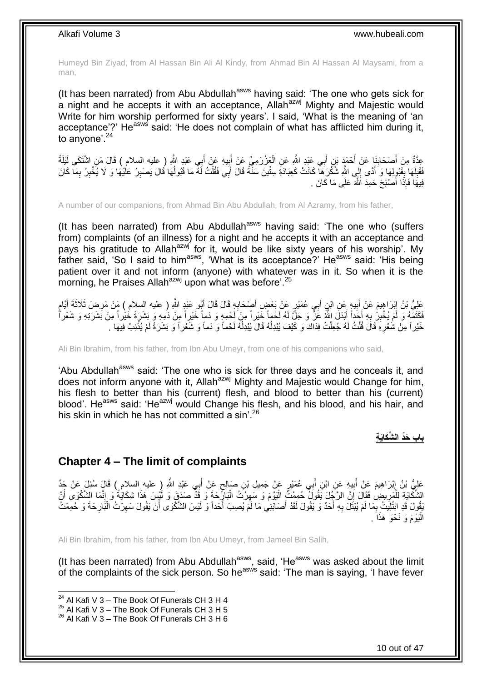Humeyd Bin Ziyad, from Al Hassan Bin Ali Al Kindy, from Ahmad Bin Al Hassan Al Maysami, from a man,

(It has been narrated) from Abu Abdullah<sup>asws</sup> having said: 'The one who gets sick for a night and he accepts it with an acceptance, Allah<sup>azwj</sup> Mighty and Majestic would Write for him worship performed for sixty years'. I said, 'What is the meaning of 'an acceptance'?' He<sup>asws</sup> said: 'He does not complain of what has afflicted him during it, to anyone'.<sup>24</sup>

عِدَّةٌ مِنْ أَصْحَابِنَا عَنْ أَحْمَدَ بْنِ أَبِي عَبْدِ اللَّهِ عَنِ الْعَزْرَمِيِّ عَنْ أَبِيهِ عَنْ أَبِي عَبْدِ اللَّهِ ( عليه السلام ) قَالَ مَنِ اشْتَكَى لَيْلَةً َ ِ َ ْ َ َ ِ َ فَقَلِهَا بِقَبُولِهَا وَ أَدَّى إِلَي اللَّهِ شُكْرَهَا كَانَتْ كَعِبَادَةِ سِتِّينَ سَنَّةً قَالَ أَبَى فَقُلْتُ لَهُ مَا قَبُولُهَا قَالَ بَصْبِرُ عَلَيْهَا وَ لَا يُخْبِرُ بِمَا كَانَ  $\frac{1}{2}$ َ ¦ لَ ِ **∶** ِ ِ  $\overline{a}$ ْ َ فِيهَا فَإِذَا أَصْبَحَ حَمِدَ اللَّهَ عَلَى مَا كَانَ . َ

A number of our companions, from Ahmad Bin Abu Abdullah, from Al Azramy, from his father,

(It has been narrated) from Abu Abdullah $^{asws}$  having said: 'The one who (suffers from) complaints (of an illness) for a night and he accepts it with an acceptance and pays his gratitude to Allah<sup>azwj</sup> for it, would be like sixty years of his worship'. My father said, 'So I said to him<sup>asws</sup>, 'What is its acceptance?' He<sup>asws</sup> said: 'His being patient over it and not inform (anyone) with whatever was in it. So when it is the morning, he Praises Allah<sup>azwj</sup> upon what was before'.<sup>25</sup>

عَلِيُّ بْنُ إِبْرَاهِيمَ عَنْ أَبِيهٍ عَنِ ابْنِ أَبِي عُمَيْرٍ عَنْ بَعْضٍ أَصْحَابِهِ قَالَ قَالَ أَبُو عَبْدٍ اللَّهِ ( عليه السلام ) مَنْ مَرِضَ ثَلَاثَةَ أَيَّامٍ َ **∶** َ ِ َ ِ ٍ َ ِ فَكَتَمَّهُ وَ لَمْ يُخْبِرُ بِهِ أَجَداً أَبْدَلَ اللَّهُ عَزَّ وَ جَلَّ لَهُ لَحْماً خَيْراً مِنْ لَحْمِهِ وَ دَماً خَيْراً مِنْ دَمِهِ وَ بَشَرَةً خَيْراً مِنْ بَشَرَتِهِ وَ شَعْراً َ َ **∶ !** خَيْر أَ مِنْ شَعْرِهِ قَالَ قُلْتُ لَهُ جُعِلْتُ فِدَاكَ وَ كَيْفَ يُبْدِلُهُ قَالَ يُبْدِلُهُ لَحْماً وَ دَماً وَ شَعْر أَ وَ بَشَرَةً لَمْ يُذْنِبْ فِيهَا .  $\overline{a}$ į ْ ْ ِ ة<br>.

Ali Bin Ibrahim, from his father, from Ibn Abu Umeyr, from one of his companions who said,

'Abu Abdullah<sup>asws</sup> said: 'The one who is sick for three days and he conceals it, and does not inform anyone with it, Allah<sup>azwj</sup> Mighty and Majestic would Change for him, his flesh to better than his (current) flesh, and blood to better than his (current) blood'. He<sup>asws</sup> said: 'He<sup>azwj</sup> would Change his flesh, and his blood, and his hair, and his skin in which he has not committed a sin<sup>'26</sup>

**باب َحِّد ال ِّشَكاَي ِة**

### <span id="page-9-0"></span>**Chapter 4 – The limit of complaints**

عَلِيُّ بْنُ إِبْرَاهِيمَ عَنْ أَبِيهِ عَنِ ابْنِ أَبِي عُمَيْرٍ عَنْ جَمِيلِ بْنِ صَالِحٍ عَنْ أَبِي عَبْدِ اللَّهِ ( عليه السلام ) قَالَ سُئِلَ عَنْ جَدِّ َ ٍ ِ َ ِ الشِّكَّايَةِ لِلْمَرِيضِ فَقَالَ إِنَّ الرَّجُلَ يَقُولُ ۖ حُمِمْتً ِ الْيَوْمَ وَ سَهِرْتُ الْبَارِّحَةَ وَ قَذْ صَدَقٍ وَ لَئْسٍ هَذَا شِكَايَةٌ وَ إِنَّمَا الشَّكْوَى أَنْ ِ ِ ْ ِ ¦ ْ ِ ا<br>ا َ يَةُولَ قَدِ ابْتُلِيتُ بِمَا لَمْ يُبْتَلَ بِهِ أَحَدٌ وَ يَقُولَ لَقَدْ أَصَابَنِي مَا لَمْ يُصِبْ أَحَداً وَ لَيْسَ الشَّكْوَى أَنْ يَقُولَ سَهِرْتُ الْبَارِحَةَ وَ حُمِمْتُ َ َ َ ِ ِ ِ ْ ِ َ الْيَوْمَ وَ نَحْوَ هَذَاً . :<br>ا

Ali Bin Ibrahim, from his father, from Ibn Abu Umeyr, from Jameel Bin Salih,

(It has been narrated) from Abu Abdullah $a<sup>asws</sup>$ , said, 'He $a<sup>asws</sup>$  was asked about the limit of the complaints of the sick person. So he<sup>asws</sup> said: 'The man is saying, 'I have fever

<sup>&</sup>lt;sup>24</sup> Al Kafi V 3 – The Book Of Funerals CH 3 H 4

 $^{25}$  Al Kafi V 3 – The Book Of Funerals CH 3 H 5

<sup>&</sup>lt;sup>26</sup> Al Kafi V 3 – The Book Of Funerals CH 3 H 6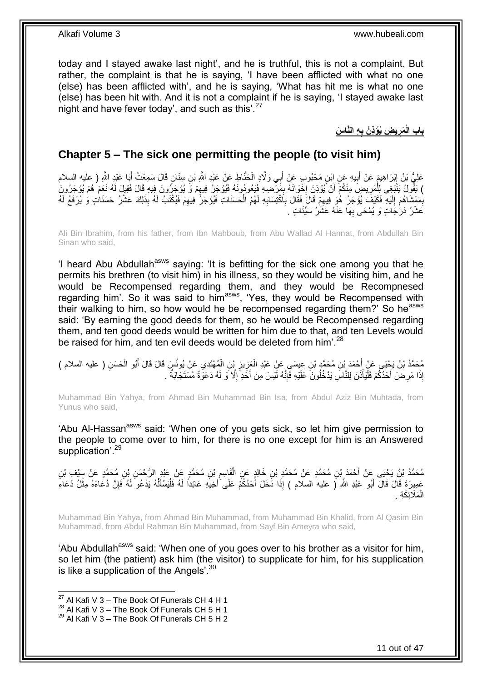today and I stayed awake last night', and he is truthful, this is not a complaint. But rather, the complaint is that he is saying, 'I have been afflicted with what no one (else) has been afflicted with', and he is saying, 'What has hit me is what no one (else) has been hit with. And it is not a complaint if he is saying, 'I stayed awake last night and have fever today', and such as this'.<sup>27</sup>

> **ِه الَّنا َس ي ِض ُيْؤِذ ُن ب َمر باب الْ ِ ِ**

### <span id="page-10-0"></span>**Chapter 5 – The sick one permitting the people (to visit him)**

عَلِيُّ بْنُ إِبْرَاهِيمَ عَنْ أَبِيهِ عَنِ إِبْنِ مَحْبُوبٍ عَنْ أَبِي وَلَّادٍ الْحَنَّاطِ عَنْ عَبْدِ اللَّهِ بْنِ سِنَانٍ قَالَ سَمِعْتُ أَبَا عَبْدِ اللَّهِ ( عليه السلام ْ َ ِ َ ِ َ ) يَقُولُ يَنْبَغِي لِلْمَرِيضِ مِنْكُمْ أَنْ يُؤذِنَ إِخْوَانَهُ بِمَرَضِهِ فَيَعُودُونَهُ فَيُؤْجَرُ فِيهِمْ وَ يُؤْجَرُونَ فِيهِ قَالَ فَقِيلَ لَهُ نَعَمْ هُمْ يُؤْجَرُونَ ِ ِ ¦<br>∶ ِ ْ بِمَمْشَاهُمْ إِلَيْهِ فَكَيْفَ يُوُجَرُ هُوَ فِيهِمْ قَالَ فَقَالَ بِٱكْتِسَابِهِ لَهُمُ الْحَسَنَاتِ فَيُوُجَرُ فِيهِمْ فَيُكْتَبُ لَهُ بِذَلِكَ عَشْرُ حَسَنَاتٍ وَ يُرْفَعُ لَهُ ِ لَ ِ ِ ِ ْ ِ **∶** عَشْرُ دَرَجَاتٍ وَ يُمْحَى بِهَا عَنْهُ عَشْرُ سَيِّئَاتٍ . **∶** 

Ali Bin Ibrahim, from his father, from Ibn Mahboub, from Abu Wallad Al Hannat, from Abdullah Bin Sinan who said,

'I heard Abu Abdullah<sup>asws</sup> saying: 'It is befitting for the sick one among you that he permits his brethren (to visit him) in his illness, so they would be visiting him, and he would be Recompensed regarding them, and they would be Recompnesed regarding him'. So it was said to him<sup>asws</sup>, 'Yes, they would be Recompensed with their walking to him, so how would he be recompensed regarding them?' So he<sup>asws</sup> said: 'By earning the good deeds for them, so he would be Recompensed regarding them, and ten good deeds would be written for him due to that, and ten Levels would be raised for him, and ten evil deeds would be deleted from him'.<sup>28</sup>

مُحَمَّدُ بْنُ يَجْيَى عَنْ أَحْمَدَ بْنِ مُحَمَّدٍ بْنِ عِيسَى عَنْ عَبْدِ الْعَزِيزِ بْنِ الْمُهْتَدِي عَنْ يُونُسَ قَالَ قَالَ أَبُو الْحَسَنِ ( عليه السلام )<br>-**ٍ** ِ ْ َ ْ َ ْ إِذَا مَرِضَ أَحَدُكُمْ فَلْيَأْذَنْ لِلنَّاسِ يَدْخُلُونَ عَلَيْهِ فَإِنَّهُ لَيْسَ مِنْ أَخَدٍ إِلَّا وَ لَهُ دَعْوَةٌ مُسْتَجَابَةٌ . ِ َ ِ :<br>ا :<br>ا َ ِ

Muhammad Bin Yahya, from Ahmad Bin Muhammad Bin Isa, from Abdul Aziz Bin Muhtada, from Yunus who said,

'Abu Al-Hassan<sup>asws</sup> said: 'When one of you gets sick, so let him give permission to the people to come over to him, for there is no one except for him is an Answered supplication<sup>'.29</sup>

مُحَمَّدُ بْنُ يَحْيَى عَنْ أَحْمَدَ بِّنِ مُحَمَّدٍ عَنْ مُحَمَّدِ بْنِ خَالِدٍ عَنِ الْقَاسِمِ بْنِ مُحَمَّدٍ عَنْ عَبْدِ الرَّحْمَنِ بْنِ مُحَمَّدٍ عَنْ سَيْفٍ بْنِ ِ ْ َ لَ عَمِيرَةَ قَالَ قَالَ أَبُو عَبْدِ اللَّهِ ( عليه السلام ) إِذَا دَخَلَ أَحَدُكُمْ عَلَى أَخِيهِ عَائِداً لَهُ فَلْيَسْأَلْهُ يَدْعُو لَهُ فَإِنَّ دُعَاءَهُ مِثْلُ دُعَاءِ َ َ َ ْ ِ ْ ĺ ْ الْمَلَائِكَةِ . ْ

Muhammad Bin Yahya, from Ahmad Bin Muhammad, from Muhammad Bin Khalid, from Al Qasim Bin Muhammad, from Abdul Rahman Bin Muhammad, from Sayf Bin Ameyra who said,

'Abu Abdullah<sup>asws</sup> said: 'When one of you goes over to his brother as a visitor for him, so let him (the patient) ask him (the visitor) to supplicate for him, for his supplication is like a supplication of the Angels'.<sup>30</sup>

 $27$  Al Kafi V 3 – The Book Of Funerals CH 4 H 1

<sup>&</sup>lt;sup>28</sup> Al Kafi V 3 – The Book Of Funerals CH 5 H 1

 $29$  Al Kafi V 3 – The Book Of Funerals CH 5 H 2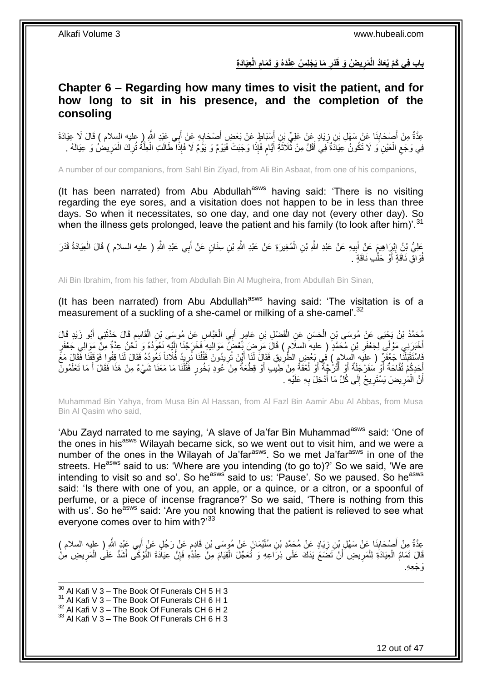باب فِى كَمْ يُعَادُ الْمَرِيضُ وَ قَدْرِ مَا يَجْلِسُ عِنْدَهُ وَ تَمَامِ الْعِيَادَةِ **ِ ِ ِ**

### <span id="page-11-0"></span>**Chapter 6 – Regarding how many times to visit the patient, and for how long to sit in his presence, and the completion of the consoling**

عِدَّةٌ مِنْ أَصْحَابِنَا عَنْ سَهْلِ بْنِ زِيَادٍ عَنْ عَلِيِّ بْنِ أَسْبَاطٍ عَنْ بَعْضٍ أَصْحَابِهِ عَنْ أَبِي عَبْدِ اللَّهِ إِرِ عليه السلام ) قَالَ لَا عِيَادَةَ َ ِ ِ َ َ **∶** َ ِ فِي وَجَعِ الْعَيْنِ وَ لَا تَكُونُ عِيَادَةٌ فِي أَقَلَّ مِنْ ثُلاَثَةِ أَيَّامٍ فَإِذَا وَجَبَتْ فَيَوْمٌ وَ يَوَمٌ لَا فَإِذَا طَالَتِ الْعِلَّةُ تُرِكَ الْمَرِيضُ وَ عِيَالَهُ . ٍ َ َ َ ْ  $\zeta$ ِ ْ ِ َّ ْ

A number of our companions, from Sahl Bin Ziyad, from Ali Bin Asbaat, from one of his companions,

(It has been narrated) from Abu Abdullah<sup>asws</sup> having said: 'There is no visiting regarding the eye sores, and a visitation does not happen to be in less than three days. So when it necessitates, so one day, and one day not (every other day). So when the illness gets prolonged, leave the patient and his family (to look after him)<sup>'.31</sup>

عَلِيُّ بِنُ إِبْرِاهِيمَ عَنْ أَبِيهِ عَنْ عَبْدِ اللَّهِ بْنِ الْمُغِيرَةِ عَنْ عَبْدِ اللَّهِ بْنِ سِنَانٍ عَنْ أَبِي عَبْدِ اللَّهِ ( عليه السلام ) قَالَ الْعِيَادَةُ قَدْرَ **!** َ ِ ْ َ ْ فُوَاقِّ نَاقَةٍۖ أَوْ حَلْبِ نَاقَةٍ ۖ . ْ ا<br>ا

Ali Bin Ibrahim, from his father, from Abdullah Bin Al Mugheira, from Abdullah Bin Sinan,

(It has been narrated) from Abu Abdullah<sup>asws</sup> having said: 'The visitation is of a measurement of a suckling of a she-camel or milking of a she-camel'.<sup>32</sup>

ْ مُحَمَّدُ بْنُ يَحْيَى عَنْ مُوسَى بْنِ الْحَسَنِ عَنِ الْفَضْلِ بْنِ عَامِرٍ أَبِي الْعَبَّاسِ عَنْ مُوسَى بْنِ الْقَاسِمِ قَالَ حَدَّثْنِي أَبُو زَيْدٍ قَالَ<br>يُسْمَعُنُ بْنُ يَحْيَى عَنْ مُوسَى بْنِ الْحَسَنِ عَنِ الْفَض ْ َ ْ ْ َ َ ِ َ أُخْبَرَنِي مَوْلَى لِجَعْفَرِ بْنِ مُحَمَّدٍ ( عليه السلام ) قَالَ مَرِضٍ بَعْضٌ مَوَالِيهِ فَخَرَجْنَا إِلَيْهِ نَعُودُهُ وَ نَحْنُ عِدَّةٌ مِنْ مَوَالِي جَعْفَرٍ لَ ِ ِ ِ َ َفَاسْتَقْبَلَنَّا جَعْفَرٌ ( عِلَيه السلام ) فِي بَعْضٍ الطَّرِيقِ فَقَالَ لَنَا أَيْنَ تُرِيدُونَ فَقُلْنَا نُرِيدُ فَلَاناً نَعْو دُهُ فَقَالَ لَنَا قِفُوا فَوَقَفْنَا فَقَالَ مَعً ِ ْ ِ َ ِ أَحَدِكُمْ تُفَّاحَةٌ أَوْ سَفَرْ جَلَةٌ أَوْ الْغُوَّةُ وَمِنْ لَحِلْيَبِ أَوْ قِطْعَةٌ مِنْ كُودِ بَخُورٍ فَقُلْنَا مَا مَعَنَا شَيْءٌ مِنْ هَذَا فَقَالَ أَ مَا تَعْلَمُونَ ْ َ ļ َ ì َ َ َ أَنَّ الْمَرِيضَ يَسْتَرِيحُ إِلَى كُلِّ مَا أَدْخِلَ بِهِ عَلَيْهِ ـ ِ í  $\frac{1}{2}$ ِ ِ ْ اً

Muhammad Bin Yahya, from Musa Bin Al Hassan, from Al Fazl Bin Aamir Abu Al Abbas, from Musa Bin Al Qasim who said,

'Abu Zayd narrated to me saying, 'A slave of Ja'far Bin Muhammad<sup>asws</sup> said: 'One of the ones in his<sup>asws</sup> Wilayah became sick, so we went out to visit him, and we were a number of the ones in the Wilayah of Ja'far<sup>asws</sup>. So we met Ja'far<sup>asws</sup> in one of the streets. He<sup>asws</sup> said to us: 'Where are you intending (to go to)?' So we said, 'We are intending to visit so and so'. So he<sup>asws</sup> said to us: 'Pause'. So we paused. So he<sup>asws</sup> said: 'Is there with one of you, an apple, or a quince, or a citron, or a spoonful of perfume, or a piece of incense fragrance?' So we said, 'There is nothing from this with us'. So he<sup>asws</sup> said: 'Are you not knowing that the patient is relieved to see what everyone comes over to him with?'33

عِدَّةٌ مِنْ أَصْحَابِنَا عَنْ سَهْلِ بْنِ زِيَادٍ عَنْ مُحَمَّدِ بْنِ سُلَيْمَانَ عَنْ مُوسَى بْنِ قَادِمٍ عَنْ رَجُلٍ عَنْ أَبِي عَبْدِ اللَّهِ ( عليه السلام )<br>حَمَّةٌ مِنْ أَصْحَابِنَا عَنْ سَهْلِ بْنِ زِيَادٍ عَنْ مُحَ ِ **∣** َ َ ٍ قَالَ تَمَامُ الْعِيَادَةِ لِلْمَرِيضِ أَنْ تَضَعَ يَدَكَ عَلَى ذِرَاعِهِ وَ تُعَجِّلَ الْقِيَامَ مِنْ عِنْدِهِ فَإِنَّ عِيَادَةَ النَّوْكَى أَشَدُّ عَلَى الْمَرِيضِ مِنْ ِ ْ ِ ْ ْ َ ِ ْ َو َج ِعِه.

1 Al Kafi V 3 – The Book Of Funerals CH 5 H 3 Al Kafi V 3 – The Book Of Funerals CH 6 H 1 Al Kafi V 3 – The Book Of Funerals CH 6 H 2 Al Kafi V 3 – The Book Of Funerals CH 6 H 3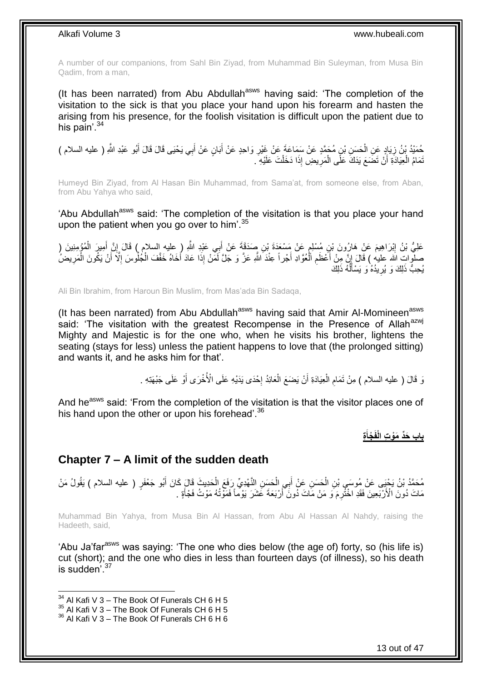A number of our companions, from Sahl Bin Ziyad, from Muhammad Bin Suleyman, from Musa Bin Qadim, from a man,

(It has been narrated) from Abu Abdullah<sup>asws</sup> having said: 'The completion of the visitation to the sick is that you place your hand upon his forearm and hasten the arising from his presence, for the foolish visitation is difficult upon the patient due to his pain'. $34$ 

َ حُمَنِدُ بْنُ زِيَادٍ عَنِ الْحَسَنِ بْنٍ مُحَمَّدٍ عَنْ سَمَاعَةَ عَنْ غَيْرِ وَاحِدٍ عَنْ أَبَانٍ عَنْ أَبِي يَحْيَى قَالَ قَالَ أَبُو عَبْدِ اللَّهِ ( عليه السلام ) َ **∶** ْ **∶** َ نَمَامُ الْعِيَادَةِ أَنْ تَضَعَ يَدَكَ عَلَى الْمَرِيضِ إِذَا دَخَلْتَ عَلَيْهِ ۖ ـ ْ **∶** ْ ر<br>ا ْ

Humeyd Bin Ziyad, from Al Hasan Bin Muhammad, from Sama'at, from someone else, from Aban, from Abu Yahya who said,

'Abu Abdullah<sup>asws</sup> said: 'The completion of the visitation is that you place your hand upon the patient when you go over to him'.<sup>35</sup>

عَلِيُّ بْنُ إِبْرَاهِيمَ عَنْ هَارُونَ بْنِ مُسْلِمٍ عَنْ مَسْعَدَةَ بْنِ صَدَقَةَ عَنْ أَبِي عَبْدِ اللَّهِ ( عليه السلام ) قَالَ إِنَّ أَمِيرَ الْمُؤْمِنِينَ ( ֧֚֚֝֝ ِ ْ َ ِ صلُّوات الله عليه ) قَالَ إِنَّ مِنْ أَعْظَمِ الْعُوَّادِ أَجْراً عِنْدَ اللَّهِ عَزَّ وَ جَلَّ لَمَنْ إِذَا عَادَ أَخَاهُ خَفَّفَ الْجُلْوسَ إِلَّا أَنْ يَكُونَ الْمَرِيضُ<sup>ُ</sup> َ َ ْ ِ َ ْ َ ِ ْ يُحِبُّ ذَلِكَ وَ يُرِيدُهُٚ وَ يَسْأَلُّهُ ذَلِكَ  $\overline{a}$ َ ِ

Ali Bin Ibrahim, from Haroun Bin Muslim, from Mas'ada Bin Sadaqa,

(It has been narrated) from Abu Abdullah<sup>asws</sup> having said that Amir Al-Momineen<sup>asws</sup> said: 'The visitation with the greatest Recompense in the Presence of Allah<sup>azwj</sup> Mighty and Majestic is for the one who, when he visits his brother, lightens the seating (stays for less) unless the patient happens to love that (the prolonged sitting) and wants it, and he asks him for that'.

> نَ قَالَ ( عليه السلام ) مِنْ تَمَام الْعِيَادَةِ أَنْ يَضَعَ الْعَائِدُ إِحْدَى يَدَيْهِ عَلَى الْأُخْرَى أَوْ عَلَى جَبْهَتِهِ . َ ْ ِ َ יֲ<br>י ْ

And he<sup>asws</sup> said: 'From the completion of the visitation is that the visitor places one of his hand upon the other or upon his forehead'.<sup>36</sup>

> **ِة ْجأ باب َحِّد َمْو ِت الْفَ َ**

### <span id="page-12-0"></span>**Chapter 7 – A limit of the sudden death**

مُحَمَّدُ بْنُ يَحْيِي عَنْ مُوسَى بْنِ الْحَسَنِ عَنْ أَبِي الْحَسَنِ النَّهْدِيِّ رَفَعَ الْحَدِيثَ قَالَ كَانَ أَبُو جَعْفَرٍ ( عليه السلام ) يَقُولُ مَنْ َ ْ ْ َ ْ مَاتَ دُونَ الْأَرْبَعِينَ فَقَدِ اخْثُرِمَ ۖ وَ مَنْ مَاتَ دُونَ ۖ أَرْبَعَةَ عَشَرَ يَوْماً فَمَوْتُهُ مَوْتُ فَجْأَةٍ . اُ َ

Muhammad Bin Yahya, from Musa Bin Al Hassan, from Abu Al Hassan Al Nahdy, raising the Hadeeth, said,

'Abu Ja'far<sup>asws</sup> was saying: 'The one who dies below (the age of) forty, so (his life is) cut (short); and the one who dies in less than fourteen days (of illness), so his death is sudden<sup>'37</sup>

 $34$  Al Kafi V 3 – The Book Of Funerals CH 6 H 5

 $35$  Al Kafi V 3 – The Book Of Funerals CH 6 H 5

<sup>&</sup>lt;sup>36</sup> Al Kafi V 3 – The Book Of Funerals CH 6 H 6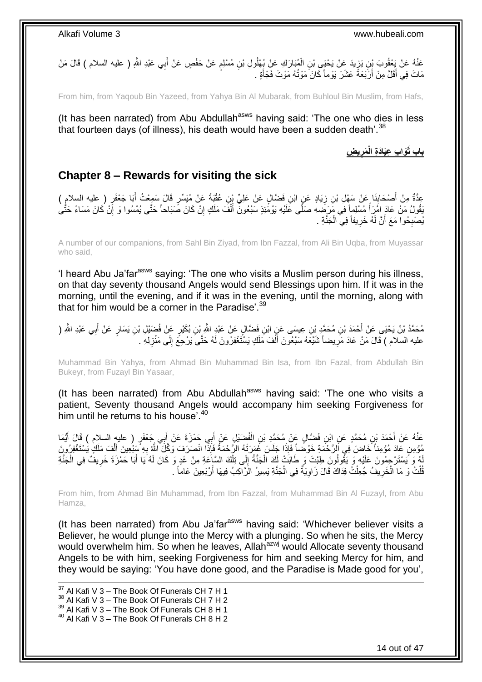### عَذْهُ عَنْ يَعْقُوبَ بِنِ يَزِيدَ عَنْ يَحْيَى بْنِ الْمُبَارَكِ عَنْ بُعْلُولِ بْنِ مُسْلِمٍ عَنْ حَفْصٍ عَنْ أَبِي عَبْدِ اللّهِ ( عليه السلام ) قَالَ مَنْ َ ֧֖֖֧֦֧֧֧֧֧֧ׅ֧֛ׅ֚֚֚֚֚֚֚֚֚֚֚֚֚֚֚֚֚֚֓֝֬֘֝֘֝֘֝֬֜֡֓֜֡֓֜֡֓֡֜֡֜֓֡֜֡֡֬֜֓֡֬ ْ ِ مَاتَ فِي أَقَلَّ مِنْ أَرْبَعَةً عَشَرَ يَوْماً كَانَ مَوْتُهُ مَوْتَ فَجْأَةٍ . َ َ

From him, from Yaqoub Bin Yazeed, from Yahya Bin Al Mubarak, from Buhloul Bin Muslim, from Hafs,

(It has been narrated) from Abu Abdullah<sup>asws</sup> having said: 'The one who dies in less that fourteen days (of illness), his death would have been a sudden death'.<sup>38</sup>

> **ي ِض َمر َوا ِب ِعَياَدِة الْ باب ثَ ِ**

## <span id="page-13-0"></span>**Chapter 8 – Rewards for visiting the sick**

عِدَّةٌ مِنْ أَصْحَابِذَا عَنْ سَهْلِ بْنِ زِيَادٍ عَنٍ ابْنِ فَضَّالٍ عَنْ عَلِيِّ بْنِ عُقْبَةَ عَنْ مُيَسِّرٍ قَالَ سَمِِعْتُ أَبَا جَعْفَرٍ ( عليه السلام ) ِ ِ َ َنْقُولُ مَنْ عَادَ امَّرَأَ مُسْلِماً فِي مَرَضِهِ صَلَّى عَلَيْهِ يَوْمَُئِذٍ سَبْعُونَ أَلْفَ مَلَكٍ إِنْ كَانَ صَبَاحاً حَتَّى يُمْسُوا وَ إِنْ كَانَ مَسَاءً حَتَّى ِ ْ َ ً ِ يُصْبِحُوا مَعَ أَنَّ لَهُ خَرِيفاً فِي الْجَنَّةِ . ِ **∶** ْ

A number of our companions, from Sahl Bin Ziyad, from Ibn Fazzal, from Ali Bin Uqba, from Muyassar who said,

'I heard Abu Ja'farasws saying: 'The one who visits a Muslim person during his illness, on that day seventy thousand Angels would send Blessings upon him. If it was in the morning, until the evening, and if it was in the evening, until the morning, along with that for him would be a corner in the Paradise'.<sup>39</sup>

مُحَمَّدُ بْنُ يَحْيَى عَنْ أَحْمَدَ بْنِ مُحَمَّدٍ بْنِ عِيسَى عَنِ ابْنِ فَضَّالٍ عَنْ عَبْدِ اللَّهِ بِّن بُكَيْرٍ عَنْ فُضَيْلِ بْنِ يَسَارٍ عَنْ أَبِي عَبْدِ اللَّهِ ( َ عليه السلام ) قَالَ مَنْ عَادَ مَرِيضاً شَيَّعَهُ سَبْعُونَ أَلْفَ مَلَكٍ يَسْتَغْفِرُونَ لَهُ حَتَّىَ يَرْجِعَ إِلَى مَنْزِلِهِ . ِ ِ ْ َ **∶** 

Muhammad Bin Yahya, from Ahmad Bin Muhammad Bin Isa, from Ibn Fazal, from Abdullah Bin Bukeyr, from Fuzayl Bin Yasaar,

(It has been narrated) from Abu Abdullah $^{asws}$  having said: 'The one who visits a patient, Seventy thousand Angels would accompany him seeking Forgiveness for him until he returns to his house<sup>'40</sup>

عَذْهُ عَنْ أَحْمَدَ بْنِ مُحَمَّدٍ عَنِ ابْنِ فَضَّالٍ عَنْ مُحَمَّدِ بْنِ الْفُضَيْلِ عَنْ أَبِي حَمْزَةَ عَنْ أَبِي جَعْفَرٍ ( عليه السلام ) قَالَ أَيُّمَا<br>. َ َ ْ َ َ ∣اٍ مُؤْمِنٍ عَادَ مُؤْمِناً خَاضَ فِي اَلرَّحْمَةِ خَوْضاً فَإِذَا جَلَسَ غَمَرَتْهُ الرَّحْمَةُ فَإِذَا انْصَرَفَ وَكَّلَّ اللَّهُ بِهِ سَنُعِينَ أَلْفَ مَلَكٍ يُسْتَغْفِرُونَ<br>وَمَدَّنَ يَسَبَّدُ اللَّهُ بِهِ الرَّحْمَةِ خَو ْ َ ِ لَهُ وَ يَسْتَرْجِمُونَ عَلَيْهِ وَ يَقُولُونَ طِبْتَ وَ طَابَتْ لَكَ الْجَنَّةُ إِلَى تِلْكَ السَّاعَةِ مِنْ غَدٍ وَ كَانَ لَهُ يَا أَبَا حَمْزَةَ خَرِيفٌ فِي الْجَنَّةِ ْ  $\frac{1}{2}$ ْ ْ ِ َ قُلْتُ وَ مَا الْخَرِيفُ جُعِلْتُ فِدَاكَ قَالَ زَاوِيَةٌ فِي الْجَنَّةِ يَسِيرُ الزَّاكِبُ فِيهَا أَرْبَعِينَ عَاماً . ْ َ ْ ِ ْ ِ ْ

From him, from Ahmad Bin Muhammad, from Ibn Fazzal, from Muhammad Bin Al Fuzayl, from Abu Hamza,

(It has been narrated) from Abu Ja'far $a<sup>asws</sup>$  having said: 'Whichever believer visits a Believer, he would plunge into the Mercy with a plunging. So when he sits, the Mercy would overwhelm him. So when he leaves, Allah<sup>azwj</sup> would Allocate seventy thousand Angels to be with him, seeking Forgiveness for him and seeking Mercy for him, and they would be saying: 'You have done good, and the Paradise is Made good for you',

1

 $37$  Al Kafi V 3 – The Book Of Funerals CH 7 H 1 <sup>38</sup> Al Kafi V 3 – The Book Of Funerals CH 7 H 2  $39$  Al Kafi V 3 – The Book Of Funerals CH 8 H 1 <sup>40</sup> Al Kafi V 3 – The Book Of Funerals CH 8 H 2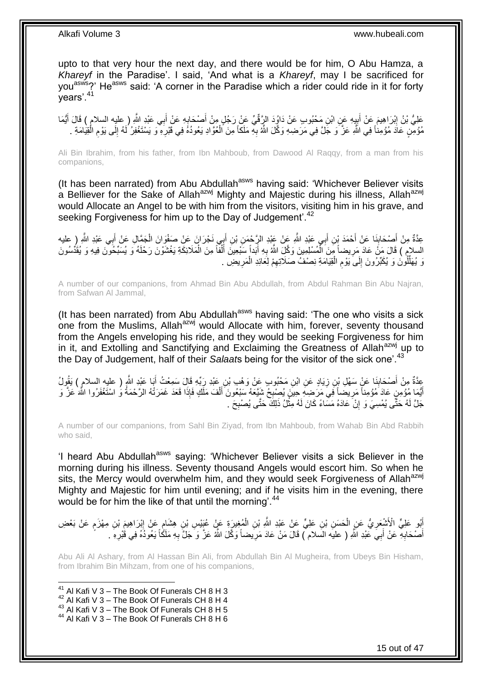upto to that very hour the next day, and there would be for him, O Abu Hamza, a *Khareyf* in the Paradise'. I said, 'And what is a *Khareyf*, may I be sacrificed for you<sup>asws</sup>?' He<sup>asws</sup> said: 'A corner in the Paradise which a rider could ride in it for forty years'.<sup>41</sup>

عَلِيُّ بْنُ إِبْرَاهِيمَ عَنْ أَيِبِهِ عَنِ ابْنِ مَحْبُوبِ عَنْ دَاوُدَ الرَّقِّيِّ عَنْ رَجُلٍ مِنْ أَصْحَابِهِ عَنْ أَبِي عَبْدِ اللَّهِ ( عليه السلام ) قَالَ أَيُّمَا َ ِ َ ِ َ ׀<br>ׇׇ֝֓֝֓֝֝֝֝֝֝֝֝֝֝֝֝֝֝֝֝֝֝֝֝֝֝֝֝֝֝֝֝֝֝֝ َ مُؤْمِنٍ عَادَ مُؤْمِناً فِي اللَّهِ عَزَّ وَ جَلَّ فِي مَرَضِهِ وَكَّلَ اللَّهُ بِهِ مَلَكاً مِنَ الْعُوَّادِ يَعُودُهُ فِي قَبْرِهِ وَ يَسْتَغْفِرُ لَمُه إِلَى يَوْمِ الْقِيَامَةِ . ْ ِ ْ ِ ِ ِ

Ali Bin Ibrahim, from his father, from Ibn Mahboub, from Dawood Al Raqqy, from a man from his companions,

(It has been narrated) from Abu Abdullah<sup>asws</sup> having said: 'Whichever Believer visits a Belliever for the Sake of Allah<sup>azwj</sup> Mighty and Majestic during his illness, Allah<sup>azwj</sup> would Allocate an Angel to be with him from the visitors, visiting him in his grave, and seeking Forgiveness for him up to the Day of Judgement'.<sup>42</sup>

عِدَّةٌ مِنْ أَصْحَابِنَا عَنْ أَحْمَدَ بْنِ أَبِي عَبْدِ اللَّهِ عَنْ عَبْدِ الرَّحْمَنِ بْنِ أَبِي نَجْرَانَ عَنْ صَفْوَانَ الْجَمَّالِ عَنْ أَبِي عَبْدِ اللَّهِ (ِ عليه َ َ َ **∣** َ ْ السلام ) قَالَ مَنَّ عَادَ مَرِيضاً مِنَ الْمُسْلِمِينَ وَكَّلِ اللَّهُ بِهِ أَبَداً سَبْعِينَ أَلْفاً مِنَ الْمَلَائِكَةِ يَغْشَوْنَ رَحْلَهُ وَ يُسَبِّحُونَ فِيهِ وَ يُقَدِّسُونَ َ ِ ْ ِ ْ ْ َ وَ يُهَلِّلُونَ وَ يُكَبِّرُونَ إِلَىَ يَوْمِ الْقِيَامَةِ نِصْفُ صَلَاتِهِمْ لِعَائِدِ الْمَرِيضِ . ِ ْ ِ ْ ِ  $\frac{1}{2}$ ِّ

A number of our companions, from Ahmad Bin Abu Abdullah, from Abdul Rahman Bin Abu Najran, from Safwan Al Jammal,

(It has been narrated) from Abu Abdullah<sup>asws</sup> having said: 'The one who visits a sick one from the Muslims, Allah<sup>azwj</sup> would Allocate with him, forever, seventy thousand from the Angels enveloping his ride, and they would be seeking Forgiveness for him in it, and Extolling and Sanctifying and Exclaiming the Greatness of Allah<sup>azwj</sup> up to the Day of Judgement, half of their *Salaat*s being for the visitor of the sick one'.<sup>43</sup>

عِدَّةٌ مِنْ أَصْحَابِنَا عَنْ سَهْلِ بْنِ زِيَادٍ عَنِ ابْنِ مَحْبُوبٍ عَنْ وَهْبِ بْنِ عَبْدِ رَبِّهِ قَالَ سَمِعْتُ أَبَا عَبْدِ اللَّهِ ( عليه السلام ) يَقُولُ<br>\* َ **∶** ِ َ َ أَيُّمَا مُؤْمِنٍ عَادَ مُؤْمِناً مَرِيضَاً فِي مَرَضِهِ حِينَ يُصِبْحُ شَيَّعَهُ سَبْعُونَ أَلْفَ مَلَّكٍ فَإِذَا قَعَدَ غَمَرَتْهُ الرَّحْمَةُ وُ اسْتَغْفَرُوا اللَّهَ عَزَّ وَ<br>يَهْمَمَ أَنَّهُمْ أَنَّهُمْ وَفَائِدًا مِ ِ ِ ْ جَلَّ لَهُ حَتَّى يُمْسِيَ وَ إِنْ عَادَهُ مَسَاءً كَانَ لَهُ مِثْلُ ذَلِكَ حَتَّى يُصْبِحَ . ِ **ٔ** ِ

A number of our companions, from Sahl Bin Ziyad, from Ibn Mahboub, from Wahab Bin Abd Rabbih who said,

'I heard Abu Abdullah<sup>asws</sup> saying: 'Whichever Believer visits a sick Believer in the morning during his illness. Seventy thousand Angels would escort him. So when he sits, the Mercy would overwhelm him, and they would seek Forgiveness of Allah<sup>azwj</sup> Mighty and Majestic for him until evening; and if he visits him in the evening, there would be for him the like of that until the morning'.<sup>44</sup>

أَبُو عَلِيٍّ الْأَشْعَرِيُّ عَنِ الْحَسَنِ بْنِ عَلِيٍّ عَنْ عَبْدِ اللَّهِ بْنِ الْمُغِيرِةِ عَنٍْ عُبْنِسِ بْنِ هِشَامٍ عَنْ إِبْرَاهِيمَ بْنِ مِهْزَمٍ عَنْ بَعْضِ ֖֦֦֦֦֦֚֩֘֝֝֝֝֝֝ ْ ْ ِ ֧֖֖֖֖֧֧֧ׅ֧֧ׅ֧֚֚֚֚֚֚֚֚֚֓֝֝֬֝֟֓֝֓֝֓֝֓֜֟֓֟֓֟֓֝֬֜֝ ِ أَصْحَابِهِ عَنْ أَبِيَ عَبْدِ اللَّهِ ( عليَه السلام ) قَالَ مَنْ عَادَ مَرِيضاً وَكَّلَ اللَّهُ عَزَّ وَ جَلَّ بِهِ مَلَكًاً يَعُوذُهُ فِي قَبْرِهِ . ِ َ **∶** َ ِ ِ

Abu Ali Al Ashary, from Al Hassan Bin Ali, from Abdullah Bin Al Mugheira, from Ubeys Bin Hisham, from Ibrahim Bin Mihzam, from one of his companions,

 $41$  Al Kafi V 3 – The Book Of Funerals CH 8 H 3

- $42$  Al Kafi V 3 The Book Of Funerals CH 8 H 4
- <sup>43</sup> Al Kafi V 3 The Book Of Funerals CH 8 H 5

<sup>44</sup> Al Kafi V 3 – The Book Of Funerals CH 8 H 6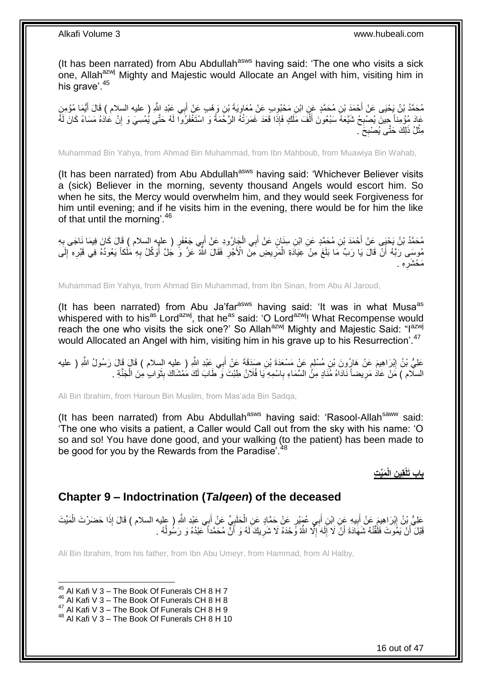(It has been narrated) from Abu Abdullah<sup>asws</sup> having said: 'The one who visits a sick one, Allah<sup>azwj</sup> Mighty and Majestic would Allocate an Angel with him, visiting him in his grave<sup>'.45</sup>

مُحَمَّدُ بْنُ يَحْيَى عَنْ أَحْمَدَ بْنِ مُحَمَّدٍ عَنِ ابْنِ مَحْبُوِبِ عَنْ مُعَاوِيَةَ بْنِ وَهْبِ عَنْ أَبِي عَبْدِ اللَّهِ ( عليه السلام ) قَالَ أَيُّمَا مُؤْمِنٍ<br>محمد بن يَحْيَى عَنْ أَحْمَدَ بْنِ مُحَمَّدٍ عَنِ ابْ َ ֦֧֦֦֝ َ عَادَ مُؤْمِناً حِينَ يُصْبِحُ شَيَّعَهُ سَبْعُونَ أَلْفَ مَلَكٍ فَإِذَا قَعَدَ غَمَرَتْهُ الرَّحْمَةُ وَ اسْتَغْفَرُوا لَهُ حَتَّى يُمْسِيَ وَ إِنْ عَادَهُ مَسَاءً كَانَ لَهُ<br>ثنوت الله عند ْ َ **∶** ِ مِثْلُ ذَلِكَ حَتَّى يُصْبِحَ ۖ **∶** ْ

Muhammad Bin Yahya, from Ahmad Bin Muhammad, from Ibn Mahboub, from Muawiya Bin Wahab,

(It has been narrated) from Abu Abdullah<sup>asws</sup> having said: 'Whichever Believer visits a (sick) Believer in the morning, seventy thousand Angels would escort him. So when he sits, the Mercy would overwhelm him, and they would seek Forgiveness for him until evening; and if he visits him in the evening, there would be for him the like of that until the morning'.<sup>46</sup>

يُحَمَّدُ بْنُ يَحْيَى عَنْ أَحْمَدَ بْنِ مُحَمَّدٍ عَنِ ابْنِ سِنَانٍ عَنْ أَبِي الْجَارُودِ عَنْ أَبِي جَعْفَرٍ ( عِلْبٍ السلام ) قَالَ كَانَ فِيمَا نَاجَى بِهِ **∶** َ ْ َ مُوسَى رَبَّهُ أَنَّ قَالَ يَا رَبِّ مَا بَلَغَ مِنْ عِيَادَةِ الْمَرِّيضِ مِنَّ الْأُجْرِ فَقَالَ اللَّهُ عَزَّ وَّ جُلَّ أُوَكِّلُ بِهِ مَلَكاً يَعُودُهُ فِي قَبْرِهِ إِلَى í ِ ِ ْ ز<br>ا ِ لَ ِ ِ ِه . ِ مَعْشَرٍ،

Muhammad Bin Yahya, from Ahmad Bin Muhammad, from Ibn Sinan, from Abu Al Jaroud,

(It has been narrated) from Abu Ja'far $a<sup>asws</sup>$  having said: 'It was in what Musa $a<sup>as</sup>$ whispered with to his<sup>as</sup> Lord<sup>azwj</sup>, that he<sup>as</sup> said: 'O Lord<sup>azwj</sup>! What Recompense would reach the one who visits the sick one?' So Allah<sup>azwj</sup> Mighty and Majestic Said: "I<sup>azwj</sup> would Allocated an Angel with him, visiting him in his grave up to his Resurrection'.<sup>47</sup>

عَلِيُّ بْنُ اِبْرَاهِيمَ عَنْ هَارُونَ بْنِ مُسْلِمٍ عَنْ مَسْعَدَةَ بْنِ صَدَقَةَ عَنْ أَبِي عِنْدِ اللَّهِ ( عليه السلام ) قَالَ قَالَ رَسُولُ اللَّهِ ( عليه ֧֧֓֝֝֝֝֟֓֝ ِ َ السلّام ) مَنْ عَادُ مَرِيضاً نَادَاهُ مُنَادٍ مِنً السَّمَاءِ بِاسْمِهِ يَا فُلَانُ طِبْتَ وَ طَابَ لَكَ مَمْشَاكَ بِثَوَابٍ مِنَ الْجَنَّةِ . َ ِ **∶ ∶** ْ

Ali Bin Ibrahim, from Haroun Bin Muslim, from Mas'ada Bin Sadqa,

(It has been narrated) from Abu Abdullah $^{asws}$  having said: 'Rasool-Allah $^{saww}$  said: 'The one who visits a patient, a Caller would Call out from the sky with his name: 'O so and so! You have done good, and your walking (to the patient) has been made to be good for you by the Rewards from the Paradise'.<sup>48</sup>

## **َمِّي ِت ِن الْ باب َتلْقِي**

### <span id="page-15-0"></span>**Chapter 9 – Indoctrination (***Talqeen***) of the deceased**

عَلِيُّ بِنُ إِبْرَاهِيمَ عَنْ أَبِيهِ عَنِ ابْنِ أَبِي عُهَنْدٍ عَنْ حَمَّادٍ عَنِ الْحَلَبِيِّ عَنْ أَبِي عَبْدِ اللَّهِ ( عليه السلام ) قَالَ إِذَا حَضَرْتَ الْمَيِّتَ َ ្ត្ ْ َ **!** َ ∣l<br>∶ ْ قَبْلَ أَنْ يَمُوتَ فَلَقَّنْهُ شَهَادَةَ أَنْ لَا إِلَهَ إِلَّا اللَّهُ وَّحْدَهُ لَا شَرِيكَ لَهُ وَ أَنَّ مُحَمَّداً عَبْدُهُ وَ رَسُولُهُ . اُ ِ ِ لَ י<br>י َ َ  $\overline{a}$ 

Ali Bin Ibrahim, from his father, from Ibn Abu Umeyr, from Hammad, from Al Halby,

 $45$  Al Kafi V 3 – The Book Of Funerals CH 8 H 7

<sup>46</sup> Al Kafi V 3 – The Book Of Funerals CH 8 H 8

<sup>&</sup>lt;sup>47</sup> Al Kafi V 3 – The Book Of Funerals CH 8 H 9

<sup>48</sup> Al Kafi V 3 – The Book Of Funerals CH 8 H 10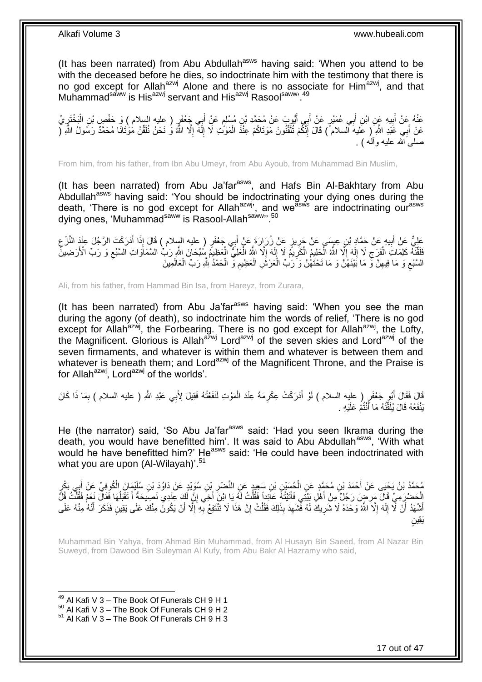(It has been narrated) from Abu Abdullah<sup>asws</sup> having said: 'When you attend to be with the deceased before he dies, so indoctrinate him with the testimony that there is no god except for Allah<sup>azwj</sup> Alone and there is no associate for Him<sup>azwj</sup>, and that Muhammad<sup>saww</sup> is His<sup>azwj</sup> servant and His<sup>azwj</sup> Rasool<sup>saww, 49</sup>

عَنْهُ عَنْ أَبِيهِ عَنِ ابْنِ أَبِي عُمَيْرٍ عَنْ أَبِي أَيُّوبَ عَنْ مُحَمَّدِ بْنِ مُسْلِمٍ عَنْ أَبِي جَعْفَرٍ ( عليه السلام ) وَ حَفْصٍ بْنِ الْبَخْتَرِيِّ<br>- يَجْمَعُونِ الْبَيْسِ عَنِ ابْنِ أَبِي عُمَيْرٍ عَنْ أَبِي َ ٍ َ َ ِ َ ِ ْ عَنْ أَبِي عََّدِ اللَّهِ ۖ( عَليه السلام ) قَالَ إِنَّكُمْ تُلَقَّنُونَ مَوْتَاكُمْ عِنْدَ الْمَوْنُتِ لَا إِلَهَ إِلَّا اللَّهُ وَ نَحْنُ نُلَقِّنُ مَوْتَانَا مُحَمَّدٌ رَسُولُ اللَّهِ ( ْ لَ ِ َ لَ ِ لَ ِ صلبيَ الله عليه وألّه ) .

From him, from his father, from Ibn Abu Umeyr, from Abu Ayoub, from Muhammad Bin Muslim,

(It has been narrated) from Abu Ja'far<sup>asws</sup>, and Hafs Bin Al-Bakhtary from Abu Abdullah<sup>asws</sup> having said: 'You should be indoctrinating your dying ones during the death, 'There is no god except for Allah<sup>azwj</sup>', and we<sup>asws</sup> are indoctrinating our<sup>asws</sup> dying ones, 'Muhammad<sup>saww</sup> is Rasool-Allah<sup>saww</sup>". <sup>50</sup>

عَلِيٌّ عَنْ أَبِيهِ عَنْ حَمَّادٍ بْنِ عِسِمَى عَنْ جَرِيزٍ عَنْ زُرَارَةَ عَنْ أَبِي جَعْفَرٍ ( عليه السلام ) قَالَ إِذَا أَدْرَكْتَ الرَّجُلَ عِنْدَ النَّزْعِ َ َ **∶ !** َ ِ فَلَقَّنَّهُ كَلِمَاتِ الْفَرَجِ لَا إِلَهَ إِلَّا اللَّهُ الْكَلِيمُ الْكَرِيمُ لَا إِلَهَ إِلَّا اللَّهُ الْعَلِيُّ الْعَظِيمُ الْمَطِيَّ الْمَطِيَّةُ الْمَطِيَّةُ الْمَطِيَّةُ الْمَطِيَّة ِ لَ  $\frac{1}{2}$ ِ ْ ْ ِ لَ ِ ِ ْ ِ ْ ْ السَّنْعِ وَ مَا فِيهِنَّ وَّ مَا بَيْنَهُٰنَّ وَ مَا تَحْتَهُٰنَّ وَ رَبِّ الْعَرْشِ الْعَظِيمِ وَ الْحَمْدُ لِلَّهِ رَبِّ الْعَالَمِينَ ْ ْ ِ ْ ْ ِ  $\zeta$ 

Ali, from his father, from Hammad Bin Isa, from Hareyz, from Zurara,

(It has been narrated) from Abu Ja'far $a<sup>asws</sup>$  having said: 'When you see the man during the agony (of death), so indoctrinate him the words of relief, 'There is no god except for Allah<sup>azwj</sup>, the Forbearing. There is no god except for Allah<sup>azwj</sup>, the Lofty, the Magnificent. Glorious is Allah<sup>azwj</sup> Lord<sup>azwj</sup> of the seven skies and Lord<sup>azwj</sup> of the seven firmaments, and whatever is within them and whatever is between them and whatever is beneath them; and Lord<sup>azwj</sup> of the Magnificent Throne, and the Praise is for Allah<sup>azwj</sup>, Lord<sup>azwj</sup> of the worlds'.

قَالَ فَقَالَ أَبُو جَعْفَو ( عليه السلام ) لَوْ أَدْرَكْتُ عِكْرِمَةَ عِنْدَ الْمَوْتِ لَنَفَعْتُهُ فَقِيلَ لِأَبِي عَبْدِ اللَّهِ ( عليه السلام ) بِمَا ذَا كَانَ<br>وَمَا فَقَالَ الْمَثَلُونَ الْمَرْضَى ْ **∶** َ َ ِ يَنْفَعُهُ قَالَ يُلَقِّنُهُ مَا أَنْتُمْ عَلَيْهِ . َ لَ

He (the narrator) said, 'So Abu Ja'far<sup>asws</sup> said: 'Had you seen Ikrama during the death, you would have benefitted him'. It was said to Abu Abdullah<sup>asws</sup>, 'With what would he have benefitted him?' He<sup>asws</sup> said: 'He could have been indoctrinated with what you are upon (Al-Wilayah)'.<sup>51</sup>

مُحَمَّدُ بْنُ يَحْيَى عَنْ أَحْمَدَ بْنِ مُحَمَّدٍ عَنِ الْحُسَيْنِ بْنِ سَعِيدٍ عَنِ النَّصْرِ بْنِ سُوَيْدٍ عَنْ دَاوُدَ بْنِ سُلَيْمَانَ الْكُوفِيِّ عَنْ أَبِي بَكْرِ<br>مُحَمَّدُ بْنُ يَحْيَى عَنْ أَيْضَ بِيَ مَعَمَّدٍ ع **∶** ْ َ َ ِ الْحَضْرِ مِّيِّ قَالَ مَرِ مِن رَجُلٌ مِنْ أَهْلِ بَيْتِي فَأَتَيْتُهُ عَاَّذِا فَقُلْتُ لَّهُ يَا ابْنَ أَخِي إِنَّ أَكِّ عِنْدِي نَصِيْحَةً أَ تَقْبَلُهَا فَقَالٌ نَعَمْ فَقُلْتُ قُلُّ ْ  $\overline{a}$ َ ِ َ ْ َ ْ أَشْهَدُ أَنْ لَّا إِلَهَ إِلَّا اللَّهُ وَحْدَهُ لَا شَرِيكَ لَهُ فَّشَهِدَ بِذَلِكَ فَقُلْتُ إِنَّ هَذَا لَا تَّنْتَفِعُ بِّهِ إِلَّا أَنْ يَكُونَ مِنْكَ عَلَى يَقِينٍ فَذَكَرَ أَنَّهُ مِنْهُ عَلَى ِ ْ ِ ِ ِ لَ ∣<br>∶ ۔<br>ا َ َ ِ ِ ٍن َيِقي

Muhammad Bin Yahya, from Ahmad Bin Muhammad, from Al Husayn Bin Saeed, from Al Nazar Bin Suweyd, from Dawood Bin Suleyman Al Kufy, from Abu Bakr Al Hazramy who said,

 $49$  Al Kafi V 3 – The Book Of Funerals CH 9 H 1

 $50$  Al Kafi V  $3 -$  The Book Of Funerals CH 9 H 2

 $51$  Al Kafi V 3 – The Book Of Funerals CH 9 H 3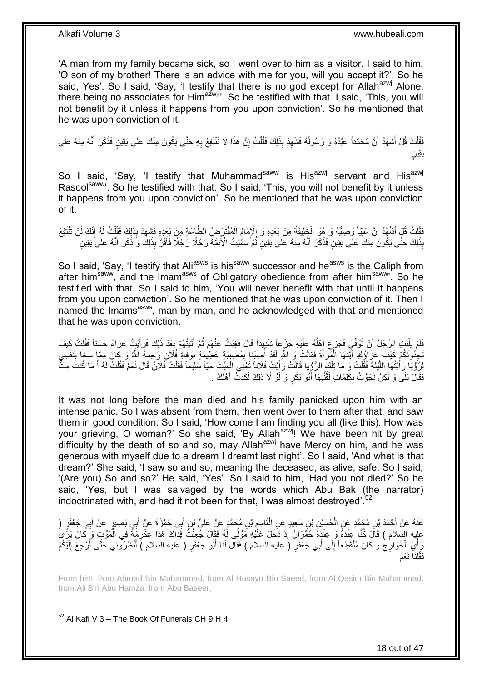'A man from my family became sick, so I went over to him as a visitor. I said to him, 'O son of my brother! There is an advice with me for you, will you accept it?'. So he said, Yes'. So I said, 'Say, 'I testify that there is no god except for Allah<sup>azwj</sup> Alone, there being no associates for Him<sup>azwj</sup><sup>1</sup>. So he testified with that. I said, 'This, you will not benefit by it unless it happens from you upon conviction'. So he mentioned that he was upon conviction of it.

فَقُلْتُ قُلْ أَشْهَدُ أَنَّ مُحَمَّداً عَبْدُهُ وَ رَسُولُهُ فَشَهِدَ بِذَلِكَ فَقُلْتُ إِنَّ هَذَا لَا تَنْتَفِعُ بِهِ حَتَّى يَكُونَ مِنْكَ عَلَى يَقِينٍ فَذَكَرَ أَنَّهُ مِنْهُ عَلَى **∶** ِ ْ ِ  $\ddot{\phantom{0}}$ َ َ .<br>ا َ ٍن َيِقي

So I said, 'Say, 'I testify that Muhammad<sup>saww</sup> is His<sup>azwj</sup> servant and His<sup>azwj</sup> Rasoolsaww'. So he testified with that. So I said, 'This, you will not benefit by it unless it happens from you upon conviction'. So he mentioned that he was upon conviction of it.

ْ فَقُّلْتُ قُلْ أَشْهَدُ أَنَّ عَلِيّاً وَصِيُّهُ وَ هُوَ الْخَلِيفَةُ مِنْ بَعْدِهِ وَ الْإِمَامُ الْمُفْتَرَضُ الطَّاعَةِ مِنْ بَعْدِهِ فَشَهِدَ بِذَلِكَ فَقُلْتُ لَهُ إِنَّكَ لَنْ تَنْتَفِعَ<br>يَذِينَ يَقُونُ الْمُسْتَفِع َ ْ ِ ْ ِ ْ بِذَلِكَ حَتَّى يَكُونَ مِنْكَ عَلَى يَقِينٍ فَذَكَرَ أَنَّهُ مِنْهُ عَلَى يَقِينٍ ثُمَّ سَمُّيْتُ الْأَئِمَّةَ رَجُلًا رَجُلًا فَأَقَرَّ بِذَلِكَ وَ ذَكَرَ أَنَّهُ عَلَى يَقِينٍ  $\ddot{\phantom{0}}$ َ َ َ

So I said, 'Say, 'I testify that Ali<sup>asws</sup> is his<sup>saww</sup> successor and he<sup>asws</sup> is the Caliph from after him<sup>saww</sup>, and the Imam<sup>asws</sup> of Obligatory obedience from after him<sup>saww</sup>'. So he testified with that. So I said to him, 'You will never benefit with that until it happens from you upon conviction'. So he mentioned that he was upon conviction of it. Then I named the Imams<sup>asws</sup>, man by man, and he acknowledged with that and mentioned that he was upon conviction.

فَلَمْ يَلْبَثِ الرَّجُلُ أَنْ تُوُفِّيَ فَجَزِعَ أَهْلُهُ عَلَيْهِ جَزَعاً شَدِيداً قَالَ فَغِبْتُ عَنْهُمْ ثُمَّ أَتَيْتُهُمْ بَعْدَ ذَلِكَ فَرَأَيْتٍ عَرَاءً حَسَناً فَقُلْتُ كَيْفَ َ  $\ddot{\phantom{0}}$ ĺ َ ِ :<br>ا ْ َ َّجِزُونَكُمْ كَيْفَ عَزَاؤُكِ أَيَّتُهَا الْمَرْأَةُ فَقَالَتْ وَ اللَّهِ لَقَدْ أُصِيْنَا بِمُصِيِبَةٍ عَظِيمَةٍ بِوَفَاةٍ فُلَانٍ رَحِمَهُ اللَّهُ وَ كَانَ مِمَّا سَخَا بِنَفْسِي َ ْ َ ِ ِ ِ ֧֪֖֖֧֧֧֧֧֧֧֧֧֧֧֧֧֧֚֚֚֚֚֚֚֚֚֚֚֚֚֚֚֚֚֚֚֚֞֝֝֝֝֘֝֝֝֓֝֓֝֓֝֓֝֓֝֬֞֝֓֝֓֝֬֝֬֝֬֝֬֝֝<br>֧֪֪֧֪֪֧֪֧֪֧֪֝֝֝֝ لِرُوْيَا رَأَيْتُهَا اللَّيْلَةَ فَقُلْتُ وَ مَا تِلْكَ الرُّوُيَا قَالَتْ رَأَيْتُ فُلَاناً تَعْنَى الْمِيِّتَ حَيّاً سَلِيماً فَقُلْتُ فَّلانًا مَعْنَهُ مِتًّ ْ َ ْ ْ َّ ْ َ ْ فَقَالَ بَلَى وَ لَكِنْ نَجَوْتُ بِكَلِمَاتٍ لَقَّنِّيهَا أَبُو بَكْرٍ وَ لَوْ لَا ذَلِكَ لَكِدْتُ أَهْلِكُ . َ َ ِ

It was not long before the man died and his family panicked upon him with an intense panic. So I was absent from them, then went over to them after that, and saw them in good condition. So I said, 'How come I am finding you all (like this). How was your grieving, O woman?' So she said, 'By Allah<sup>azwj</sup>! We have been hit by great difficulty by the death of so and so, may Allah<sup>azwj</sup> have Mercy on him, and he was generous with myself due to a dream I dreamt last night'. So I said, 'And what is that dream?' She said, 'I saw so and so, meaning the deceased, as alive, safe. So I said, '(Are you) So and so?' He said, 'Yes'. So I said to him, 'Had you not died?' So he said, 'Yes, but I was salvaged by the words which Abu Bak (the narrator) indoctrinated with, and had it not been for that. I was almost destroved'.<sup>52</sup>

عَنْهُ عَنْ أَحْمَدَ بْنِ مُجَمَّدٍ عَنِ الْحُسَيْنِ بْنِ سَعِيدٍ عَنِ الْقَاسِمِ بْنِ مُحَمَّدٍ عَنْ عَلِيٍّ بْنِ أَبِي حَمْزَةَ عَنْ أَبِي بَصِيرٍ عَنْ أَبِي جَعْفَرٍ ( ْ َ َ َ ِ ْ عليه السلام ) قَالَ كُنَّا عِنْدَهُ وَ عِنْدَهُ حُمْرَانُ إِذْ دَخَلَ عَلَيْهِ مَوْلَى لَهُ فَقَالَ جُعِلْتُ فَدَاكَ هَذَا عِكْرِمَةٌ فِي الْمَوْتِ وَ كَانَ يَرَىٰ<br>وَأَوْجَعَلْهُ مِنْ الْمَوْتِ وَ كَانَ يَوْدُ مِنْ الْمَو ْ **ٔ** ْ َ رَأْيَ الْخَوَارِجْ وَ كَانَ مُنْقَطِعاً إِلَى أَبِي جَعْفَرٍ (َ عليه السلام ) فَقَالَ لَنَا أَبُو جَعْفَرٍ ( عليه السلام )َ أَنْظِرُونِي حَتَّى أَرْجِعَ إِلَيْكُمْ َ َ  $\frac{1}{2}$ ِ ْ ال<br>أ لَ ِ َ نَا نَعَمْ ْ ل َفق

From him, from Ahmad Bin Muhammad, from Al Husayn Bin Saeed, from Al Qasim Bin Muhammad, from Ali Bin Abu Hamza, from Abu Baseer,

<sup>1</sup>  $52$  Al Kafi V 3 – The Book Of Funerals CH 9 H 4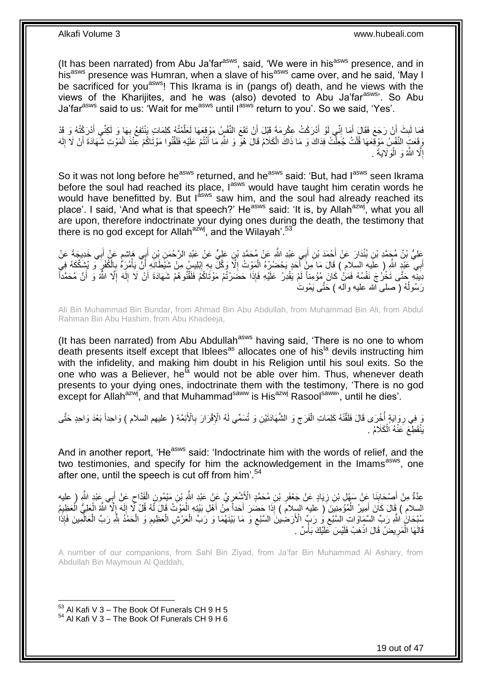(It has been narrated) from Abu Ja'far<sup>asws</sup>, said, 'We were in his<sup>asws</sup> presence, and in his<sup>asws</sup> presence was Humran, when a slave of his<sup>asws</sup> came over, and he said, 'May I be sacrificed for you<sup>asws</sup>! This Ikrama is in (pangs of) death, and he views with the views of the Kharijites, and he was (also) devoted to Abu Ja'far<sup>asws</sup>'. So Abu Ja'far<sup>asws</sup> said to us: 'Wait for me<sup>asws</sup> until l<sup>asws'</sup> return to you'. So we said, 'Yes'.

فَمَا لَبِثَ أَنْ رَجَعَ فَقَالَ أَمَا إِنِّي لَوْ أَدْرَكْتُ عِكْرِمَةَ قَبْلَ أَنْ تَقَعَ النَّفْسِ مَوْقِعَهَا لَعَلَّمْتُهُ كَلِمَاتٍ يَنْتَفِعُ بِهَا وَ لَكِنِّي أَدْرَكْتُهُ وَ قَد َّ َ ِ ֺ֧ׅ֧ׅ֧֧֚֚֚֚֚֚֚֚֚֚֚֚֚֚֚֚֚֝֝֬֓֡֡֡֡֡֡֡֬֓֡֟֓֡֟֓֡֟֓֡֡֡֬֓֡֡֬֩֓֓֬֩ َ َ **∣** َ ِ وَقَعَتِ النَّفْسُ مَوْقِعَها قُلْتُ جُعِلْتُ فِدَاكَ وَ مَا ذَاكَ الْكَلامُ قَالَ هُوّ وَ اللَّهِ مَا أَنْتُمْ عَلَيْهِ فَلَقَّنُوا مَوْتَاكُمْ عِنْدَ الْمَوْتِ شَهَادَةَ أَنْ لَا إِلَه ْ ْ لَ ِ َ ْ َ ْ إِلَّا اللَّهُ وَ الْمَوَلَايَةَ <sub>.</sub> ْ יִי<br>י

So it was not long before he<sup>asws</sup> returned, and he<sup>asws</sup> said: 'But, had l<sup>asws</sup> seen Ikrama before the soul had reached its place, laws would have taught him ceratin words he would have benefitted by. But l<sup>asws</sup> saw him, and the soul had already reached its place'. I said, 'And what is that speech?' He<sup>asws</sup> said: 'It is, by Allah<sup>azwj</sup>, what you all are upon, therefore indoctrinate your dying ones during the death, the testimony that there is no god except for Allah<sup>azwj</sup>, and the Wilayah'.<sup>53</sup>

ِعَلِيُّ بْنُ مُجَمَّدِ بْنِ بُنْدَارَ عَنْ أَحْمَدَ بْنِ أَبِي عَبْدِ اللَّهِ عَنْ مُحَمَّدٍ بْنِ عَلِيٍّ عَنْ عَبْدِ الرَّحْمَنِ بْنِ أَبِي هَاشِمٍ عَنْ أَبِي خَدِيجَةَ عَنْ َ َ ٍ َ ا<br>ا أَبِي عَبْدٍ اللَّهِ ( علَيهِ السلام ) قَالَ مَا مَنْ أَخَدٍ يَحْضُرُهُ الْمَوْتُ إِلَّا وَكَلَّ بِهِ إِبْلِيسُ مِنْ شَيْطَانِهِ أَنَّ يَأْمُرَهُ بِالْكُفْرِ ۖ وَ يُشْكِّكَهُ فِي ْ َ ્ત્રના<br>સ ِ ْ َ ِ ِ نِيَنِّهِ حَتَّى تَخْرُجَ نَفْسُهُ فَمَنْ كَانَ مُؤْمِناً لَمْ يَقْدِرْ عَلَيْهِ فَإِذَا حَضَرْتُمْ مَوْتَاكُمْ فَلَقَّلُوهُمْ شَهَادَةَ أَنْ لَا إِلَهَ إِلَّا اللَّهُ وَ أَنَّ مُحَمَّداً لَ ا<br>ا لَ ِ َ َ رَسُولُهُ ( صلـى الله عليه وألـه ) حَتَّـى يَمُوتَ į

Ali Bin Muhammad Bin Bundar, from Ahmad Bin Abu Abdullah, from Muhammad Bin Ali, from Abdul Rahman Bin Abu Hashim, from Abu Khadeeja,

(It has been narrated) from Abu Abdullah<sup>asws</sup> having said, 'There is no one to whom death presents itself except that Iblees<sup>as</sup> allocates one of his<sup>la</sup> devils instructing him with the infidelity, and making him doubt in his Religion until his soul exits. So the one who was a Believer, he<sup>la</sup> would not be able over him. Thus, whenever death presents to your dying ones, indoctrinate them with the testimony, 'There is no god except for Allah<sup>azwj</sup>, and that Muhammad<sup>saww</sup> is His<sup>azwj</sup> Rasool<sup>saww</sup>', until he dies'.

ةٍ فِي رِوَايَةٍ أُخْرَى قَالَ فَلَقَّنْهُ كَلِمَاتِ الْفَرَجِ وَ الشَّهَادَتَيْنِ وَ تُسَمِّي لَهُ الْإِقْرَارَ بِالْأَئِمَّةِ ( عليهم السلام ) وَاحِداً بَعْدَ وَاحِدٍ حَتَّى<br>وَ فِي رِوَايَةٍ أُخْرَى قَالَ فَلَقَنْهُ كَل ِ ِ ْ  $\ddot{ }$  ِ يَنْقَطِّعَ كَنْهُ الْكَلَامُ . ْ

And in another report, 'He<sup>asws</sup> said: 'Indoctrinate him with the words of relief, and the two testimonies, and specify for him the acknowledgement in the Imams<sup>asws</sup>, one after one, until the speech is cut off from him<sup>'.54</sup>

عِدَّةٌ مِنْ أَصْحَابِنَا عَنْ سَهْلِ بْنِ زِيَادٍ عَنْ جَعْفَرِ بْنِ مُحَمَّدٍ الْأَشْعَرِيِّ عَنْ عَبْدِ اللَّهِ بْنِ مَيْمُونٍ الْقَدَّاحِ عَنْ أَبِي عَبْدِ اللَّهِ ( عليه ِ **∶** ِ َ ِ ْ ِ السلام ) قَالَ كَانَ أَمِيرُ الْمُؤْمِنِينَ ( عليه السِلام ) إِذَا حَضَرَ أَحَداً مِنْ أَهْلِ بَيْتِهِ الْمَوْثُ قَالَ لَّهُ قُلْ لِّا إِلَهَ إِلَّا اللَّهُ الْعَلِيُّ الْعَظِيمُ ْ َ َ ْ َ ْ ِ لَ ِ ْ سُبْحَانُ اللَّهِ رَبِّ السَّمَاوَاتِ السَّنْعِ وُ رَبِّ الْأَرَضِٰينَ السَّنْعِ وَ مَا بَيْنَهُمَا وَ رَبِّ الْعَرْشِ الْعَظِيمِ وَ الْحَمْدُ لِلَّهِ رَبِّ الْعَالَمِينَ فَإِذَا ْ ْ  $\zeta$ ِ ْ ْ ِ قَالَهَا الْمَرِيضُ قَالَ اذْهَبْ فَلَيْسَ كَلَيْكَ بَأْسٌ <sub>.</sub> :<br>ا **ٔ ∶** ْ

A number of our companions, from Sahl Bin Ziyad, from Ja'far Bin Muhammad Al Ashary, from Abdullah Bin Maymoun Al Qaddah,

 $53$  Al Kafi V 3 – The Book Of Funerals CH 9 H 5  $54$  Al Kafi V 3 – The Book Of Funerals CH 9 H 6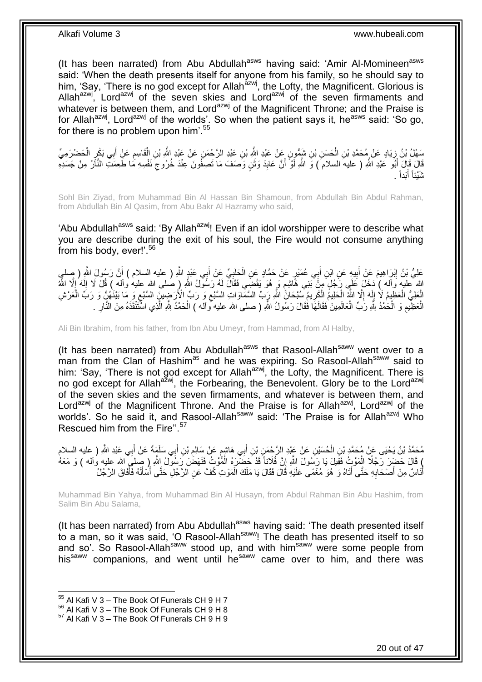(It has been narrated) from Abu Abdullah<sup>asws</sup> having said: 'Amir Al-Momineen<sup>asws</sup> said: 'When the death presents itself for anyone from his family, so he should say to him, 'Say, 'There is no god except for Allah<sup>azwj</sup>, the Lofty, the Magnificent. Glorious is Allah<sup>azwj</sup>, Lord<sup>azwj</sup> of the seven skies and Lord<sup>azwj</sup> of the seven firmaments and whatever is between them, and Lord<sup>azwj</sup> of the Magnificent Throne; and the Praise is for Allah<sup>azwj</sup>, Lord<sup>azwj</sup> of the worlds'. So when the patient says it, he<sup>asws</sup> said: 'So go, for there is no problem upon  $him<sup>55</sup>$ 

سَهْلُ بْنُ زِيَادٍ عَنْ مُحَمَّدِ بْنِ الْحَسَنِ بْنِ شَيِّقُونٍ عَنْ عَبْدِ الثَّهِ بْنِ عَبْدِ الرَّحْضَرِ عَنْ عَبْدِ الثَّهِ بْنِ إِلَٰهَ اللَّهِ بِنِ الْقَاسِمِ عَنِْ أَبِي بَكْرٍ الْحَضْرَمِيِّ ْ **∶** ْ َ ِ ْ قَالَ قَالَ أَبُو عَبْدِ اللَّهِ ( عليهَ السلامَ ) وَ اللَّهِ لَوْ أَنَّ عَابِدَ وَثَنٍ وَصَفَ مَا تَصِفُونَ عِنْدَ خُرُوجَ نَفْسِهِ مَا طَعِمَتِّ النَّارُ مِنْ جَسَدِهِ ِ َ ِ َ َ شَيْئاً أَبَداً . َ

Sohl Bin Ziyad, from Muhammad Bin Al Hassan Bin Shamoun, from Abdullah Bin Abdul Rahman, from Abdullah Bin Al Qasim, from Abu Bakr Al Hazramy who said,

'Abu Abdullah<sup>asws</sup> said: 'By Allah<sup>azwj</sup>! Even if an idol worshipper were to describe what you are describe during the exit of his soul, the Fire would not consume anything from his body, ever!'.<sup>56</sup>

عَلِيُّ بْنُ إِبْرَاهِيمَ عَنْ أَبِيهِ عَنِ ابْنِ أَبِي عُمَيْرٍ عَنْ حَمَّادٍ عَنِ الْحَلَبِيِّ عَنْ أَبِي عَبْدٍ اللَّهِ ( عليه السلام ) أَنَّ رَسُولَ اللَّهِ ( صلي َ **∶** ْ َ **!** َ ِ َ الله عليه وَالم ِ) دَخَلَ عَلَي رَجُلٍ مِنْ بَنِي هَاشِع وَ هُوَ يَقْضَى فَقَالَ لَهُ رَسُولٌ اللَّهِ ( صلى الله عليه والم ) قُلْ لَا إِلَهَ إِلَّا اللَّهُ ֧֧֚֓֝֝֓֝ ِ لَ ِ الْعَلِيُّ الْعَظِيمُ لَا إِلَهَ إِلَّا اللَّهَ الْحَلِيمُ الْكَرِيمُ سُبْحَانً اللَّهِ رَبِّ السَّمَّاوَاتِ السَّبْعِ وَ رَبِّ الْأَرَضِينَ السَّبْعِ وَ مَا بَيْنَهُمٍْ وَ رَبِّ الْعَرْشِ ِ ْ ْ ِ لَ ِ ْ ْ ْ ِ ِ ِ الْمَخْلِيمِ وَ الْحَمْدُ لِلَّهِ رَبِّ الْعَالَمِينَ فَقَالَهَا فَقَالَ رَسُولُ اللَّهِ ( صلى الله عليه وآله ) الْحَمْدُ لِلَّهِ الَّذِي اسْتَنْقَذَهُ مِنَ النَّارِ . ْ ْ ْ ِ ْ ِ

Ali Bin Ibrahim, from his father, from Ibn Abu Umeyr, from Hammad, from Al Halby,

(It has been narrated) from Abu Abdullah<sup>asws</sup> that Rasool-Allah<sup>saww</sup> went over to a man from the Clan of Hashim<sup>as</sup> and he was expiring. So Rasool-Allah<sup>saww</sup> said to him: 'Say, 'There is not god except for Allah<sup>azwj</sup>, the Lofty, the Magnificent. There is no god except for Allah<sup>azwj</sup>, the Forbearing, the Benevolent. Glory be to the Lord<sup>azwj</sup> of the seven skies and the seven firmaments, and whatever is between them, and Lord<sup>azwj</sup> of the Magnificent Throne. And the Praise is for Allah<sup>azwj</sup>, Lord<sup>azwj</sup> of the worlds'. So he said it, and Rasool-Allah<sup>saww</sup> said: 'The Praise is for Allah<sup>azwj</sup> Who Rescued him from the Fire".<sup>57</sup>

ِي َسلَ ب ِن أ ْب َع ْن َسالِم ِي َها ِشم ب ِن أ ِن ْب ِن َع ْن َعْبِد ال َّر ْح َم ح َسْي ِن ال ِي َعْبِد ََّّللا م َح َّم د ْب ن َي ْحَيى َع ْن م َح َّمِد ْب ِ ) عليه السالم ب َمَة َع ْن أ َ ِ ֧֧֧֧֧֧֧֧֓֝֓֝֓֝֓֝֬֟֓֟֓֓֓֟֓֓֟֓<del>֓</del>֧֓ َ ْ َ ) قَالَ حَضَدَ رَجُلًا الْمَوْثُ فَقِيلَ يَا رَسُولَ اللَّهِ إِنَّ فُلَاناً قَدْ حَضَّرَهُ الْمَُوْثُ فَنَهَضَ رَسُولٌ اللَّهِ ( صِلمَى الله عليه واله ) وَ مَعَهُ ِ ْ ْ أُنَاسٌ مِنْ أَصْحَابِهِ حَتَّى أَتَاهُ وَ هُوَ مُغْمًى عَلَيْهِ قَالَ فَقَالَ يَا مَلَكَ الْمَوْتِ كُفَّ عَنِ الرَّجُلِ حَتَّى أَسْأَلَهُ فَأَفَاقَ الرَّجُلُ ْ َ **∶** َ َ لَ َ َ

Muhammad Bin Yahya, from Muhammad Bin Al Husayn, from Abdul Rahman Bin Abu Hashim, from Salim Bin Abu Salama,

(It has been narrated) from Abu Abdullah<sup>asws</sup> having said: 'The death presented itself to a man, so it was said, 'O Rasool-Allah<sup>saww</sup>! The death has presented itself to so and so'. So Rasool-Allah<sup>saww</sup> stood up, and with him<sup>saww</sup> were some people from his<sup>saww</sup> companions, and went until he<sup>saww</sup> came over to him, and there was

 $55$  Al Kafi V 3 – The Book Of Funerals CH 9 H 7

<sup>56</sup> Al Kafi V 3 – The Book Of Funerals CH 9 H 8

 $57$  Al Kafi V 3 – The Book Of Funerals CH 9 H 9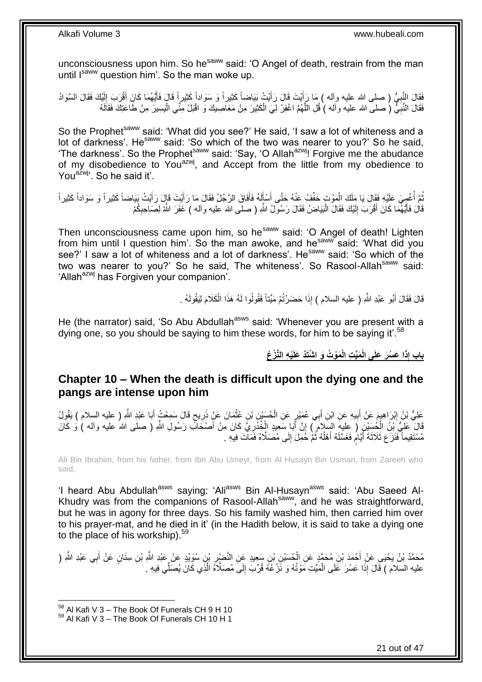unconsciousness upon him. So he<sup>saww</sup> said: 'O Angel of death, restrain from the man until Isaww question him'. So the man woke up.

فَقَالَ النَّبِيُّ ( صلى الله عليه وآله ) مَا رَأِيْتَ قَالَ رَأَيْتُ بَيَاضاً كَثِيراً وَ سَوَاداً كَثِيراً قَالَ فَأَيُّهُمَا كَانَ أَقْرَبَ إِلَيْكَ فَقَالَ السَّوَادُ ا َ َ ِ لَ ِ َ فَقَالَ النَّبِيُّ (صلى الله عليه وآله ) قُلِ اللَّهُمَّ اغْفِرْ لِيَ الْكَثِيرَ مِنْ مَعَاصِيكَ وَ اقْبَلْ مِنًى الْيَسِيرَ مِنْ طَاعَتِكَ فَقَالَهُ َّ ِ ْ ْ

So the Prophet<sup>saww</sup> said: 'What did you see?' He said, 'I saw a lot of whiteness and a lot of darkness'. He<sup>saww</sup> said: 'So which of the two was nearer to you?' So he said, 'The darkness'. So the Prophet<sup>saww</sup> said: 'Say, 'O Allah<sup>azwj</sup>! Forgive me the abudance of my disobedience to You<sup>azwj</sup>, and Accept from the little from my obedience to You<sup>azwj</sup>. So he said it'.

ثُمَّ أُغْمِيَ عَلَيْهِ فَقَالَ يَا مَلَكَ الْمَوْتِ خَفِّفْ عَنْهُ حَتَّى أَسْأَلَهُ فَأَفَاقَ الرَّجُلُ فَقَالَ مَا رَأَيْتَ قَالٍ رَأَيْتُ بَيَاضاً كَثِيراً وَ سَوَاداً كَثِيراً ْ j į َ َ َ لَ َ َ قَالَ فَأَيَّهُمَا كَانَ أَقْرَبَ إِلَيْكَ فَقَالَ الْبَيَاضُ فَقَالَ رَسُولُ اللَّهِ ( صلى الله عليه وآله ) غَفَرَ اللَّهُ لِصَاحِبِكُمْ ْ لَ  $\frac{1}{2}$ َ َ ِ

Then unconsciousness came upon him, so he<sup>saww</sup> said: 'O Angel of death! Lighten from him until I question him'. So the man awoke, and he  $\frac{3}{10}$  said: 'What did you see?' I saw a lot of whiteness and a lot of darkness'. He<sup>saww</sup> said: 'So which of the two was nearer to you?' So he said, The whiteness'. So Rasool-Allah<sup>saww</sup> said: 'Allah<sup>azwj</sup> has Forgiven your companion'.

> قَالَ فَقَالَ أَبُو عَبْدِ اللَّهِ ( عليه السلام ) إِذَا حَضَرْتُمْ مَيِّناً فَقُولُوا لَهُ هَذَا الْكَلَامَ لِيَقُولَهُ . ْ َ

He (the narrator) said, 'So Abu Abdullah<sup>asws</sup> said: 'Whenever you are present with a dying one, so you should be saying to him these words, for him to be saying it'.<sup>58</sup>

باب إِذَا عَسُرَ عَلَى الْمَيِّتِ الْمَوْتُ وَ اشْتَذَ عَلَيْهِ النَّزْعُ

### <span id="page-20-0"></span>**Chapter 10 – When the death is difficult upon the dying one and the pangs are intense upon him**

عَلِيُّ بْنُ إِبْرَاهِيمَ عَنْ أَبِيهِ عَنِ ابْنِ أَبِي عُمَيْرٍ عَنِ الْحُسَبْنِ بْنِ عُثْمَانَ عَنْ ذَرِيحٍ قَالَ سَمِعْتُ أَبَا عَبْدِ اللَّهِ ( عليه السلام ) يَقُولُ ٍ ِ ْ ْ َ **!** َ ِ َ َّقَالَ عَلِيُّ بِنُ الْكُسِّيْنِ ( عِليهِ السَلامُ ) إِنَّ أَبَا سَعِيدٍ الْخُذَرِيُّ كَانَ مِنْ أَصْحَاكِ رَسُولِ اللَّهِ ( صلى الله عليه وأله ) وَ كَانَ َ ِ َ ֝׀֛ مُسْتَقِيماً فَنَزَ عَ ثَلاثَةَ أَيَّامٍ فَغَسَّلَهُ أَهْلُهُ ثُمَّ خُمِلَ إِلَى مُصَلَّاهُ فَمَانَ فِيهِ .  $\frac{1}{2}$  $\ddot{\phantom{0}}$ į َ ֧֖֧֚֚֓֝֝֝ َ

Ali Bin Ibrahim, from his father, from Ibn Abu Umeyr, from Al Husayn Bin Usman, from Zareeh who said,

'I heard Abu Abdullah<sup>asws</sup> saying: 'Ali<sup>asws</sup> Bin Al-Husayn<sup>asws</sup> said: 'Abu Saeed Al-Khudry was from the companions of Rasool-Allah<sup>saww</sup>, and he was straightforward, but he was in agony for three days. So his family washed him, then carried him over to his prayer-mat, and he died in it' (in the Hadith below, it is said to take a dying one to the place of his workship). 59

مُحَمَّدُ بْنُ يَحْيَى عَنْ أَحْمَدَ بْنِ مُحَمَّدٍ عَنِ الْحُسَيْنِ بْنِ سَعِيدٍ عَنِ النَّضْبِرِ بْنِ سُوَيْدٍ عَنْ عَبْدِ اللَّهِ (ر ِ ْ َ َ عليه السلام ) قَالَ إِذَا عَسُرَ عَلَى الْمَيِّتِ مَوْتُهُ وَ نََرْ عُهُ قُرِّبَ إِلَىَ مُصَلَّاهُ الَّذِي كَانَ يُصَلِّي فِيهِ . ِ ْ َّ

 $58$  Al Kafi V 3 – The Book Of Funerals CH 9 H 10

<sup>&</sup>lt;sup>59</sup> Al Kafi V 3 – The Book Of Funerals CH 10 H 1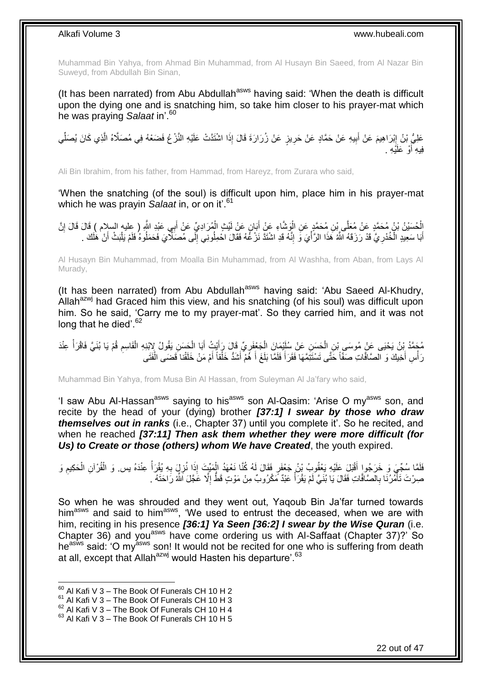Muhammad Bin Yahya, from Ahmad Bin Muhammad, from Al Husayn Bin Saeed, from Al Nazar Bin Suweyd, from Abdullah Bin Sinan,

(It has been narrated) from Abu Abdullah<sup>asws</sup> having said: 'When the death is difficult upon the dying one and is snatching him, so take him closer to his prayer-mat which he was praying *Salaat* in'.<sup>60</sup>

عَلِيُّ بْنُ إِبْرَاهِيمَ عَنْ أَبِيهِ عَنْ حَمَّادٍ عَنْ حَرِيزٍ عَنْ زُرَارَةَ قَالَ إِذَا اشْتَدَّتْ عَلَيْهِ النَّزْعُ فَضَعْهُ فِي مُصَلَّاهُ الَّذِي كَانَ يُصَلِّي **∶ !** َ ِ ِّ َّ فِيهِ أَوْ عَلَيْهِ . َ

Ali Bin Ibrahim, from his father, from Hammad, from Hareyz, from Zurara who said,

'When the snatching (of the soul) is difficult upon him, place him in his prayer-mat which he was prayin *Salaat* in, or on it'.<sup>61</sup>

الْحُسَيْنُ بْنُ مُحَمَّدٍ عَنْ مُعَلَّى بِنِ مُحَمَّدٍ عَنِ الْوَشَاءِ عَنْ أَبَانٍ عَنْ لَيْثٍ الْمُرَادِيِّ عَنْ أَبِي عَبْدِ الثَّهِ ( عِليه السلام ) قَالَ قَالَ إِنَّ<br>ا َ ْ َ ْ ِ أَبَا سَعِيدٍ الْخُدْرِ يَّ قَدْ رَزَقَهُ اللَّهُ هَذَا الرَّأْيَ وَ إِنَّهُ قَدِ اشْنَدَّ نَزْ عُهُ فَقَالَ اخْمِلُونِي إِلَى مُصَلَّاتٍ فَحَمَلُوهُ فَلَمْ يَلْبَثْ أَنْ هَلَكَ . ِ  $\frac{1}{2}$ ِ َ َ ْ ِ

Al Husayn Bin Muhammad, from Moalla Bin Muhammad, from Al Washha, from Aban, from Lays Al Murady,

(It has been narrated) from Abu Abdullah<sup>asws</sup> having said: 'Abu Saeed Al-Khudry, Allah<sup>azwj</sup> had Graced him this view, and his snatching (of his soul) was difficult upon him. So he said, 'Carry me to my prayer-mat'. So they carried him, and it was not long that he died'.<sup>62</sup>

مُحَمَّدُ بِْنُ يَحْيَى عَنْ مُوسَى بْنِ الْحَسَنِ عَنْ سُلَيْمَانَ الْجَعْفَرِيِّ قَالَ رَأَيْتُ أَبَا الْحَسَنِ يَقُولُ لِإِبْنِهِ الْقَاسِمِ قُمْ يَا بُنَيَّ فَاقْرَأْ عِنْدَ ْ ْ ِ ْ ْ َ َ ِ ْ رَأْسِ أَخِيكَ وَ الصَّافَّاتِ صَفَّاً خَتَّى تَسْتَتِّمَّهَا فَقَرَأَ فَلَمَّا بَلَغَ أَ هُمْ أَشَدُّ خَلْقَاً أَمْ مَنْ خَلَقْنا فَضَى الْفَتَى َ ْ َ َ َ ْ

Muhammad Bin Yahya, from Musa Bin Al Hassan, from Suleyman Al Ja'fary who said,

'I saw Abu Al-Hassan<sup>asws</sup> saying to his<sup>asws</sup> son Al-Qasim: 'Arise O my<sup>asws</sup> son, and recite by the head of your (dying) brother *[37:1] I swear by those who draw themselves out in ranks* (i.e., Chapter 37) until you complete it'. So he recited, and when he reached *[37:11] Then ask them whether they were more difficult (for Us) to Create or those (others) whom We have Created*, the youth expired.

فَلَمَّا سُجِّيَ وَ خَرَجُوا أَقْبَلَ عَلَيْهِ يَعْقُوبُ بْنُ جَعْفَرٍ فَقَالَ لَهُ كُنَّا نَعْهَدُ الْمَبِّتَ إِذَا نُزِلٍّ بِهِ يُقْرَأُ عِنْدَهُ يس. وَ الْقُرْآنِ الْحَكِيمِ وَ Í **∶** ِ ْ ِ ْ ْ صِرْتَ تَأْمُرُنَا بِالصَّافَّاتِ فَقَالَ يَا بُنَيَّ لَمْ يَقْرَأْ عَبْدٌ مَكْرُوبٌ مِنْ مَوْتٍ قَطَّ إِلَّا عَجَّلَ اللَّهُ رَاحَتَهُ .  $\frac{1}{2}$ **∶** ا<br>ا ِ

So when he was shrouded and they went out, Yaqoub Bin Ja'far turned towards him<sup>asws</sup> and said to him<sup>asws</sup>, 'We used to entrust the deceased, when we are with him, reciting in his presence *[36:1] Ya Seen [36:2] I swear by the Wise Quran* (i.e. Chapter 36) and you<sup>asws</sup> have come ordering us with Al-Saffaat (Chapter 37)?' So he<sup>asws</sup> said: 'O my<sup>asws</sup> son! It would not be recited for one who is suffering from death at all, except that Allah $a^{2}$ <sup>yj</sup> would Hasten his departure'.<sup>63</sup>

 $60$  Al Kafi V 3 – The Book Of Funerals CH 10 H 2

 $61$  Al Kafi V 3 – The Book Of Funerals CH 10 H 3

 $^{62}$  Al Kafi V 3 – The Book Of Funerals CH 10 H 4

 $63$  Al Kafi V 3 – The Book Of Funerals CH 10 H 5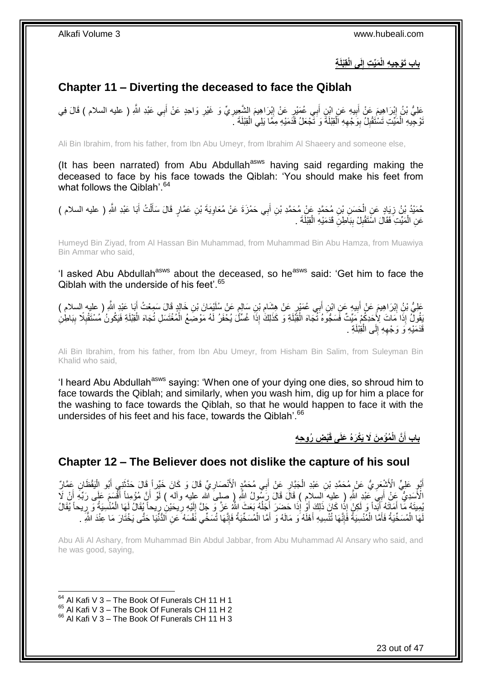**ب ِة لَى الْقِْبلَ َمِّي ِت إ اب َتْو ِجي ِه الْ ِ**

## <span id="page-22-0"></span>**Chapter 11 – Diverting the deceased to face the Qiblah**

َمْلِيُّ بْنُ إِبْرَاهِيمَ عَنْ أَبِيهِ عَنِ ابْنِ أَبِي عُمَيْرٍ عَنْ إِبْرَاهِيمَ الشَّعِيرِيِّ وَ غَيْرِ وَاحِدٍ عَنْ أَبِي عَبْدِ اللَّهِ ( عليه السلام ) قَالَ فِي َ ِ ِ ِ ِ َ ِ نْوْجِيهِ الْمَيِّتِ تَسْتَقْلِلُ بِوَجْهِهِ الْقِبْلَةَ وَ نَجْعَلُ قَدَمَيْهِ مِمَّا بَلِي الْقِبْلَةَ ۚ ـَ ْ ْ ِ **!** ِ ْ

Ali Bin Ibrahim, from his father, from Ibn Abu Umeyr, from Ibrahim Al Shaeery and someone else,

(It has been narrated) from Abu Abdullah<sup>asws</sup> having said regarding making the deceased to face by his face towads the Qiblah: 'You should make his feet from what follows the Qiblah'.<sup>64</sup>

حُمَيْدُ بْنُ زِيَادٍ عَنِ الْحَسَنِ بْنِ مُحَمَّدٍ عَنْ مُحَمَّدِ بْنِ أَبِي حَمْزَةَ عَنْ مُعَاوِيَةَ بْنِ عَمَّارٍ قَالَ سَأَلْتُ أَبَا عَبْدِ اللَّهِ ( عليه السلام ) ِ َ ْ ِ َ ْ ĺ عَنِ الْمَيِّتِ فَقَالَ اسْتَقْبِلْ بِبَاطِنِ قَدَمَيْهِ الْقِبْلَةَ . ْ **∣** ِ ْ

Humeyd Bin Ziyad, from Al Hassan Bin Muhammad, from Muhammad Bin Abu Hamza, from Muawiya Bin Ammar who said,

'I asked Abu Abdullah<sup>asws</sup> about the deceased, so he<sup>asws</sup> said: 'Get him to face the Qiblah with the underside of his feet'.<sup>65</sup>

عَلِيُّ بْنُِ إِبْرَاهِيمَ عَنْ أَبِيهٍ عَنِ ابْنِ أَبِي عُمَيْرٍ عَنْ هِشَامِ بْنِ سَالِمٍ عَنْ سُلَيْمَانَ بْنِ خَالِدٍ قَالَ سَمِعْتُ أَبَا عَيْدِ اللَّهِ ( عليه السلام )<br>. يَجْمَعُ الْبَاحِينَ الْبَائِدِينَ عَنِ ابْنِ ֺ֝ ِ َ **!** ِ َ َقُولٌ إِذَا مَاتَ لِأَحَدِكُمْ مَيِّتٌ فَسَجُّوهُ تُنْجَاهَ الْقِبَلَةِ وَ كَذَلِكَ إِذَا غُسِّلُ يُحْفَرُ لَهُ مَوْضَعُ الْمُغْتَسَلِ تُجَاهَ الْقِبْلَةِ فَيَكُونُ مُسْتَقْبِلًا بِبَاطِنِ ْ ْ ِ ِ ْ قَدَمَيْهِ وَ وَجْهِهِ إِلَى الْقِبْلَةِ . ْ ∣∣<br>∶ ِ

Ali Bin Ibrahim, from his father, from Ibn Abu Umeyr, from Hisham Bin Salim, from Suleyman Bin Khalid who said,

'I heard Abu Abdullah<sup>asws</sup> saying: 'When one of your dying one dies, so shroud him to face towards the Qiblah; and similarly, when you wash him, dig up for him a place for the washing to face towards the Qiblah, so that he would happen to face it with the undersides of his feet and his face, towards the Qiblah'.<sup>66</sup>

> **ْب ِض ُرو ِح ِه ُمْؤ ِم َن ََل َيْكَرهُ َعلَى قَ َّن الْ باب أ** :<br>ا

### <span id="page-22-1"></span>**Chapter 12 – The Believer does not dislike the capture of his soul**

أَبُوٍ عَلِيٍّ الْأَشْعَرِيُّ عَنْ مُحَمَّدِ بْنِ عَبْدِ الْجَبَّارِ عَنْ أَبِي مُحَمَّدٍ الْأَنْصَارِيِّ قَالَ وَكَانَ خَيِّراً قَالَ حَدَّثَنِي أَبُو الْيَقْظَانِ عَمَّارٌ **∶** َ ِ ْ ِ َ ْ َ َ الْأَسَدِيُّ عَنْ أَبِيِّ عَبْدِ اللَّهِ ( عِليه السلام ) قَالَ قَالَ رَسُولُ اللَّهِ ( صلى َّالله عليه وآله ) لَوْ أَنَّ مُؤْمِناً أَقْسَمَ عَلَى رَبِّهِ أَنْ لَا َ َ َ َ يُمِيتَهُ مَّا أَمَالَهُ أَبَداً وَ لَكِنْ إِذَا كَانَ ذَلِكَ أَوْ إِذَا حَضِرَ أَجَلُهُ بَعَثَ اللَّهُ عَزَ وَ جَلَّ إِلَيْهِ رِيحَيْنِ رِيحاً يَقَالُ لَهَا الْمُنْسِيَةُ وَ رِيحاً يُقَالُ َ َ ِ ْ ِ ِ لَ  $\frac{1}{2}$ j َ لَهَا الْمُسَخِّيَةُ فَأَمَّا الْمُنْسِيَةُ فَإِنَّهَا تُنْسِيهِ أَهْلَهُ وَ مَالَهُ وَ أَمَّا الْمُسَخِّيَةُ فَإِنَّهَا تُسَخِّي نَفْسَهُ عَنِ اَلْدُّنْيَا حَتَّى يَخْتَارَ مَا عِنْدَ اللَّهِ . ِ ْ َ َ ِ ْ َ ْ

Abu Ali Al Ashary, from Muhammad Bin Abdul Jabbar, from Abu Muhammad Al Ansary who said, and he was good, saying,

 $64$  Al Kafi V 3 – The Book Of Funerals CH 11 H 1

1

 $^{65}$  Al Kafi V 3 – The Book Of Funerals CH 11 H 2

 $66$  Al Kafi V 3 – The Book Of Funerals CH 11 H 3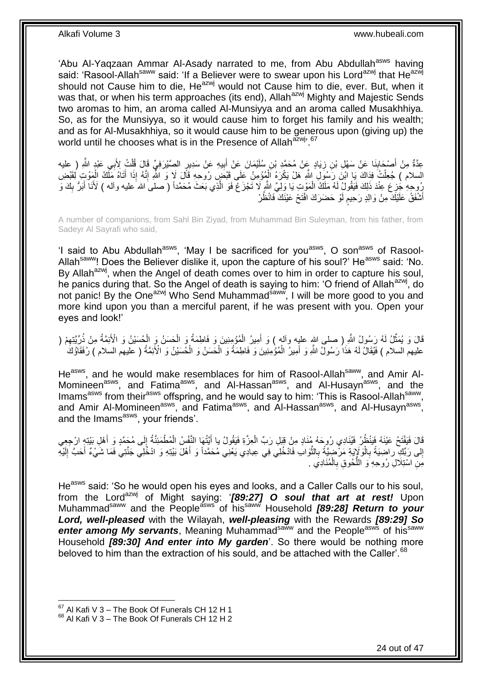'Abu Al-Yaqzaan Ammar Al-Asady narrated to me, from Abu Abdullah<sup>asws</sup> having said: 'Rasool-Allah<sup>saww</sup> said: 'If a Believer were to swear upon his Lord<sup>azwj</sup> that He<sup>azwj</sup> should not Cause him to die, He<sup>azwj</sup> would not Cause him to die, ever. But, when it was that, or when his term approaches (its end), Allah<sup>azwj</sup> Mighty and Majestic Sends two aromas to him, an aroma called Al-Munsiyya and an aroma called Musakhhiya. So, as for the Munsiyya, so it would cause him to forget his family and his wealth; and as for Al-Musakhhiya, so it would cause him to be generous upon (giving up) the world until he chooses what is in the Presence of Allah<sup>azwj, 67</sup>

عِدَّةٌ مِنْ أَصْحَابِذَا عَنْ سَهْلِ بْنِ زِيَادٍ عَنْ مُحَمَّدِ بْنِ سُلَيْمَانَ عَنْ أَبِيهِ عَنْ سَدِيرٍ الصَّيْرَفِيِّ قَالَ قُلْتُ لِأَبِي عَبْدٍ اللَّهِ ( عليه **! ∶** ِ َ ْ السلام ) جُعِلْتُ فِذَاكَ يَا ابْنَ رَسُوَلِ اللَّهِ هَلْ يَكْرَهُ اَلْمُؤْمِنُ عَلَى قَبْضَ رُوحِهِ قَالَ لَا وَ اللَّهِ إِنَّهُ إِذَا أَتَاهُ مَلَّكُ الْمَوْتِ لِقَبْضِ ْ ْ َ ِ ْ رُوحِهِ جُزِعَ عِنْدَ ذَلِكَ فَيَقُولُ لَهُ مَلَكُ الْمَوْتِ يَا وَلِيَّ اللّهِ لَا تَجْزَعْ فَوَ الّذِي بَعَثَ مُحَمَّداً ( صلى الله عليه وآله ) لَأَنَا أَبَرُّ بِكَ وَ َّ ْ ¦ ِ َ أَشْفَقُٰ عَلَيْكَ مِنْ وَالِدٍ رَحِيم لَوْ حَضَرَكَ افْتَحْ عَيْنَكَ ۖ فَانْظُرْ لَ ڔ َ

A number of companions, from Sahl Bin Ziyad, from Muhammad Bin Suleyman, from his father, from Sadeyr Al Sayrafi who said,

'I said to Abu Abdullah<sup>asws</sup>, 'May I be sacrificed for you<sup>asws</sup>, O son<sup>asws</sup> of Rasool-Allah<sup>saww</sup>! Does the Believer dislike it, upon the capture of his soul?' He<sup>asws</sup> said: 'No. By Allah<sup>azwj</sup>, when the Angel of death comes over to him in order to capture his soul, he panics during that. So the Angel of death is saying to him: 'O friend of Allah<sup>azwj</sup>, do not panic! By the One<sup>azwj</sup> Who Send Muhammad<sup>saww</sup>, I will be more good to you and more kind upon you than a merciful parent, if he was present with you. Open your eyes and look!'

قَالَ وَ يُمَثَّلُ لَهُ رَسُولُ اللَّهِ ( صلى اللهِ عليِه وألهِ ) وَ أَمِيرُ الْمُؤْمِنِينَ وَ فَاطِمَةُ وَ الْحَسَنُ وَ الْإِصْلَيْنُ وَ الْأَئِمَّةُ مِنْ ذُرِّيَّتِهِمْ ( ْ ْ ْ َ ِ عليهم السلام ) فَيُقَالُ لَهُ هَذَا رَسُولٌ اللَّهِ وَ أَمِيرٌ الْمُؤْمِنِينَ وَ فَاطِمَةُ وَ الْحَسَنُ وَ الْحُسَيْنُ وَ الْأَئِمَّةُ ( عَليهم السلام ) رُفَقَاؤُكَ ْ َ ْ ْ

He<sup>asws</sup>, and he would make resemblaces for him of Rasool-Allah<sup>saww</sup>, and Amir Al-Momineen<sup>asws</sup>, and Fatima<sup>asws</sup>, and Al-Hassan<sup>asws</sup>, and Al-Husayn<sup>asws</sup>, and the Imams<sup>asws</sup> from their<sup>asws</sup> offspring, and he would say to him: 'This is Rasool-Allah<sup>saww</sup>, and Amir Al-Momineen<sup>asws</sup>, and Fatima<sup>asws</sup>, and Al-Hassan<sup>asws</sup>, and Al-Husayn<sup>asws</sup>, and the Imams<sup>asws</sup>, your friends'.

قَالَ فَيَفْتَحُ عَيْنَهُ فَيَنْظُرُ فَيُنَادِي رُوِحَهُ مُنَادٍ مِنْ قِيَلِ رَبِّ الْعِزَّةِ فَيَقُولُ يا أَيَّتُهَا النَّفْسُ الْمُطْمَئِنَّةُ إِلَى مُجَمَّدٍ وَ أَهْلِ بَيْتِهِ ارْجِعِي َ ِ ْ َ ْ إِلَى رَبِّكِ راضِيَةً بِالْوَلَإِيَةِ مَرْضِيَّةً بِالثَّوَابِ فَادْخُلِي فِي عِبادِي يَعْنِي مُحَمَّداً وَ أَهْلَ بَيْتِهِ وَ ادْخُلِي جَنَّتِي فَمَا شَيْءٌ أَحَبَّ إِلَيْهِ َ ة<br>أ ِ ْ **∶**  ِ لَ ِ َ مَنِ اسْتِلَالِ رُوحِهِ وَ اللَّحُوقِ بِالْمُنَادِي ِ ْ ِ ُّ

He<sup>asws</sup> said: 'So he would open his eyes and looks, and a Caller Calls our to his soul, from the Lord<sup>azwj</sup> of Might saying: '[89:27] O soul that art at rest! Upon Muhammad<sup>saww</sup> and the People<sup>asws</sup> of his<sup>saww</sup> Household **[89:28] Return to your** *Lord, well-pleased* with the Wilayah, *well-pleasing* with the Rewards *[89:29] So*  enter among My servants, Meaning Muhammad<sup>saww</sup> and the People<sup>asws</sup> of his<sup>saww</sup> Household *[89:30] And enter into My garden*'. So there would be nothing more beloved to him than the extraction of his sould, and be attached with the Caller'.<sup>68</sup>

 $67$  Al Kafi V 3 – The Book Of Funerals CH 12 H 1

 $68$  Al Kafi V 3 – The Book Of Funerals CH 12 H 2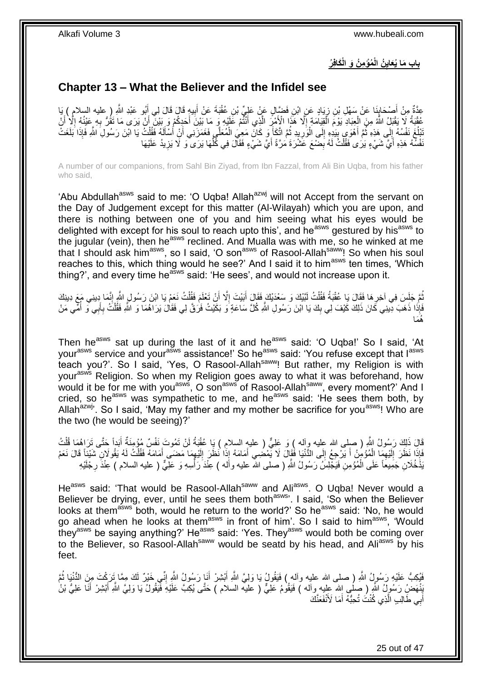**ُمْؤ ِم ُن َو الْ َكافِ ُر ُن الْ باب َما ُيَعاي ِ**

### <span id="page-24-0"></span>**Chapter 13 – What the Believer and the Infidel see**

ي ِه َقا َل َقا َل لِ ب َب َة َع ْن أ ِن عقْ ِن َف َّضا ٍل َع ْن َعلِ ِّي ْب َياٍد َع ِن اْب ِن ز َنا َع ْن َس ْه ِل ْب ْص َحاب ِ ) عليه السال ِم ْن أ بو َعْبِد ََّّللا ِعَّدةٌ ي أ م ( َيا ِ َ ِ ِ َ َ عُقْبَةُ لَا يَقْبَلُ اللَّهُ مِنَ الْعِبَادِ يَوْمَ الْمُقِيَامَةِ إِلَّا هَذَا الْإِمْرِّ الَّذِي أَنْثَمْ عَلَيْهِ وَ مَا بَيْنَ أَحَدِكُمْ وَ بَيْنَ أَنْ يَرَى مَا تَقُرُّ بِهِ عَيْنُهُ إِلَّا أَنْ َ َّ ِ ْ ْ َ ا<br>ا **∶** َ َ نَبْلُغَ نَفْسُهُ إِلَى هَذِهِ ثُمَّ أَهْوَى بِيَدِهِ إِلَى الْوَرِيدِ ثُمَّ اتَّكَأَ وَ كَانَ مَعِيَ الْمُعَلَّي فَغَمَزَنِي أَنِْ أَسْأَلَهُ فَقُلْتُ يَا ابْنَ رَسُولِ اللَّهِ فَإِذَا بَلَغَتْ ِ َ  $\ddot{\phantom{0}}$  $\frac{1}{2}$ j ْ لَ Í َ َ ْ َ  $\ddot{\phantom{0}}$ **ٍ** :<br>ا ِ نْفْسَهُ هَذِهِ أَيَّ شَيْءٍ يَرَى فَقُلْتُ لَهُ بِضْعَ عَشْرَةَ مَرَّةً أَيَّ شَيْءٍ فَقَالَ فِي كُلِّهَا يَرَى ٓوَ لَا يَزِيدُ عَلَيْهَا َ َ ِ ْ ِّ ِ

A number of our companions, from Sahl Bin Ziyad, from Ibn Fazzal, from Ali Bin Uqba, from his father who said,

'Abu Abdullah<sup>asws</sup> said to me: 'O Uqba! Allah<sup>azwj</sup> will not Accept from the servant on the Day of Judgement except for this matter (Al-Wilayah) which you are upon, and there is nothing between one of you and him seeing what his eyes would be delighted with except for his soul to reach upto this', and he<sup>asws</sup> gestured by his<sup>asws</sup> to the jugular (vein), then he<sup>asws</sup> reclined. And Mualla was with me, so he winked at me that I should ask him<sup>asws</sup>, so I said, 'O son<sup>asws</sup> of Rasool-Allah<sup>saww</sup>! So when his soul reaches to this, which thing would he see?' And I said it to him<sup>asws</sup> ten times, 'Which thing?', and every time he<sup>asws</sup> said: 'He sees', and would not increase upon it.

ثُمَّ جَلِسَ فِي آخِرِ هَا فَقَالَ يَا عُقْبَةُ فَقُلْتُ لَنَّبْكَ وَ سَعْدَيْكَ فَقَالَ أَبَيْتَ إِلَّا أَنْ تَعْلَمَ فَقُلْتُ نَعَمْ يَا ابْنَ رَسُولِ الثَّمِ إِنَّيمَا دِينِي مَعَ دِينِكَ ْ اُ ।<br>। َ ْ ِ ِ فَإِذَا ذَهَبَ دِينِي كَانَ ذَلِكَ كَيْفَ لِي بِكَ يَا ابْنَ رَسُولِ اللَّهِ كُلَّ سَاعَةٍ وَ بَكَيْتُ فَرَقَّ لِي فَقَالَ يَرَاهُمَا وَ اللَّهِ فَقُلْتُ بِأَبِي وَ أُمِّي مَنْ ْ  $\frac{1}{2}$ ĺ َ **∶** هُمَا

Then he<sup>asws</sup> sat up during the last of it and he<sup>asws</sup> said: 'O Uqba!' So I said, 'At your<sup>asws</sup> service and your<sup>asws</sup> assistance!' So he<sup>asws</sup> said: 'You refuse except that l<sup>asws</sup> teach you?'. So I said, 'Yes, O Rasool-Allahsaww! But rather, my Religion is with your<sup>asws</sup> Religion. So when my Religion goes away to what it was beforehand, how would it be for me with you<sup>asws</sup>, O son<sup>asws</sup> of Rasool-Allah<sup>saww</sup>, every moment?' And I cried, so he<sup>asws</sup> was sympathetic to me, and he<sup>asws</sup> said: 'He sees them both, by Allah $a^{2xw}$ . So I said, 'May my father and my mother be sacrifice for you<sup>asws</sup>! Who are the two (he would be seeing)?'

َ قَالَ ذَلِكَ رَسُولُ اللَّهِ ( صلى الله عليه وآله ) وَ عَلِيٌّ ( عليهِ السلام ) يَا عُقْبَةُ لَنْ تَمُوتَ نَفْسٌ مُؤْمِنَةٌ أَبَداً حَتَّى تَرَاهُمَا قُلْتُ لَ ْ َفَإِذَا نَظَرَ إِلَيْهِمَا الْمُؤْمِنُ أَ يَرْجِعُ إِلَى الدُّنْيَا فَقَالَ لَا يَمْضُنِي أَمَامَهُ إِذَا نَظَرَ إِلَيْهِمَا مَضَى أَمَامَهُ فَقُلْتُ لَهُ يَقُولَانِ شَيْئاً قَالَ نَعَمْ َ  $\frac{1}{2}$ َ ْ ِ لَ ِ ْ َ ِ لَ ِ َبْذَخُلانِ جَمِيعَاً عَلَى الْمُؤْمِنِ فَيَجْلِسُ رَسُولُ اللَّهِ ( صلى الله عليه وأله ) عِنْدَ رَأْسِهِ وَ عَلِّيٌّ ( عليه السلام ) عِنْدَ رِجْلَيْهِ **ہیں اس** ْ ِ

He<sup>asws</sup> said: 'That would be Rasool-Allah<sup>saww</sup> and Ali<sup>asws</sup>. O Uqba! Never would a Believer be drying, ever, until he sees them both<sup>asws</sup>'. I said, 'So when the Believer looks at them<sup>asws</sup> both, would he return to the world?' So he<sup>asws</sup> said: 'No, he would go ahead when he looks at them<sup>asws</sup> in front of him'. So I said to him<sup>asws</sup>, 'Would they<sup>asws</sup> be saying anything?' He<sup>asws</sup> said: 'Yes. They<sup>asws</sup> would both be coming over to the Believer, so Rasool-Allah<sup>saww</sup> would be seatd by his head, and Ali<sup>asws</sup> by his feet.

نَّبْكِبُّ عَلَيْهِ رَسُولُ اللَّهِ ( صلى الله عليه وآله ) فَيَقُولُ يَا وَلِيَّ اللَّهِ أَبْشِرْ أَنَا رَسُولُ اللَّهِ إِنِّـي خَيْرٌ لَكَ مِمَّا تَِرَكْتَ مِنَ الدُّنْيَا ثُمَّ ِ َ َ  $\ddot{\ddot{\delta}}$ َبِنْهَضِ رَسُولُ اللَّهِ ( صِلْبى اِلله عِليه وأله ) فَيَقُومُ عَلِيٌّ ( عليه السلام ) حَتَّى يُكِبَّ عَلَيْهِ فَيَقُولُ يَا وَلِيَّ اللَّهِ أَبْشِرْ أَنَا عَلِيُّ بْنُ َ َ أَبِي طَّالِبِ الَّذِي كُنْتُ تُحِبُّهُ أَمَا لَأَنْفَعَنَّكَ َ اُ َ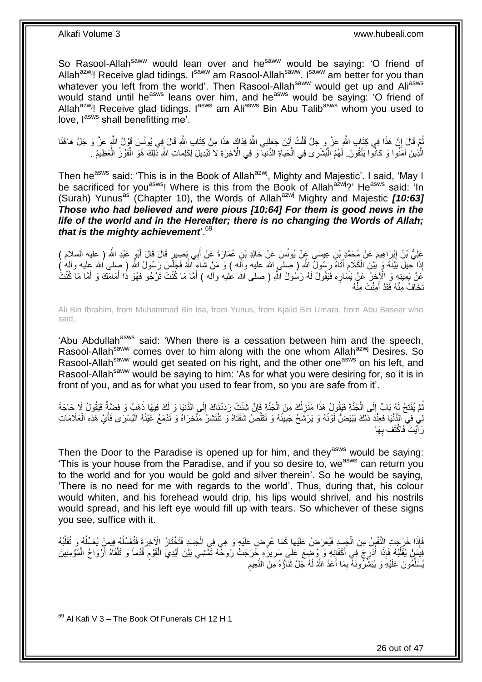So Rasool-Allah<sup>saww</sup> would lean over and he<sup>saww</sup> would be saying: 'O friend of Allah<sup>azwj</sup>! Receive glad tidings. I<sup>saww</sup> am Rasool-Allah<sup>saww</sup>. I<sup>saww</sup> am better for you than whatever you left from the world'. Then Rasool-Allah<sup>saww</sup> would get up and Ali<sup>asws</sup> would stand until he<sup>asws</sup> leans over him, and he<sup>asws</sup> would be saying: 'O friend of Allah<sup>azwj</sup>! Receive glad tidings. I<sup>asws</sup> am Ali<sup>asws</sup> Bin Abu Talib<sup>asws</sup> whom you used to love, l<sup>asws</sup> shall benefitting me'.

نُّمَّ قَالَ إِنَّ هَذَا فِي كِتَابِ اللَّهِ عَزَّ وَ جَلَّ قُلْتُ أَيْنَ جَعَلَنِيَ اللَّهُ فِدَاكَ هَذَا مِنْ كِتَابِ اللَّهِ قَالَ فِي يُونُسَ قَوْلُ اللَّهِ عَزَّ وَ جَلَّ هَاهُنَا َ ْ ِ į الَّذِينَ آمَنُوا وَ كانْوا يَتَّقُونَ. لَهُمُ الْبُشْرى فِي الْحَياةِ الدُّنْيآ وَ فِي الْآخِرَةِ لا تَبْدِيلَ لِكَلِماتِ اللَّهِ نَّلِكَ هُوَ الْفَوْزُ الْعَظِيمُ . ْ ْ ْ ْ

Then he<sup>asws</sup> said: 'This is in the Book of Allah<sup>azwj</sup>, Mighty and Majestic'. I said, 'May I be sacrificed for you<sup>asws</sup>! Where is this from the Book of Allah<sup>azwj</sup>?' He<sup>asws</sup> said: 'In (Surah) Yunus<sup>as</sup> (Chapter 10), the Words of Allah<sup>azwj</sup> Mighty and Majestic *[10:63] Those who had believed and were pious [10:64] For them is good news in the life of the world and in the Hereafter; there is no changing the Words of Allah; that is the mighty achievement*'.<sup>69</sup>

عَلِيُّ بْنُ إِبْرَاهِيمَ عَنْ مُحَمَّدٍ بْنِ عِيسَى عَنْ ذَالِهِ بْنِ عُمَارَةَ عَنْ أَبِي بَصِيرٍ قَالَ قَالَ أَبُوٍ عَبْدِ اللَّهِ ( عليه السلام ) َ ِ َ إِذَا حِيلَ بَيْنَهُ وَ بُيْنَ الْكَلامِ أَتَاهُ رَسُولُ اللَّهِ ( صلى الله عليه وآلَه ) وَ مَنْ شَاءَ اللَّهُ فَجَلَسَ رَسُولُ اللَّهِ ( صلى الله عليه وآله ) َ ِ ْ َعَنْ يَمِينِهِ وَ الْأَخِرُ عَنْ يَسَارِهِ فَيَقُولُ لَهُ رَسُولُ اللَّهِ ( صلى الله عليه وأله ) أَمَّا مَا كُنْتَ تَرْجُو فَهُوَ ذَا أَمَامَكَ وَ أَمَّا مَا كُنْتُ َ **∶** َ َ تَخَافُ مِنْهُ فَقَدْ أَمِنْتَ مِنْهُ َ

Ali Bin Ibrahim, from Muhammad Bin Isa, from Yunus, from Kjalid Bin Umara, from Abu Baseer who said,

'Abu Abdullah<sup>asws</sup> said: 'When there is a cessation between him and the speech, Rasool-Allah<sup>saww</sup> comes over to him along with the one whom Allah<sup>azwj</sup> Desires. So Rasool-Allah<sup>saww</sup> would get seated on his right, and the other one<sup>asws</sup> on his left, and Rasool-Allah<sup>saww</sup> would be saying to him: 'As for what you were desiring for, so it is in front of you, and as for what you used to fear from, so you are safe from it'.

نُّمَّ يُفْتَحُ لَهُ بَابٌ إِلَى الْجَنَّةِ فَيَقُولُ هَذَا مَنْزِلُكَ مِنَ الْجَذَّةِ فَإِنْ شِئْتَ رَدَدْنَاكَ إِلَى الدُّنْيَا وَ لَكَ فِيهَا ذَهَبٌ وَ فِضَّةٌ فَيَقُولُ لَا حَاجَةَ ِ ِ ْ ĺ ِ ْ  $\frac{1}{2}$ į لِي فِي الدُّنْيَا فَعِنْدَ ذَلِكَ يَبْيَضُّ لَوْنُهُ وَ يَرْشَحُ جَبِينُهُ وَ تَقَلَّصُ شَفَتَاهُ وَ تَنْتَشِرُ مَنْخِرَاهُ وَ تَدْمَعُ عَيْنُهُ الْيُسْرَى فَأَيَّ هَذِهِ الْعَلَامَاتِ **!** ْ َ ْ َّ رَ أَيْتَ فَاكْتَفِ بِهَا **∶** َ

Then the Door to the Paradise is opened up for him, and they<sup>asws</sup> would be saying: 'This is your house from the Paradise, and if you so desire to, we<sup>asws</sup> can return you to the world and for you would be gold and silver therein'. So he would be saying, 'There is no need for me with regards to the world'. Thus, during that, his colour would whiten, and his forehead would drip, his lips would shrivel, and his nostrils would spread, and his left eye would fill up with tears. So whichever of these signs you see, suffice with it.

فَإِذَا خَرَجَتِ النَّفْسُ مِنَ الْجَسَدِ فَيُعْرَضُ عَلَيْهَا كَمَا عُرِضَ عَلَيْهِ وَ هِيَ فِي الْجَسَدِ فَتَخْتَارُ الْآخِرَةَ فَتُغَسِّلُهُ فِيمَنْ يُغَسِّلُهُ وَ تُقَلِّبُهُ ْ **∶** ْ ِّ  $\overline{a}$  $\overline{a}$ فِيَمَنْ يُقَلِّبُهُ فَإِذَا أُدْرِجَ فِي أَكْفَانِهِ وَ وُضِعَ عَلَى سَرِيرَهِ خَرَجَتْ رُوحْهُ تَمْشِي بَيْنَ أَيْدِي الْقَوْمِ قُدُماً وَ تَلْقَاهُ أَرْوَاحُ الْمُؤْمِنِينَ **∶** ِ َ ِ í ْ َ ْ ِ ْ َ ِ يُسَلِّمُونَ عَلَيْهِ وَ يُبَشِّرُونَهُ بِمَا أَعَدَّ اللَّهُ لَهُ جَلَّ نَثَلُوهُ مَنَ النَّحِيمِ َ َ ِ ِّ

<sup>1</sup>  $69$  Al Kafi V 3 – The Book Of Funerals CH 12 H 1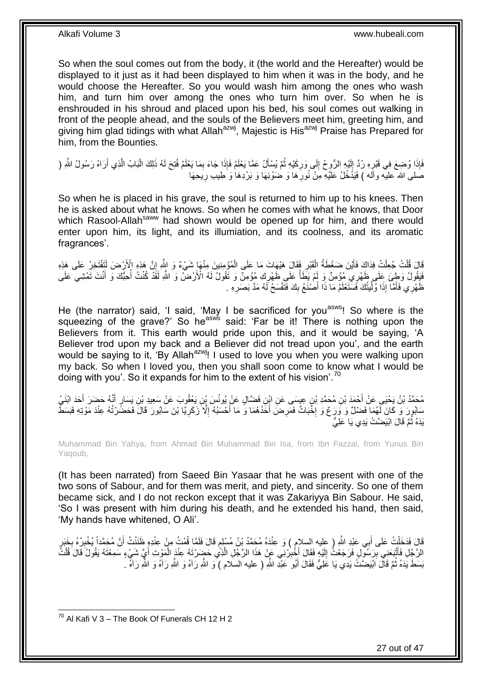So when the soul comes out from the body, it (the world and the Hereafter) would be displayed to it just as it had been displayed to him when it was in the body, and he would choose the Hereafter. So you would wash him among the ones who wash him, and turn him over among the ones who turn him over. So when he is enshrouded in his shroud and placed upon his bed, his soul comes out walking in front of the people ahead, and the souls of the Believers meet him, greeting him, and giving him glad tidings with what Allah<sup>azwj</sup>, Majestic is His<sup>azwj</sup> Praise has Prepared for him, from the Bounties.

فَإِذَا وُضِعَ فِي قَيْرٍهِ رُدَّ إِلَيْهِ الرُّوِحُ إِلَى وَرِكَيْهِ ثُمَّ يُسْأَلُ عَمَّا يَعْلَمُ فَإِذَا جَاءَ بِمَا يَعْلَمُ فُتِحَ لَمُه ذَلِكَ الْبَابُ الَّذِي أَرَاهُ رَسُولُ اللَّهِ ( ِ َ  $\ddot{\phantom{0}}$ **ٍ**  $\frac{1}{2}$ لَ  $\frac{1}{2}$ ∫<br>} َ َّ ْ صَلَّى الله عليه وآله ) فَيَذْخُلُ عَلَيْهِ مِنْ نُورِهَا وَ ضَوْئِهَا وَ بَرْدِهَا وَ طِيب ِرِيَحِهَا

So when he is placed in his grave, the soul is returned to him up to his knees. Then he is asked about what he knows. So when he comes with what he knows, that Door which Rasool-Allah<sup>saww</sup> had shown would be opened up for him, and there would enter upon him, its light, and its illumiation, and its coolness, and its aromatic fragrances'.

قَالَ قُلْتُ جُعِلْتُ فِدَاكَ فَأَيْنَ ضَغْطَةُ الْقَبْرِ فَقَالَ هَيْهَاتَ مَا عَلَى الْمُؤْمِنِينَ مِنْهَا شَيْءٌ وَ الِلَّهِ إِنَّ هَذِهِ الْأَرْضَ لَتَفْتَخِرُ عَلَى هَذِهِ ْ **∶** ْ َ ْ ْ ِ فَقُولُ وَطِئَ عَلَى ظَهْرِي مُؤْمِنٌ وَ لَمْ يَظَأْ عَلَى ظَهْرِكِ مُؤْمِنٌ وَ قَقُولُ لَهُ الْأَرْضُ وَ اللَّهِ لَقَذَّ كُنْتُ أُحِبَّكَ وَ أَنْتَ تَمْشِي عَلَى ِ ْ َ j ظَهْرِي فَأَمَّا إِذَا وُلِّيْتُكَ فَسَنَّعْلَمُ مَا ذَا أَصْنَغُ بِكَ فَنَفْسَحُ لَهُ مَدَّ بَصَرِهِ . ِّ َ **ٍ** ِ َ

He (the narrator) said, 'I said, 'May I be sacrificed for you<sup>asws</sup>! So where is the squeezing of the grave?' So he<sup>asws</sup> said: 'Far be it! There is nothing upon the Believers from it. This earth would pride upon this, and it would be saying, 'A Believer trod upon my back and a Believer did not tread upon you', and the earth would be saying to it, 'By Allah<sup>azwj</sup>! I used to love you when you were walking upon my back. So when I loved you, then you shall soon come to know what I would be doing with you'. So it expands for him to the extent of his vision'.<sup>70</sup>

مُحَمَّدُ بْنُ يَحْيَى عَنْ أَحْمَدَ بْنِ مُحَمَّدِ بْنٍ عِيسَى عَنِ ابْنِ فَضَّالٍ عَنْ يُونُسَ بْنِ يَعْقُوبَ عَنْ سَعِيدِ بْنِ يَسَارٍ أَنَّهُ حَضَرَ أَحَدَ اِبْنَىْ َ َ سَابُورَ وَ كَانَ لَهُمَا فَضْلٌ وَ وَرَعٌ وَ إِخْبَاتٌ فَمَرِضَ أَحَدُهُمَا وَ مَا أَحْسَبُهُ إِلَّا زَكَرِيَّا بْنَ سَابُورَ قَالَ فَحَضَّرْتُهُ عِنْدَ مَوْتِهِ فَبَسَطَ َ َ **ٍ** יֲ<br>י **ٍ** ِ يَدَهُ ثُمَّ قَالَ ابْيَضَّتْ يَدِي يَا عَلِيُّ  $\ddot{\cdot}$ 

Muhammad Bin Yahya, from Ahmad Bin Muhammad Bin Isa, from Ibn Fazzal, from Yunus Bin Yaqoub,

(It has been narrated) from Saeed Bin Yasaar that he was present with one of the two sons of Sabour, and for them was merit, and piety, and sincerity. So one of them became sick, and I do not reckon except that it was Zakariyya Bin Sabour. He said, 'So I was present with him during his death, and he extended his hand, then said, 'My hands have whitened, O Ali'.

قَالَ فَدَخَلْتُ عَلَى أَبِي عَبْدِ اللَّهِ ( عليه السلام ) وَ عِنْدَهُ مُحَمَّدُ بْنُ مُسْلِمٍ قَالَ فَلَمَّا قُمْتُ مِنْ عِنْدِهِ ظَنَنْتُ أَنَّ مُحَمَّداً يُخْبِرُهُ بِخَبَرٍ<br>وَيَمْلِدُ بِيَعْبِدِ الْمَسْلَمَ الْمَسْلِ ٍ َ ْ ِ ِ ِ َ الرَّجُلِ فَأَتْبَعَنِي بِرَسُولٍ فَرَجَعْتُ إِلَيْهِ فَقَالَ أَخْبِرْنِي عَنْ هَذَا الرَّجُلِ الَّذِي حَضِّرْتَهُ عِنْدَ الْمَوْتِ أَيَّ شَيْءٍ سَمِعْتَهُ يَقُولُ قَالَ قُلْتُ ِ َ لَ ∣<br>∶ **∣** َ َ ْ َّ ْ بَسَطَ يَدَهُ ثُمَّ قَالَ اَبْيَضَنَّتُ يَدِي يَا عَلِيُّ فَقَالَ أَبُو َ عَبْدِ اللَّهِ ( عليه السلام ) وَ اللَّهِ رَآهُ وَ اللَّهِ رَآهُ وَ اللَّهِ رَآهُ . َ  $\ddot{\phantom{a}}$ 

<sup>1</sup>  $^{70}$  Al Kafi V 3 – The Book Of Funerals CH 12 H 2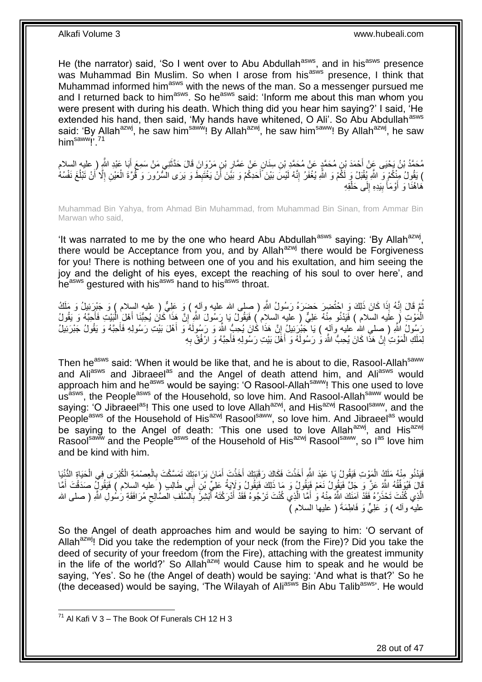He (the narrator) said, 'So I went over to Abu Abdullah<sup>asws</sup>, and in his<sup>asws</sup> presence was Muhammad Bin Muslim. So when I arose from his<sup>asws</sup> presence, I think that Muhammad informed him<sup>asws</sup> with the news of the man. So a messenger pursued me and I returned back to him<sup>asws</sup>. So he<sup>asws</sup> said: 'Inform me about this man whom you were present with during his death. Which thing did you hear him saying?' I said, 'He extended his hand, then said, 'My hands have whitened, O Ali'. So Abu Abdullah<sup>asws</sup> said: 'By Allah<sup>azwj</sup>, he saw him<sup>saww</sup>! By Allah<sup>azwj</sup>, he saw him<sup>saww</sup>! By Allah<sup>azwj</sup>, he saw  $him<sup>saww</sup>$ !

مُحَمَّدُ بْنُ يَحْيَى عَنْ أَحْمَدَ بْنِ مُحَمَّدٍ عَنْ مُحَمَّدٍ بْنِ سِنَانٍ عَنْ عَمَّارِ بْنٍ مَرْوَانَ قَالَ حَذَّثَنِي مَنْ سَمِعَ أَبَا عَبْدِ اللَّهِ ( عليه السلام<br>مُحَمَّدُ بْنُ وَجَبَ عَنْ أَنْ يَجِبْنُ وَعَلَي َ ِ نِ مُحَمَّدٍ عَنْ مُحَمَّدِ بْر َ ) يَقُولُ مِنْكُمْ وَ اللَّهِ يُقْبَلُ وَ لَكُمْ وَ اللَّهِ يُغْفَرُ إِنَّهُ لَيْسَ بَيْنَ أَحَدِكُمْ وَ بَيْنَ أَنْ يَغْتَبِطَ وَ يَرَى السَّرُورَ وَ قُرَّةَ الْعَيْنِ إِلَّا أَنْ تَبْلُغَ نَفْسُهُ ِ َ ِ  $\overline{a}$ َ ِ ْ هَاهُنَا وَ أَوْمَأَ بِيَدِهِ إِلَى حَلْقِهِ ْ ِ **!** َ

Muhammad Bin Yahya, from Ahmad Bin Muhammad, from Muhammad Bin Sinan, from Ammar Bin Marwan who said,

'It was narrated to me by the one who heard Abu Abdullah<sup>asws</sup> saying: 'By Allah<sup>azwj</sup>, there would be Acceptance from you, and by Allah<sup>azwj</sup> there would be Forgiveness for you! There is nothing between one of you and his exultation, and him seeing the joy and the delight of his eyes, except the reaching of his soul to over here', and heasws gestured with hisasws hand to hisasws throat.

ُمَّ قَالَ إِنَّهُ إِذَا كَانَ ذَلِكَ وَ احْتُضِرَ حَضَرَهُ رَسُولُ اللَّهِ ( صلى الله عليه وآلهٍ ) وَ عَلِيٌّ<br>ثُمَّ قَالَ إِنَّهُ إِذَا كَانَ ذَلِكَ وَ احْتُضِرَ حَضَرَهُ رَسُولُ اللَّهِ ( صلى الله عليه وآلهٍ ) وَ عَلِيُ ِ الْمَوْتِ (َ عَلَيه السلام ) فَيَدْنُو مِنْهُ عَلِيٌّ ( عليه السلام ) فَيَقُولُ يَا رَسُولَ اللَّهِ إِنَّ هَذَا كَانَ يُحِبُّنَا أَهْلَ الْبَيْتِ فَأَحِبَّهُ وَ يَقُولُ ِ َ ْ َ رَسُولُ اللَّهِ ( صِلمِي الله عليه وآلهٍ ) يَا جَنْبِرَئِيلُ إِنَّ هَذَا كَانَ يُحِبُّ اللَّهَ وَ رَسُولَهُ وَ أَهْلَ بَيْتِ رَسُولِهِ فَأَحِبَّهُ وَ يَقُولُ جَبْرَئِيلُ َ ِ َ لِمَلَكِ الْمَوْتِ إِنَّ هَذَا كَانَ يُحِبُّ اللَّهَ وَ رَسُولَهُ وَ أَهْلَ بَيْتِ رَسُولِهِ فَأَحِبَّهُ وَ ارْفُقْ بِهِ ِ ْ ِ َ َ

Then he<sup>asws</sup> said: 'When it would be like that, and he is about to die, Rasool-Allah<sup>saww</sup> and Aliasws and Jibraeel<sup>as</sup> and the Angel of death attend him, and Aliasws would approach him and he<sup>asws</sup> would be saying: 'O Rasool-Allah<sup>saww</sup>! This one used to love usasim the People<sup>asws</sup> of the Household, so love him. And Rasool-Allah<sup>saww</sup> would be saying: 'O Jibraeel<sup>as</sup>! This one used to love Allah<sup>azwj</sup>, and His<sup>azwj</sup> Rasool<sup>saww</sup>, and the People<sup>asws</sup> of the Household of His<sup>azwj</sup> Rasool<sup>saww</sup>, so love him. And Jibraeel<sup>as</sup> would be saying to the Angel of death: 'This one used to love Allah<sup>azwj</sup>, and His<sup>azwj</sup> Rasoolsaww and the People<sup>asws</sup> of the Household of His<sup>azwj</sup> Rasoolsaww, so las love him and be kind with him.

فَيَدْنُو مِنْهُ مَلَكُ الْمَوْتِ فَيَقُولُ يَا عَبْدَ اللّهِ أَخَذْتَ فَكَاكَ رَقَبَتِكَ أَخَذْتَ أَمَانَ بَرَاءَتِكَ تَمَسَّكْتَ بِالْعِصْمَةِ الْكُبْرَى فِي الْحَيَاةِ الدُّنْيَا َ **ٔ** َ **ٔ** ْ ْ ْ ِ قَالَ فَيُوفِّقُهُ اللَّهُ عَنَّ وَ جَلَّ فَيَقُولُ نَعَمْ فَيَقُولُ وَ مَا ذَلِكَ فَيَقُولُ وَلَايَةُ عَلِيٍّ بْنِ أَبِي طَالِبِ ( عليه السلام ) فَيَقُولُ صَدَقْتَ أَمَّا<br>يَجْمَعُ مَعْمَدَ بِهِ مَعْمَدَ الْعَلَيْفِ الْمُ أَ َ الَّذِي كُنْتَ تَحْذَرُهُ فَقَدْ آمَنَكَ اللَّهُ مِنْهُ وَ أَمَّا الَّذِي كُنْتَ تَرْجُوهُ فَقَدْ أَدْرَكْتَهُ أَبْشِرَ بِالسَّلَفِ الْصَّالِحِ مُرَافَقَةِ رَسُولِ اللَّهِ ( صلى الله **∶** َ َ ئ<br>إ َ ِ عليه وأله ) وَ عَلِيٌّ وَ فَاطِمَةَ ( عليها السلام )

So the Angel of death approaches him and would be saying to him: 'O servant of Allah<sup>azwj</sup>! Did you take the redemption of your neck (from the Fire)? Did you take the deed of security of your freedom (from the Fire), attaching with the greatest immunity in the life of the world?' So Allah<sup>azwj</sup> would Cause him to speak and he would be saying, 'Yes'. So he (the Angel of death) would be saying: 'And what is that?' So he (the deceased) would be saying, 'The Wilayah of Ali<sup>asws</sup> Bin Abu Talib<sup>asws</sup>'. He would

1

 $71$  Al Kafi V 3 – The Book Of Funerals CH 12 H 3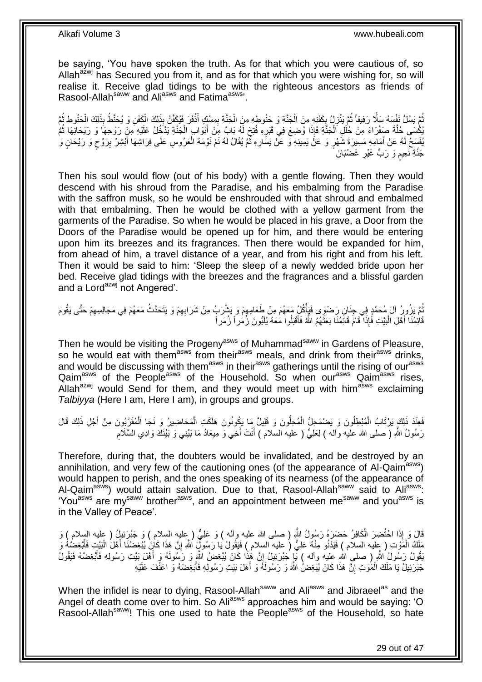be saying, 'You have spoken the truth. As for that which you were cautious of, so Allah<sup>azwj</sup> has Secured you from it, and as for that which you were wishing for, so will realise it. Receive glad tidings to be with the righteous ancestors as friends of Rasool-Allah<sup>saww</sup> and Ali<sup>asws</sup> and Fatima<sup>asws</sup>.

**ٔ** ُّمَّ يَسُلُّ نَفْسَهُ سَلَّا رَفِيقاً ثُمَّ يَنْزِلُ بِكَفَنِهِ مِنَ الْجَنَّةِ وَ جَنُوطِهِ مِنَ الْجَنَّةِ بِمِسْكٍ أَذْفَرَ فَيُكَفِّنُ بِذَلِكَ الْكَفَلِ فَيَكْفَ الْحَنُوطِ ثُمَّ َ ِ ْ ْ ِ ِ  $\ddot{\phantom{a}}$  $\ddot{\ddot{\theta}}$ ْ ْ ِّكْسَى حُلَّةً صَفْرَاءَ مِنْ خُلَلِ الْجَنَّةِ فَإِذَا وُضِعَ فِي قَبْرِهِ فُتِحَ لَهُ بَابٌ مِنْ أَبْوَابِ الْجَنَّةِ يَذْخُلُ عَلَيْهِ مِنْ رَوْحِهَا وَ رَيْحَانِهَا ثُمَّ ْ َ **∶** ْ َّ  $\ddot{\phantom{0}}$ يُفْسِحُ لَهُ عَنْ أُمَامِهِ مَسِيرَةَ شَهْرٍ وَ عَنْ يَمِينِهِ وَ عَنْ يَسَارِهِ ثُمَّ يُقَالُ لَهُ نَمْ نَوْمَةَ الْعَرُوسِ عَلَى فِرَاشِهَا أَبْشِرْ بِرَوْحٍ وَ رَيْحَانٍ وَ ْ  $\ddot{ }$ ِ َ ٍ ِ َ جَنَّةِ نَعِيم وَ رَبٍّ غَيْرِ غَضْبَانَ ِ م

Then his soul would flow (out of his body) with a gentle flowing. Then they would descend with his shroud from the Paradise, and his embalming from the Paradise with the saffron musk, so he would be enshrouded with that shroud and embalmed with that embalming. Then he would be clothed with a yellow garment from the garments of the Paradise. So when he would be placed in his grave, a Door from the Doors of the Paradise would be opened up for him, and there would be entering upon him its breezes and its fragrances. Then there would be expanded for him, from ahead of him, a travel distance of a year, and from his right and from his left. Then it would be said to him: 'Sleep the sleep of a newly wedded bride upon her bed. Receive glad tidings with the breezes and the fragrances and a blissful garden and a Lord<sup>azwj</sup> not Angered'.

ثُمَّ يَزُورُ آلَ مُحَمَّدٍ فِي جِنَانِ رَضْوَى فَيَأْكُلُ مَعَهُمْ مِنْ طَعَامِهِمْ وَ يَشْرَبُ مِنْ شَرَابِهِمْ وَ يَتَحَدَّثُ مَعَهُمْ فِي مَجَالِسِهِمْ حَتَّى يَقُومَ ِ ِ **ٔ** į ِ قَائِمُنَا أَهْلَ الْبَيْتِ فَإِذَا ۖ قَامَ قَائِمُنَا بَعَثَهُمُ اللَّهُ فَأَقْبَلُوا مَعَهُ يُلَبُّونَ زُمَٰراً زُمَراً َ  $\ddot{\phantom{0}}$ :<br>ا

Then he would be visiting the Progeny<sup>asws</sup> of Muhammad<sup>saww</sup> in Gardens of Pleasure, so he would eat with them<sup>asws</sup> from their<sup>asws</sup> meals, and drink from their<sup>asws</sup> drinks, and would be discussing with them<sup>asws</sup> in their<sup>asws</sup> gatherings until the rising of our<sup>asws</sup> Qaim<sup>asws</sup> of the People<sup>asws</sup> of the Household. So when our<sup>asws</sup> Qaim<sup>asws</sup> rises, Allah<sup>azwj</sup> would Send for them, and they would meet up with him<sup>asws</sup> exclaiming *Talbiyya* (Here I am, Here I am), in groups and groups.

فَعِنْدَ ذَلِكَ يَرْتَابُ الْمُبْطِلُونَ وَ يَضْمَحِلُّ الْمُحِلُّونَ وَ قَلِيلٌ مَا يَكُونُونَ هَلَكَتِ الْمَحَاضِيرُ وَ نَجَا الْمُقَرَّبُونَ مِنْ أَجْلِ ذَلِكَ قَالَ ْ ْ ْ ْ َ رَسُولُ اللَّهِ ( صلى الله عليه وألـه ) لِعَلِيٍّ ( عليه السلام ) أَنْتَ أَخِي وَ مِيعَادُ مَا بَيْنِي وَ بَيْنَكَ وَادِي السَّلَام َ َ ِ

Therefore, during that, the doubters would be invalidated, and be destroyed by an annihilation, and very few of the cautioning ones (of the appearance of Al-Qaim<sup>asws</sup>) would happen to perish, and the ones speaking of its nearness (of the appearance of Al-Qaim<sup>asws</sup>) would attain salvation. Due to that, Rasool-Allah<sup>saww</sup> said to Ali<sup>asws</sup>: 'You<sup>asws</sup> are my<sup>saww</sup> brother<sup>asws</sup>, and an appointment between me<sup>saww</sup> and you<sup>asws</sup> is in the Valley of Peace'.

قَالَ وَ إِذَا اخْتُضِرَ الْكَافِرُ حَضَرَهُ رَسُولُ اللّهِ ( صلى الله عليه وآله ) وَ عَلِيٌّ ( عِليه السلام ) وَ جَبْرَئِيلُ ( عليه السلام ) وَ ْ مَلَكُ الْمَوْتِ ( عِلْيه السلام ) فَيَدْنُو مِنْهُ عَلِيٌّ ( عليه السلام ) فَيَقُولُ يَا رَسُولٌيَ اللَّهِ إِنَّ هَذَا كَانَ يُبْعِضُنَّا أَهْلَ الْبَيْتِ فَأَبْغِضْهُ وَ ِ ْ ْ َ ُبَقُولُ رَسُولُ اللَّهِ ( صلى اللهِ عِليه وآله ) يَإِ جَبْرَئِيلُ إِنَّ هَٰذَا كَانَ بُيْغِضُ اللَّهِ وَ رَسُولَهُ وَ أَهْلَ بَيْتِ رَسُولِهِ فَأَيْغِضْهُ فَيَقُولُ َ ֝׀֛ َ جَبْرَئِيلُ يَا مَلَكَ الْمُوْتِ إِنَّ هَذَا كَانَ يُبْغِضْ اللَّهَ وَ رَسُولَهُ وَ أَهْلَ بَيْتِ رَسُولِهِ فَأَبْغِضْهُ وَ اعْنُفْ عَلَيْهِ ِ ْ َ َ

When the infidel is near to dying, Rasool-Allah<sup>saww</sup> and Ali<sup>asws</sup> and Jibraeel<sup>as</sup> and the Angel of death come over to him. So Ali<sup>asws</sup> approaches him and would be saying: 'O Rasool-Allah<sup>saww</sup>! This one used to hate the People<sup>asws</sup> of the Household, so hate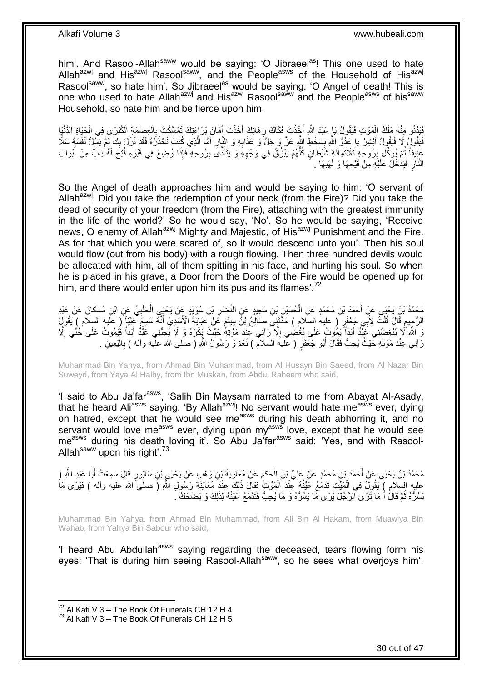him'. And Rasool-Allah<sup>saww</sup> would be saying: 'O Jibraeel<sup>as</sup>! This one used to hate Allah<sup>azwj</sup> and His<sup>azwj</sup> Rasool<sup>saww</sup>, and the People<sup>asws</sup> of the Household of His<sup>azwj</sup> Rasoolsaww, so hate him'. So Jibraeel<sup>as</sup> would be saying: 'O Angel of death! This is one who used to hate Allah<sup>azwj</sup> and His<sup>azwj</sup> Rasool<sup>saww</sup> and the People<sup>asws</sup> of his<sup>saww</sup> Household, so hate him and be fierce upon him.

فَيَدْنُو مِنْهُ مَلَكُ الْمَوْتِ فَيَقُولُ يَا ِعَبْدَ اللّهِ أَخِذْتَ فَكَاكَ رِهَانِكَ أَخَذْتَ أَمَانَ بَرَاءَتِكَ تَمَسَّكْتَ بِالْعِصْمَةِ الْكُبْرَى فِي الْحَيَاةِ الدُّنْيَا **ٔ** َ ْ ْ ْ ;<br>; َ **ٔ** َ **∶** فَيَقُولُ لَا فَيَقُولُ أَبْشِرْ يَا عَذُوَّ اللَّهِ بِسَخَطِ اللَّهِ عَنَّ وَ جَلَّ وَ عَذَابِهِ وَ النَّارِ أَمَّا الَّذِي كُنْتَ تَحْذَرُهُ فَقَدْ نَزَلَ بِكَ ثُمَّ يَسُلُّ نَفْسَهُ سَلَّا َّ َ **∶** ِ **↓** َ  $\ddot{\phantom{0}}$ ِ عَنِيفاً ثُمَّ بُوَكِّلُ بِرُوحِهِ ثَلاَثَمِانَةٍ شَيْطَانٍ كُلُّهُمْ يَبْزُقُ فِي وَجْهِهِ وَ يَتَأَذَّىَ بِرُوحِهِ فَإِذَا وُضِعَ فِي قَبْرِهِ فُتِحَ لَهُ بَابٌ مِنْ أَبْوَابِ ِ اُ ِ ُّ َ **ِ** Ľ َ ِ النَّارِ فَيَدْخُلُ عَلَيْهِ مِنْ قَيْحِهَا وَ لَهَبِهَا . **∶** ِ

So the Angel of death approaches him and would be saying to him: 'O servant of Allah<sup>azwj</sup>! Did you take the redemption of your neck (from the Fire)? Did you take the deed of security of your freedom (from the Fire), attaching with the greatest immunity in the life of the world?' So he would say, 'No'. So he would be saying, 'Receive news, O enemy of Allah<sup>azwj</sup> Mighty and Majestic, of His<sup>azwj</sup> Punishment and the Fire. As for that which you were scared of, so it would descend unto you'. Then his soul would flow (out from his body) with a rough flowing. Then three hundred devils would be allocated with him, all of them spitting in his face, and hurting his soul. So when he is placed in his grave, a Door from the Doors of the Fire would be opened up for him, and there would enter upon him its pus and its flames'.<sup>72</sup>

مُحَمَّدُ بْنُ يَحْيَى عَنٍْ أَحْمَدَ بْنِ مُحَمَّدٍ عَنِ الْحُسَيْنِ بْنِ سَعِيدٍ عَنِ النَّضْرِ بْنِ سُوَيْدٍ عَنْ يَحْيَى الْحَلَبِيِّ عَنِ ابْنِ مُسْكَانَ عَنْ عَبْدِ<br>مَحْمَدُ بْنُ يَحْيَى عَنٍْ أَحْمَدَ بْنِ مُحَمَّدٍ ِ ْ ِ ْ الرَّجِيهِ قَالَ قُلْتُ لِأَبِي جَعْفَرٍ ۖ ( عليه السّلام ) حَذَّثَتِي صَالِحُ بْنَّ مِيثَمٍ عَنْ عَبَايَةَ الْأَسَدِيِّ أَنَّهُ سَمِعَ عَلِيّاً ۗ ( عليه السلام ) يَقُولُ َ ֧֧֖֧֖֧֖֧֧֧֧֧֧֧֧֧֧֧֧֚֚֚֓֝֝֝֝֝֟֓֝֓֬֝֓֝֬֟֓֟֓֝֬֟֓֟֓֝֬֝֬֝֓֟֓֝֬֜֝֬֝֓֝֬֝֓ ة<br>أ َ ْ  $\hat{\mathbf{r}}$ وَ اللَّهِ لَا يُبْغِضُنِي عَبّْدٌ أَبَداً يَمُوتُ عَلَى بُغْضِي إِلَّا ٓرَانِي عِنْدَ مَوْتِهِۢ حَيْثُ يَكْرَهُ وَ لَا يُحِبُّنِي عَبْدٌ أَبَداً فَيَمُوتُ عَلَى خُبُّي إِلَّا ِ َ ِ َ رَانِي عِنْدَ مَوْتِهِ حَْيْثُ يُحِبُّ فَقَالَ أَبُو جَعْفَرٍ ( عَلَيهَ السلامّ ) نَعَمْ وَ رَسُولُ اللَّهِ ( صلى الله علَّيه وآله ) بِالْيَمِينِ . َ ْ ِ

Muhammad Bin Yahya, from Ahmad Bin Muhammad, from Al Husayn Bin Saeed, from Al Nazar Bin Suweyd, from Yaya Al Halby, from Ibn Muskan, from Abdul Raheem who said,

'I said to Abu Ja'far<sup>asws</sup>, 'Salih Bin Maysam narrated to me from Abayat Al-Asady, that he heard Ali<sup>asws</sup> saying: 'By Allah<sup>azwj</sup>! No servant would hate me<sup>asws</sup> ever, dying on hatred, except that he would see me<sup>asws</sup> during his death abhorring it, and no servant would love me<sup>asws</sup> ever, dying upon my<sup>asws</sup> love, except that he would see me<sup>asws</sup> during his death loving it'. So Abu Ja'far<sup>asws</sup> said: 'Yes, and with Rasool-Allah<sup>saww</sup> upon his right'.<sup>73</sup>

مُحَمَّدُ بْنُ يَحْيَى عَنْ أَحْمَدَ بْنِ مُحَمَّدٍ عَنْ عَلِيٍّ بْنِ الْحَكَمِ عَنْ مُعَاوِيَةَ بْنِ وَهْبِ عَنْ يَحْيَى بْنِ سَابُورٍ قَالَ سَمِعْتُ أَبَا عَبْدِ اللَّهِ ( ِ **∶** ْ َ َ ْ عليه السلام ﴾ يَقُولُ فِي الْمَيَّتِ تَدْمَعُ عَيْنُهُ تِّخْدَ الْمَوْتِ فَقَالَ ذَلِكَ عِنْدَ مُعَايَنَةِ رَسُولِ اللَّهِ (َ صلى ًالله عليه وأله ) فَيَرَى مَا ْ َيسُرُّهُ ثُمَّ قَالَ أَ مَا تَرَى الرَّجُلَ يَرَى مَا يَسُرُّهُ وَ مَا يُحِبُّ فَتَذْمَعُ عَيْنُهُ لِذَلِكَ وَ يَضْحَكُ <sub>.</sub> َ  $\ddot{\cdot}$ 

Muhammad Bin Yahya, from Ahmad Bin Muhammad, from Ali Bin Al Hakam, from Muawiya Bin Wahab, from Yahya Bin Sabour who said,

'I heard Abu Abdullah<sup>asws</sup> saying regarding the deceased, tears flowing form his eyes: 'That is during him seeing Rasool-Allah<sup>saww</sup>, so he sees what overjoys him'.

 $72$  Al Kafi V 3 – The Book Of Funerals CH 12 H 4

 $^{73}$  Al Kafi V 3 – The Book Of Funerals CH 12 H 5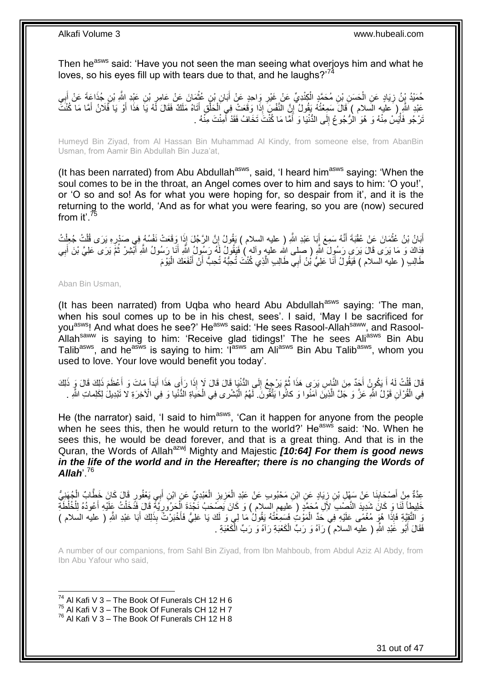Then he<sup>asws</sup> said: 'Have you not seen the man seeing what overjoys him and what he loves, so his eyes fill up with tears due to that, and he laughs?<sup>74</sup>

حُمَيْدُ يْنُ زِيَادٍ عَنِ الْحَسَنِ بْنِ مُحَمَّدٍ الْكِِنْدِيِّ عَنْ غَيْرِ وَاحِدٍ عَنْ أَبَانِ بْنٍ عُثْمَانَ عَنْ عَامِرٍ بْنِ عَيْدِ اِللَّهِ بْنِ جُذَاعَةَ عَنْ أَبِي **∶** ْ ْ ِ ِ َ ِ ْ َ عَبْدِ اللَّهِ ( َعليه السلام ) قَالَ سَمِعْتُهُ يَقُولُ إِنَّ النَّفْسَ إِذَا وَقَعَتْ فِي الْحَلْقِ أَتَاهُ مَلَكٌ فَقَالَ لَهُ يَا هَذَا أَوْ يَا فَلَانُ أَمَّا مَا كُنْتَ َ ْ ْ ِ َ َ َنْرْجُو فَأْيَسْ مِنْهُ وَ هُوَ الْرُّجُوعُ إِلَى الدُّنْيَا وَ أَمَّا مَا كُنْتَ تَخَافُ فَقَدْ أَمِنْتَ مِنْهُ . َ َ ِ ْ

Humeyd Bin Ziyad, from Al Hassan Bin Muhammad Al Kindy, from someone else, from AbanBin Usman, from Aamir Bin Abdullah Bin Juza'at,

(It has been narrated) from Abu Abdullah<sup>asws</sup>, said, 'I heard him<sup>asws</sup> saying: 'When the soul comes to be in the throat, an Angel comes over to him and says to him: 'O you!', or 'O so and so! As for what you were hoping for, so despair from it', and it is the returning to the world, 'And as for what you were fearing, so you are (now) secured from it'.<sup>75</sup>

أَبَانُ بْنُ عُثْمَانَ عَنْ عُقْبَةَ أَنَّهُ سَمِعَ إِّبَا عَبْدِ اللَّهِ ( عليه السلام ) بَقُولُ إِنَّ الرَّجُلَ إِذَا وَقَعَتْ نَفْسُهُ فِي صَدْرِهِ يَرَى قُلْتُ جُعِلْتُ ِ َ َ  $\ddot{\phantom{a}}$ ِ ْ ْ فِذَاكَ وَ مَا يَرَى قَالَ يَرَى رَسُولَ اللَّهِ ( صلى الله عليه وألم ) فَيَقُولُ لَمُه رَسُولُ اللَّهِ أَنا رَسُولُ اللَّهِ أَبْشِرْ ثُمَّ يَرَى عَلِيَّ بْنَ أَبِي َ ِ َ  $\ddot{\phantom{0}}$ َ طَالِبِ ( عليه السلام ) فَيَقُولُ أَنَا عَلِيُّ بْنُ أَبِي طَالِبِ الَّذِي كُنْتَ تُحِبُّهُ تُحِبُّ أَنْ أَنْفَعَكَ الْيَوْمَ َّ َ َ ْ َ َ

### Aban Bin Usman,

(It has been narrated) from Uqba who heard Abu Abdullah<sup>asws</sup> saying: 'The man, when his soul comes up to be in his chest, sees'. I said, 'May I be sacrificed for you<sup>asws</sup>! And what does he see?' He<sup>asws</sup> said: 'He sees Rasool-Allah<sup>saww</sup>, and Rasool-Allah<sup>saww</sup> is saying to him: 'Receive glad tidings!' The he sees Ali<sup>asws</sup> Bin Abu Talib<sup>asws</sup>, and he<sup>asws</sup> is saying to him: 'I<sup>asws</sup> am Ali<sup>asws</sup> Bin Abu Talib<sup>asws</sup>, whom you used to love. Your love would benefit you today'.

قَالَ قُلْتُ لَهُ أَ يَكُونُ أَجِدٌ مِنَ النَّاسِ يَرَى هَذَا ثُمَّ يَرْجِعُ إِلَى الدُّنْيَا قَالَ لَا إِذَا رَأَى هَذَا أَبَداً مَاتَ وَ أَعْظَمَ ذَلِكَ قَالَ وَ ذَلِكَ<br>وَمُدِينَ الْمُسْلَمَةِ الْمَرْضَ النَّاسِ يَرَى هَ ِ  $\ddot{\phantom{0}}$ َ ْ َ َ فِي الْقُرْآنِ قَوْلُ اللَّهِ عَزَّ وَ جَلَّ الَّذِينَ آمَنُوا وَ كانُوا يَتَّقُونَ ۖ لَهُمُ الْبُشْرى فِي الْحَياةِ الدُّنْيا وَ فِي الْآخِرَةِ لا تَبْدِيلُ لِكَلِماتِ اللَّهِ . َّ ْ ْ ْ

He (the narrator) said, 'I said to him<sup>asws</sup>, 'Can it happen for anyone from the people when he sees this, then he would return to the world?' He<sup>asws</sup> said: 'No. When he sees this, he would be dead forever, and that is a great thing. And that is in the Quran, the Words of Allah<sup>azwj</sup> Mighty and Majestic **[10:64] For them is good news** in the life of the world and in the Hereafter; there is no changing the Words of *Allah*'.<sup>76</sup>

عِدَّةٌ مِنْ أَصْحَابِنَا عَنْ سَهْلِ بْنِ زِيَادٍ عَنِ ابْنِ مَحْبُوبٍ عَنْ عَبْدِ الْعَزِيزِ الْعَبْدِيِّ عَنِ ابْنِ أَبِي يَعْفُورٍ قَالَ كَانَ خَطَّابٌ الْجُهَنِيُّ َ ْ ِ ِ ْ ِ ِ َ ْ خَلِيطاً لَذَا وَ كَانَ شَدِيدَ النَّصِيْدِ لأَلِ مُحَمَّدٍ ( عَليهم السلام ) وَ كَانَ يَصَبحَبُ نَجْدَةَ الْحَرُورِيَّةَ قَالَ فَدَّخَلْتُ عَلَيْهِ أَعُودُهُ لِلْخُلْطَةِ َ ْ ِ ْ وَ التَّقِيَّةِ فَإِذَا هُوَ مُغْمًى عَلَيْهِ فِي حَدٍّ الْمَوْتُ فَسَمِعْتُهُ يَقُولُ مَا لِي وَ لَكَ يَا عَلِيُّ فَأَخْبَرْتُ بِذَلِكَ أَبَا عَبْدِ اللَّهِ ( عليه السلام ) َ ْ َ فَقَالَ أَبُو عََبْدِ اللَّهِ ( عليه السلام ّ) رَآهُ وَ رَبِّ الْكَعْبَةِ رَآهُ وَ رَبِّ الْكَعْبَةِ . ֡֡**֓** ْ َ

A number of our companions, from Sahl Bin Ziyad, from Ibn Mahboub, from Abdul Aziz Al Abdy, from Ibn Abu Yafour who said,

 $74$  Al Kafi V 3 – The Book Of Funerals CH 12 H 6

 $75$  Al Kafi V 3 – The Book Of Funerals CH 12 H 7

 $76$  Al Kafi V 3 – The Book Of Funerals CH 12 H 8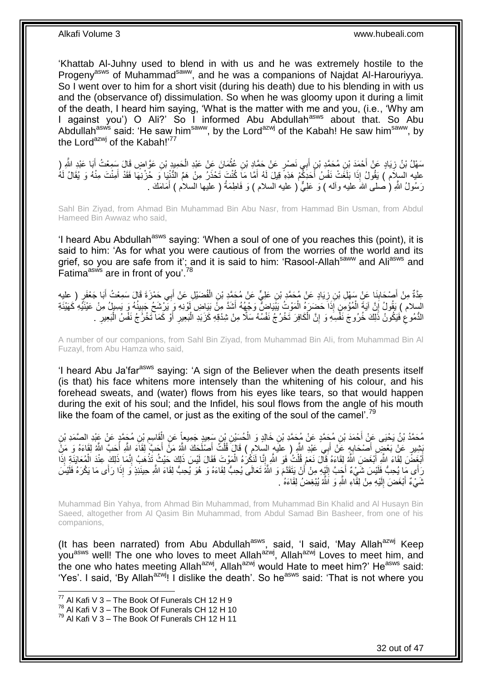'Khattab Al-Juhny used to blend in with us and he was extremely hostile to the Progeny<sup>asws</sup> of Muhammad<sup>saww</sup>, and he was a companions of Najdat Al-Harouriyya. So I went over to him for a short visit (during his death) due to his blending in with us and the (observance of) dissimulation. So when he was gloomy upon it during a limit of the death, I heard him saying, 'What is the matter with me and you, (i.e., 'Why am I against you') O Ali?' So I informed Abu Abdullah<sup>asws</sup> about that. So Abu Abdullah<sup>asws</sup> said: 'He saw him<sup>saww</sup>, by the Lord<sup>azwj</sup> of the Kabah! He saw him<sup>saww</sup>, by the Lord<sup>azwj</sup> of the Kabah! $177$ 

سَهْلُ بْنُ زِيَادٍ عَنْ أَحْمَدَ بْنِ مُحَمَّدِ بْنٍ أَبِي نَصْرٍ عَنْ حَمَّادٍ بْنِ عُثْمَانَ عَنْ عَبْدِ الْحَمِيدِ بْنِ عَوَّاضٍ قَالَ سَمِعْتُ أَبَا عَبْدِ النَّهِ (<br>. ْ ْ َ ِ َ عليه السِلَام ) يَقُولُ إِذَا بَلَغَتْ نَفْسُ أَحَدَكُمْ هَذِهِ قِيلَ لَهُ أَمَّا مَا كُنْتَ تَحْذَرُ مِنْ هَمِّ الدُّنْيَا وَ حُرْنِهَا فَقَدْ أَمِنْتَ مِنْهُ وَ يُقَالُ لَهُ َ َ رَسُولُ اللَّهِ ( صلى اللهَ عليه وأله ) وَ عَلِيٌّ ( عليه السلام ) وَ فَاطِمَةُ ( عليها السلام ) أَمَامَكَ . َ

Sahl Bin Ziyad, from Ahmad Bin Muhammad Bin Abu Nasr, from Hammad Bin Usman, from Abdul Hameed Bin Awwaz who said,

'I heard Abu Abdullah<sup>asws</sup> saying: 'When a soul of one of you reaches this (point), it is said to him: 'As for what you were cautious of from the worries of the world and its grief, so you are safe from it'; and it is said to him: 'Rasool-Allah<sup>saww</sup> and Ali<sup>asws</sup> and Fatima<sup>asws</sup> are in front of you'.<sup>78</sup>

َياٍد َع ْن م َح َّمِد ِن ز َنا َع ْن َس ْه ِل ْب ْص َحاب ٍر ِعَّدةٌ ) عليه ِم ْن أ َبا َج ْعَف ِي َح ْم َزَة َقا َل َس ِمْع ت أ ب ِل َع ْن أ َضْي ف ِن ال ِن َعلِ ٍّي َع ْن م َح َّمِد ْب ْب ِ ِ َ َ َ ْ السلام ) يَقُولُ إِنَّ آيَةَ الْمُؤْمِنِ إِذَا حَضَرَهُ الْمَوْثُ يَبْيَاضُ وَجْهُهُ أَشَدَّ مِنَّ بَيَاضِ لَوْنِهِ وَ يَرْشَحُ جَبِينُهُ وَ يَسِيلُ مِنْ عَيْنَيْهِ كَهَيْئَةِ َ ْ ْ ِ ِ َ النُّمُو عْ فَيَكُونُ ذَٰلِكَ خُرُوجَ نَفْسِهِ وَ إِنَّ الْكَافِرَ تَخْرُجُ نَفْسُهُ سَلَّا مِنْ شِدْقِهِ كَزَبَدِ الْبَعِيرِ أَوْ كَمَا تَخْرُجُ نَفْسُ الْبَعِيرِ **∶** ْ ْ ِ ِ ِ ْ

A number of our companions, from Sahl Bin Ziyad, from Muhammad Bin Ali, from Muhammad Bin Al Fuzayl, from Abu Hamza who said,

'I heard Abu Ja'far<sup>asws</sup> saying: 'A sign of the Believer when the death presents itself (is that) his face whitens more intensely than the whitening of his colour, and his forehead sweats, and (water) flows from his eyes like tears, so that would happen during the exit of his soul; and the Infidel, his soul flows from the angle of his mouth like the foam of the camel, or just as the exiting of the soul of the camel'.<sup>79</sup>

مُحَمَّدُ بْنُ يَحْيَى عَنْ أَحْمَدَ بْنِ مُحَمَّدٍ عَنْ مُحَمَّدِ بْنِ خَالِدٍ وَ الْحُسَيْنِ بْنِ سَعِيدٍ جَمِيعاًٍ عَنِ الْقَاسِمِ بْنِ مُجَمَّدٍ عَنْ عَبْدِ الصَّمَدِ بْنِ َ ِ ْ ْ َ يَثْبِيدِ ۚ عَنْ بَعْضٍ أَصْحَابِهٍ عَنْ أَبِي عَبْدِ اللَّهِ ( عِلَيهِ السَّلامِ ) قَالَ قُلْتَ أَصْلُحَكَ اللَّهُ مَنْ أَحَبَّ ۚ لَقَاءَ اللَّهِ أَحَبَّ اللَّهُ فَي مَنْ أَحَبَّ اللَّهُ وَ مَنْ َ ْ َ ِ َ أَبْغَضَ لِقَاءَ النَّهِ أَبْغَضَ اللَّهُ لِقَاءَهُ قَالَ نَعَمْ قُلْتُ فَوَ النَّهِ إِنَّا لَنَكْرُهُ الْمَوْتَ فَقَالَ أَيْسَ ذَلِكَ حَيْثُ تَذْهَبُ إِنَّكَ خَلْقَ عِنْدَ الْمُعَايَنَةِ إِذَا ْ ِ ْ َ َ ْ ِ **ٔ** رَأَى مَا يُحِبُّ فَلَيْسَ شَيْءٌ أَجَبَّ إِلَيْهِ مِنْ أَنْ يَتَقَدَّمَ وَ اللَّهُ تَعَالَى يُحِبُّ لِقَاءَهُ وَ هُوَ يُحِبُّ لِقَاءَ اللَّهِ حِينَئِذٍ وَ إِذَا رَأَى مَا يَكْرَهُ فَلَيْسَ :<br>: ِ اً لَ  $\frac{1}{2}$ َ شَيْءٌ أَبْغَضَ إِلَيْهِ مِنْ لِقَّاءِ اللَّهِ وَ اللَّهُ يُبْغِضُ لِقَاءَهُ ۚ ـِ لَ ِ َ

Muhammad Bin Yahya, from Ahmad Bin Muhammad, from Muhammad Bin Khalid and Al Husayn Bin Saeed, altogether from Al Qasim Bin Muhammad, from Abdul Samad Bin Basheer, from one of his companions,

(It has been narrated) from Abu Abdullah<sup>asws</sup>, said, 'I said, 'May Allah<sup>azwj</sup> Keep youasws well! The one who loves to meet Allahazwj, Allahazwj Loves to meet him, and the one who hates meeting Allah<sup>azwj</sup>, Allah<sup>azwj</sup> would Hate to meet him?' He<sup>asws</sup> said: 'Yes'. I said, 'By Allah<sup>azwj</sup>! I dislike the death'. So he<sup>asws</sup> said: 'That is not where you

 $77$  Al Kafi V 3 – The Book Of Funerals CH 12 H 9

 $78$  Al Kafi V 3 – The Book Of Funerals CH 12 H 10

 $^{79}$  Al Kafi V 3 – The Book Of Funerals CH 12 H 11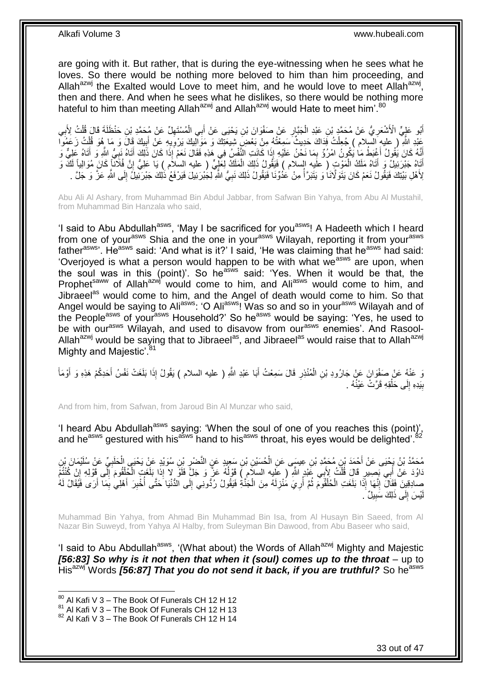are going with it. But rather, that is during the eye-witnessing when he sees what he loves. So there would be nothing more beloved to him than him proceeding, and Allah<sup>azwj</sup> the Exalted would Love to meet him, and he would love to meet Allah<sup>azwj</sup>, then and there. And when he sees what he dislikes, so there would be nothing more hateful to him than meeting Allah<sup>azwj</sup> and Allah<sup>azwj</sup> would Hate to meet him'.<sup>80</sup>

أَبُو عَلِيٍّ الْأَشْعَرِ يُّ عَنْ مُحَمَّدٍ بْنِ عَبْدِ الْجَبَّارِ عَنْ صَفْوَانَ بْنِ يَحْيَى عَنْ أَبِي الْمُسْتَهِلِّ عَنْ مُحَمَّدِ بْنِ حَنْظَلَةَ قَالَ قُلْتُ لِأَبِي ِ ْ ِ ِ ْ ِ ْ َ عَبْدِ اللَّهِ ۚ ( عليهِ السّبلام ) جُعِلْتُ فَذاكَ حَدِيثٌ سَمِعْتُهُ مِنْ بَعْضِ شِيعَتِكَ وَ مَوَالِيكَ يَرْوِيهِ عَنْ أَبِيكَ قَالَ وَ مَا هُوَ قُلْتُ زَعَمُوا ِ َ ِ ْ ْ ِ أَنَّهُ كَانَ يَُقُولُ أَغْنِطُ مَا يَكُونُ امْرُؤٌ بِمَا نَحْنُ عَلَيْهِ إِذَا كَانَتِ النَّفْسُ فِي هَذِهِ فَقَالَ نَعَمْ إِذَا كَانَ ذَلِكَ أَتَاهُ نَبِيُّ الثَّمِ وَ أَتَاهُ عَلِيٌّ وَ ِ َ َ ِ َ أَتَاهُ جَبْرَئِيلٌ وَ أَتَاهُ مَلَكُ الْمَوْتِ ( عَلَيه السلام ) فَيَقُولُ ذَلِكَ الْمَلَكُ لِعَلِّيٍّ ( عليه السلام ) يَا عَلِيُّ إِنَّ فُلَانًا كَانَ مُوَالِياً لَكَّ وَ ْ َ لَ ِ ْ لِأَهْلِ بَيْتِكَ فَيَقُولُ نَعَمْ كَانَ يَتَوَلَّانَا وَ يَتَبَرَّأُ مِنْ عَدُوِّنَا فَيَقُولُ ذَلِكَ نَبِيُّ اللَّهِ لِّجْبْرَئِيلَ فَيَرْفَعُ ذَٰلِكَ جَبْرَتِّيلَ إِلَى اللَّهِ عَزَّ وَ جَلَّ . ِ  $\ddot{ }$ ๎๎๎๎ ِ

Abu Ali Al Ashary, from Muhammad Bin Abdul Jabbar, from Safwan Bin Yahya, from Abu Al Mustahil, from Muhammad Bin Hanzala who said,

'I said to Abu Abdullah<sup>asws</sup>, 'May I be sacrificed for you<sup>asws</sup>! A Hadeeth which I heard from one of your<sup>asws</sup> Shia and the one in your<sup>asws</sup> Wilayah, reporting it from your<sup>asws</sup> father<sup>asws</sup>, He<sup>asws</sup> said: 'And what is it?' I said, 'He was claiming that he<sup>asws</sup> had said: 'Overjoyed is what a person would happen to be with what we<sup>asws</sup> are upon, when the soul was in this (point)'. So heasws said: 'Yes. When it would be that, the Prophet<sup>saww</sup> of Allah<sup>azwj</sup> would come to him, and Ali<sup>asws</sup> would come to him, and Jibraeel<sup>as</sup> would come to him, and the Angel of death would come to him. So that Angel would be saying to Ali<sup>asws</sup>: 'O Ali<sup>asws</sup>! Was so and so in your<sup>asws</sup> Wilayah and of the People<sup>asws</sup> of your<sup>asws</sup> Household?' So he<sup>asws</sup> would be saying: 'Yes, he used to be with our<sup>asws</sup> Wilayah, and used to disavow from our<sup>asws</sup> enemies'. And Rasool-Allah<sup>azwj</sup> would be saying that to Jibraeel<sup>as</sup>, and Jibraeel<sup>as</sup> would raise that to Allah<sup>azwj</sup> Mighty and Majestic'.<sup>81</sup>

وَ عَنْهُ عَنْ صَفْوَانَ عَنْ جَارُودِ بْنِ الْمُنْذِرِ قَالَ سَمِعْتُ أَبَا عَبْدِ اللَّهِ ( عليه السلام ) يَقُولُ إِذَا بَلَغَتْ نَفْسُ أَحَدِكُمْ هَذِهِ وَ أَوْمَأَ َ ِ ْ َ َ َ بِيَدِهِ إِلَى حَلْقِهِ قَرَّتْ عَيْنُهُ . ْ ِ **∣** 

And from him, from Safwan, from Jaroud Bin Al Munzar who said,

'I heard Abu Abdullah<sup>asws</sup> saying: 'When the soul of one of you reaches this (point)', and he<sup>asws</sup> gestured with his<sup>asws</sup> hand to his<sup>asws</sup> throat, his eyes would be delighted'.<sup>82</sup>

مُحَمَّدُ بْنُ يَجْيَى عَنْ أَجْمَدَ بْنِ مُحَمَّدِ بْنِ عِيسَى عَنِ الْحُسَيْنِ بْنِ سَعِيدٍ عَنِ النَّصْرِ بْنِ سُوَيْدٍ عَنْ يَحْيَى الْحَلَبِيِّ عَنْ سُلَيْمَانَ بْنِ<br>. ِ ْ ِ ْ **∶** دَاوُدَ عَنْ أَبِي بَصِيرٍ قَالَ قُلْتُ لِأَبِي عََيْدٍ اللَّهِ ( عَلِيه السالَامِ ) قَوْلُهُ عَزَّ وَ جَلَّ فَلَوْ لا إِذَا بَلَغَتٍ الْجُلْقُومَ إِلَى قَوْلِهِ إِنْ كُنْتُمْ ْ  $\frac{1}{2}$ ِ ْ ْ  $\ddot{\phantom{0}}$ صادِقِينَ فَقَالَ إِنَّمَا إِذَا بَلَغَتِ الْحُلْقُومَ ثُمَّ أُرِيَ مُنْزِلَهُ مِنَ الْجَنَّةِ فَيَقُولُ رُدُّونِي إِلَى الدُّنْيَا حَتَّى أُخْبِرَ أَهْلِي بِمَا أَرَى فَيُقَالُ لَهُ ِ ْ لَ ِ ِ j  $\ddot{\phantom{0}}$ ْ ْ ِ َ ِ َ ĺ يْسَ إِلَى ذَلِكَ سَبِيلٌ ۖ. **!**  $\frac{1}{2}$ لَ

Muhammad Bin Yahya, from Ahmad Bin Muhammad Bin Isa, from Al Husayn Bin Saeed, from Al Nazar Bin Suweyd, from Yahya Al Halby, from Suleyman Bin Dawood, from Abu Baseer who said,

'I said to Abu Abdullah<sup>asws</sup>, '(What about) the Words of Allah<sup>azwj</sup> Mighty and Majestic *[56:83] So why is it not then that when it (soul) comes up to the throat* – up to His<sup>azwj</sup> Words [56:87] That you do not send it back, if you are truthful? So he<sup>asws</sup>

 $80$  Al Kafi V 3 – The Book Of Funerals CH 12 H 12

<sup>81</sup> Al Kafi V 3 – The Book Of Funerals CH 12 H 13

 $82$  Al Kafi V 3 – The Book Of Funerals CH 12 H 14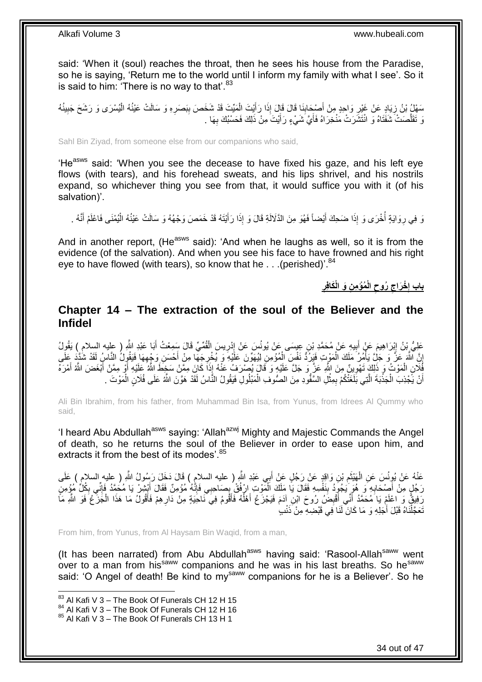said: 'When it (soul) reaches the throat, then he sees his house from the Paradise, so he is saying, 'Return me to the world until I inform my family with what I see'. So it is said to him: 'There is no way to that'. $83$ 

مَعْلُ بْنُ زِيَادٍ عَنْ غَيْرِ وَاحِدٍ مِنْ أَصْحَابِنَا قَالَ قَالَ إِذَا رَأَيْتَ الْمَيِّتَ قَدْ شَخَصَ بِبَصَرِهِ وَ سَالَتْ عَيْنُهُ الْيُسْرَى وَ رَشَحَ جَبِينُهُ ِ ِ ْ ِ  $\frac{1}{2}$ ْ َ  $\frac{1}{2}$ ِ نَ تَقَلَّصَتْ شَفَتَاهُ وَ انْتَشَرَتْ مَنْخِرَاهُ فَأَيَّ شَيْءٍ رَأَيْتَ مِنْ ذَلِكَ فَحَسْبُكَ بِهَا . َ َّ ِ َ

Sahl Bin Ziyad, from someone else from our companions who said,

'He<sup>asws</sup> said: 'When you see the decease to have fixed his gaze, and his left eye flows (with tears), and his forehead sweats, and his lips shrivel, and his nostrils expand, so whichever thing you see from that, it would suffice you with it (of his salvation)'.

نَا فِي رِوَايَةٍ أُخْرَى وَ إِذَا ضَحِكَ أَيْضاً فَهُوَ مِنَ الذَّلَالَةِ قَالَ وَ إِذَا رَأَيْتَهُ قَدْ خَمَصَ وَجْهُهُ وَ سَالَتْ عَيْنُهُ الْيُمْنَى فَاعْلَمْ أَنَّهُ . َ َ j ِ َ ْ

And in another report, (He<sup>asws</sup> said): 'And when he laughs as well, so it is from the evidence (of the salvation). And when you see his face to have frowned and his right eye to have flowed (with tears), so know that he  $\ldots$  (perished)<sup>'.84</sup>

> **ِن َو الْ َكا ِف ُمْؤ ِم الْ ُروح ْخ َراج باب إ ر ِ ِ ِ ِ**

### <span id="page-33-0"></span>**Chapter 14 – The extraction of the soul of the Believer and the Infidel**

عَلِيُّ بِنُ إِبْرَاهِيمَ عَنْ أَبِيهِ عَنْ مُحَمَّدِ بْنِ عِيسَى عَنْ يُونُسَ عَنْ إِدْرِيسَ الْقُمِّيِّ قَالَ سَمِعْتُ أَبَا عَبْدِ اللَّهِ ( عليه السلامِ ) يَقُولُ<br>-َ ْ ِ ∣ا<br>∶ ِ َ ון<br>ב إِنَّ اللَّهَ عَزَّ وَ جَلَّ يَأْمُرُ مَلَكَ الْمَوْتِ فَفِرْدُ نَفْسِ الْمُؤْمِنِ لِيُهَوِّنَ عَلَيْهِ وَ يُخْرِجَهَا مِنْ أَحْسَنِ وَجْهِهَا فَيَقُولُ النَّاسُ لَقَدْ شُذَّذٍ عَلَى ِ ِ َ ِ ْ ْ ا<br>المسلمان<br>المسلمان أَيْلَانِ الْمَوْتُ وَ ذَلِكَ تَهْوِينٌ مِنَ اللَّهِ عَزَّ وَ جَلَّ عَلَيْهِ وَ قَالَ بُصْرَفُ عَنْهُ إِذَا كَانَ مِمَّنْ سَخِطَ اللَّهُ عَلَيْهِ أَوْ مِمَّنْ أَبْغَضَ اللَّهُ أَمْرَهُ ِ ْ َ َ َ أَنْ يَّجْذِبَ الْجَذْبَةَ الَّتِي بَلَغَتْكُمْ بِمِثْلِ السَّفُودِ مِنَ الصُّوفِ الْمَبْلُولِ فَيَقُولُ النَّاسُ لَقَدْ هَوَّنَ اللَّهُ عَلَى فُلَانٍ الْمَوْتَ . ْ ْ ِ َّ ْ ْ ْ

Ali Bin Ibrahim, from his father, from Muhammad Bin Isa, from Yunus, from Idrees Al Qummy who said,

'I heard Abu Abdullah<sup>asws</sup> saying: 'Allah<sup>azwj</sup> Mighty and Majestic Commands the Angel of death, so he returns the soul of the Believer in order to ease upon him, and extracts it from the best of its modes'.<sup>85</sup>

عَنْهُ عَنْ يُوِنُسَ عَنِ الْهَيْثَمِ بْنِ وَاقِدٍ عَنْ رَجُلٍ عَنْ أَبِي عَبْدِ اللَّهِ ( عليه السلامِ ) قَالَ دَخَلَ رَسُولُ اللَّهِ ( عِليهِ السلامِ ) عَلَى َ ِ َ ْ رَجُلٍ مِنْ أَصْحَابِهِ وَ هُوَ يَجُودُ بِنَفْسِهِ فَقَالَ يَا مَلَكَ الْمَوْتِ ارْفُقْ بِصَاحِبِي فَإِنَّهُ مُؤْمِنٌ فَقَالَ أَبْشِرْ يَا مُحَمَّدُ فَإِنِّي بِكُلِّ مُؤْمِنٍ ِ **∶** َ ِ ِ َ ِ ِ ْ رَفِيقٌ وَ اعْلَمْ يَا َمُحَمَّدُ أَنِّي أَقْبِضُ رُوحَ ابْنِ إِدَمَ فَيَجْزَعُ أَهْلُهُ فَأَقُومُ فِيَ نَاحَنَةٍ مِنْ دَارِهِمْ فَأَقُولُ مَا هَذَا الْجَزَعُ فَوَ اللَّهِ مَأَ ِ َ j َ ِ َ ْ َ نَعَجَّلْنَاهُ قَبْلَ أَجَلِهِ وَ مَا كَانَ لَنَا فِي قَبْضِهِ مِنْ ذَنْبٍ ْ

From him, from Yunus, from Al Haysam Bin Waqid, from a man,

(It has been narrated) from Abu Abdullah<sup>asws</sup> having said: 'Rasool-Allah<sup>saww</sup> went over to a man from his<sup>saww</sup> companions and he was in his last breaths. So he<sup>saww</sup> said: 'O Angel of death! Be kind to my<sup>saww</sup> companions for he is a Believer'. So he

 $83$  Al Kafi V 3 – The Book Of Funerals CH 12 H 15

<sup>84</sup> Al Kafi V 3 – The Book Of Funerals CH 12 H 16

<sup>85</sup> Al Kafi V 3 – The Book Of Funerals CH 13 H 1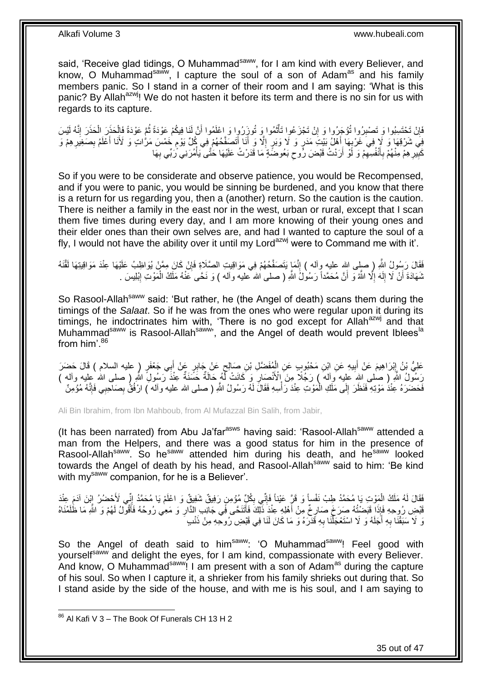said, 'Receive glad tidings, O Muhammad<sup>saww</sup>, for I am kind with every Believer, and know, O Muhammad<sup>saww</sup>, I capture the soul of a son of Adam<sup>as</sup> and his family members panic. So I stand in a corner of their room and I am saying: 'What is this panic? By Allah<sup>azwj</sup>! We do not hasten it before its term and there is no sin for us with regards to its capture.

فَإِنْ تَحْتَسِبُوا وَ تَصْبِرُوا تُؤْجَرُوا وَ إِنْ تَجْزَعُوا تَأْتُمُوا وَ تُوزَرُوا وَ اِعْلَمُوا أَنَّ لَذَا فِيكُمْ عَوْدَةً ثُمَّ عَوْدَةً فَإِلْحَذَرَ اِلْحَذَرَ إِنَّهُ لَيْسَ َ ة<br>أ ْ ِ ِ ِ ِ ْ ْ  $\ddot{\cdot}$ فِي شَرْقِهَا ۚ وَ لَإٍ فِي َغَرْبِهَا أَهْلُ بَيْتِ مَدَرٍ وَ لَا وَبَرٍ ۗ إِلَّآ وَ أَنَآ أَتَصَفَّحُهُمْ فِي كُلِّ يَوْمٍ خَمْسَ مَرَّاتٍ وَ لَأَنَا أَعْلَمُ بِصَغِيرِهِمْ وَ َ ֧<u>֓</u> ِ ِ َ ֧֖֧֖֖֖֖֖֧֖֖֖֖֧֧֧֧֧֧֧֧֧֧֧֧֧֧֧֧֧֚֚֚֚֚֚֚֚֚֚֚֝֝֟֓֝֓֝֓֝֬֟֓֝֬֟֓֝֬֝֓֝֓֝֬֝֓֝֬֝֬֝֓֝֬֝֬֓֝֬֝֬֝֬ َ َ ِ كَبِيْرِ هِمْ مِنْهُمْ بِأَنْفُسِهِمْ وَ لَوْ أَرَدْتُ قَبْضَ رُوحٍ بَعُوضَّةٍ مَا قَدَرْتُ عَلَيْهَا حَتَّى يَأْمُرَنِي رَبِّي بِهَا ْ  $\zeta$ َ ِ َ **∶** ِ **!** ِ

So if you were to be considerate and observe patience, you would be Recompensed, and if you were to panic, you would be sinning be burdened, and you know that there is a return for us regarding you, then a (another) return. So the caution is the caution. There is neither a family in the east nor in the west, urban or rural, except that I scan them five times during every day, and I am more knowing of their young ones and their elder ones than their own selves are, and had I wanted to capture the soul of a fly, I would not have the ability over it until my Lord<sup>azwj</sup> were to Command me with it'.

فَقَالَ رَسُولُ اللَّهِ ( صلى الله عليه وآله ) إِنَّمَا يَتَصَفَّحُهُمْ فِي مَوَاقِيتِ الصَّلَاةِ فَإِنْ كَانَ مِمَّنْ يُوَاظِبُ عَلَيْهَا عِنْدَ مَوَاقِيتِهَا لَقَّنَهُ ِ ֺ֧֧֦֧֦֧֦֧ׅ֧֧ׅ֧֧ׅ֧ׅ֧֧֧֧֧֧֧֧֧֚֚֚֚֚֚֚֚֚֚֚֚֚֝֝֬֓֡֡֓֡֟֓֡֟֓֡֟֓֡֟֓֡֟֓֡֟֓֡֟֓֡֡֡֬֓֓֓֬֓֓֬֓֝֬֝֬֝֬֝֬֝֬֝֬ نْمَهَادَةَ أَنْ لَا إِلَه إِلَّا اللَّهُ وَ أَنَّ مُحَمَّداً رَسُولُ اللَّهِ ( صلى الله عليه وآله ) وَ نَحًى عَنْهُ مَلَكُ الْمَوْتِ إِبْلِيسَ . ْ ِ لَ  $\frac{1}{2}$ َ ِ

So Rasool-Allah<sup>saww</sup> said: 'But rather, he (the Angel of death) scans them during the timings of the *Salaat*. So if he was from the ones who were regular upon it during its timings, he indoctrinates him with, 'There is no god except for Allah<sup>azwj</sup> and that Muhammad<sup>saww</sup> is Rasool-Allah<sup>saww</sup>', and the Angel of death would prevent Iblees<sup>la</sup> from him'.<sup>86</sup>

عَلِيُّ بْنُ إِبْرَاهِيمَ عَنْ أَبِيهِ عَنِ ابْنِ مَحْبُوبٍ عَنِ الْمُفَضَّلِ بْنِ صَالِحٍ عَنْ جَابِرٍ عَنْ أَبِي جَعْفَرٍ ( عليه السلام ) قَالَ حَضرَ َ ٍ ْ **!** َ رَسُولُ اللَّهِ ( صلى الله عليه وآلله ) رَجُلًا مِنَ الْأَنْصَارِ وَ كَانَتْ لَّهُ حَالَةٌ حَسَّنَةٌ عِنْدَ رَسُولِ اللَّهِ ( صلى الله عليه وآله ) ِ فَحَضَرَهُ عِنْدُ مَوْتِهِ فَنَظَرَ إِلَى مَلَكِ الْمَوْتِ عِنْدَ رَأْسِهِ فَقَالَ لَهُ رَسُولُ اللَّهِ ( صلى الله عليه وآلم َ) ارْفُقُ بِصَاحِبِي فَإِنَّهُ مُؤْمِنٌ ْ ْ  $\frac{1}{2}$  $\frac{1}{2}$ ِ

Ali Bin Ibrahim, from Ibn Mahboub, from Al Mufazzal Bin Salih, from Jabir,

(It has been narrated) from Abu Ja'far<sup>asws</sup> having said: 'Rasool-Allah<sup>saww</sup> attended a man from the Helpers, and there was a good status for him in the presence of Rasool-Allah<sup>saww</sup>. So he<sup>saww</sup> attended him during his death, and he<sup>saww</sup> looked towards the Angel of death by his head, and Rasool-Allah<sup>saww</sup> said to him: 'Be kind with my<sup>saww</sup> companion, for he is a Believer'.

فَقَالَ لَهُ مَلَكُ الْمَوْتِ يَا مُحَمَّدُ طِبْ نَفْساً وَ قَرَّ عَيْناً فَإِنِّي بِكُلِّ مُؤْمِنٍ رَفِيقٌ شَفِيقٌ وَ اعْلَمْ يَا مُحَمَّدُ إِنِّي لَأَحْضُرُ إِبْنَ آدَمَ عِنْدَ ِ ِ ْ ِ قَاضِ رُوِحِهِ فَإِذَا فَبَصْتُهُ صَرَخَ صَارِخٌ مِنْ أَهْلِهِ عِنْدَ ذَلِّكَ فَأَتَنَحَّى فَي جَانِبِ الذَّارِ وَ مَعِي رُوحُهُ فَأَقُولُ لَهُمْ وَ اللَّهِ مَا ظُلَمْنَاهُ ِ َ ا<br>أ ِ َ وَ لَا سَبَقْنَا بِهِ أَجَلَهُ وَ لَا اسْتَعْجَلْنَا بِهِ قَدَّرَهُ وَ مَا كَانَ لَنَا فِي قَبْضِ رُوحِهِ مِنْ ذَنْبِ َ **∶** ِ ْ

So the Angel of death said to him<sup>saww</sup>: 'O Muhammad<sup>saww</sup>! Feel good with yourself<sup>saww</sup> and delight the eyes, for I am kind, compassionate with every Believer. And know, O Muhammad<sup>saww</sup>! I am present with a son of Adam<sup>as</sup> during the capture of his soul. So when I capture it, a shrieker from his family shrieks out during that. So I stand aside by the side of the house, and with me is his soul, and I am saying to

 $86$  Al Kafi V 3 – The Book Of Funerals CH 13 H 2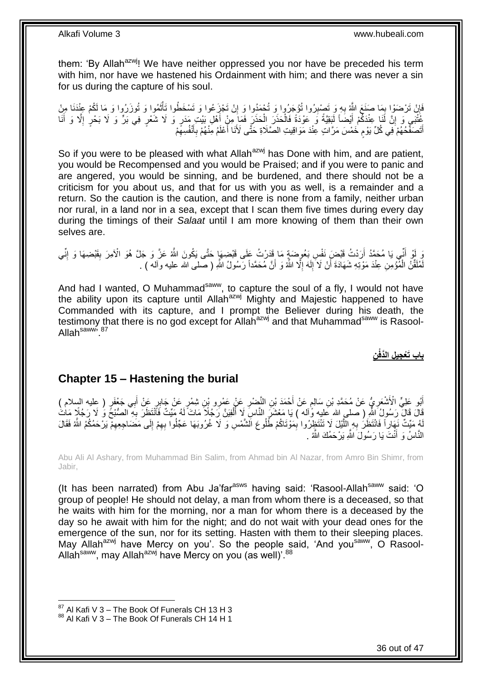them: 'By Allah<sup>azwj</sup>! We have neither oppressed you nor have be preceded his term with him, nor have we hastened his Ordainment with him; and there was never a sin for us during the capture of his soul.

ِ فَإِنْ تَرْضَوْا بِمَا صَنَعَ اللَّهُ بِهِ وَ تَصْبِرُوا تُؤْجَرُوا وَ تُوْمَدُوا وَ إِنْ تَجْزِعُوا وَ تَسْخَطُوا تَأْتُمُوا وَ تُوزَرُوا وَ مَا لَكُمْ عِنْدَنَا مِنْ ِ **∶** ∫<br>∶ ِ َ م<br>أ كُّنْتِي وَ إِنَّ لَٰذَا عِنْدَكُمْ أَيْضَاً لَبَقِيَّةً وَ عَوْدَةً فَالْحَذَرَ الْحَذَرَ فَمَا مِنْ أَهْلِ بَيْتِ مَدَرٍ وَ لَا شَعْرٍ فِي بَرٍّ وَ لَا بَحْرٍ إِلَّا وَ أَنَا َ ْ ْ لَ َ <u>֖֚֚֚֚֚֚֚֓</u> َ ِ أَتَصَفِّّحُهُمْ فِّي كُلِّ يَوْمِ خَمْسَ مَرَّ اتٍ عِنْدَ مَوَاقِيتِ الصَّلَاةِ حَتَّى لَأَنَا أَعْلَمُ مِنْهُمْ بِأَنْفُسِهِمْ ِ َ ِ َ ٍ َ

So if you were to be pleased with what Allah<sup>azwj</sup> has Done with him, and are patient, you would be Recompensed and you would be Praised; and if you were to panic and are angered, you would be sinning, and be burdened, and there should not be a criticism for you about us, and that for us with you as well, is a remainder and a return. So the caution is the caution, and there is none from a family, neither urban nor rural, in a land nor in a sea, except that I scan them five times during every day during the timings of their *Salaat* until I am more knowing of them than their own selves are.

وَ أَنِّي يَا مُحَمَّدُ أَرَدْتُ قَيْضٍ نَفْسٍ بَعُوضَةٍ مَا قَدَرْتُ عَلَى قَيْضِهَا حَتَّى يَكُونَ اللَّهُ عَنَّ وَ جَلَّ هُوَ الْأَمِرَ بِقَيْضِهَا وَ إِنِّي َ ِ ِ لَمُلَقِّنُ الْمُؤْمِنِ عِنْدَ مَوْتِهِ شَهَادَةَ أَنْ لَا َإِلَهَ إِلَّا اللَّهُ وَ أَنَّ مُحَمَّداً رَسُولُ اللَّهِ ( صلى الله عليه وألـه ) . َ ِ لَ ِ اُ ْ

And had I wanted, O Muhammad<sup>saww</sup>, to capture the soul of a fly, I would not have the ability upon its capture until Allah<sup>azwj</sup> Mighty and Majestic happened to have Commanded with its capture, and I prompt the Believer during his death, the testimony that there is no god except for Allah<sup>azwj</sup> and that Muhammad<sup>saww</sup> is Rasool-Allah<sup>saww</sup>, 87

**ِن باب َتْع ِجي ِل الَّدفْ**

### <span id="page-35-0"></span>**Chapter 15 – Hastening the burial**

أَبُو عَلِيٍّ الْأَنْشَعَرِيُّ عَنْ مُحَمَّدِ بْنِ سَالِمٍ عَنْ أَحْمَدَ بْنِ النَّضْرِ عَنْ عَمْرِو بْنِ شِمْرٍ عَنْ جَابِرٍ عَنْ أَبِي جَعْفَرٍ ( عِليه السلام )ِ<br>أَبُو عَلِيٍّ الْأَنْشَعَرِيُّ عَنْ مُحَمَّدِ بْنِ سَالِمٍ ِ َ ٍ ِ َ َ لَّالَ قَالَ رَسُولُ اللَّهِ ( صلى الله عَليه وَٰآله ) يَا مَعْشَرَ النَّاسِ لَا أُلْفِيَنَّ رَجُلًا مَاتَ لَهُ مَيِّتٌ فَأَنْتَظِّرَ بَهِ ۖ الصُّبْحَ وَ لَا رَجُلًا مَاتُ ْ Í **∶** َّ لَهُ مَيِّتٌ نَهَارٍاً فَانْتَظَنُ بِهِ إِلَّلَيْلَ لَا تَنْتَظِرُوا بِمَوْتَاكُمْ طُلُوعَ الْشَّمْسِ وَ لَا غُرُوبَهَا عَجِّلُوا بِهِمْ إِلَى مَضَاجِعِهِمْ يَرْحَمُكُمُ اللَّهُ فَقَالَ ِ ِ ِ ِ ِ النَّاسُ وَ أَنْتَ يَا رَسُولَ اللَّهِ يَرْحَمُكَ اللَّهُ . ۬<sup>ّ</sup>

Abu Ali Al Ashary, from Muhammad Bin Salim, from Ahmad bin Al Nazar, from Amro Bin Shimr, from Jabir,

(It has been narrated) from Abu Ja'far<sup>asws</sup> having said: 'Rasool-Allah<sup>saww</sup> said: 'O group of people! He should not delay, a man from whom there is a deceased, so that he waits with him for the morning, nor a man for whom there is a deceased by the day so he await with him for the night; and do not wait with your dead ones for the emergence of the sun, nor for its setting. Hasten with them to their sleeping places. May Allah<sup>azwj</sup> have Mercy on you'. So the people said, 'And you<sup>saww</sup>, O Rasool-Allah<sup>saww</sup>, may Allah<sup>azwj</sup> have Mercy on you (as well)<sup>'.88</sup>

 $87$  Al Kafi V 3 – The Book Of Funerals CH 13 H 3

<sup>88</sup> Al Kafi V 3 – The Book Of Funerals CH 14 H 1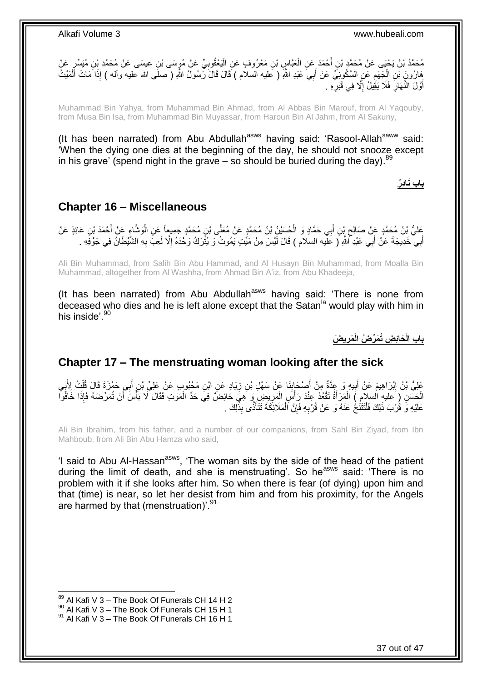

Muhammad Bin Yahya, from Muhammad Bin Ahmad, from Al Abbas Bin Marouf, from Al Yaqouby, from Musa Bin Isa, from Muhammad Bin Muyassar, from Haroun Bin Al Jahm, from Al Sakuny,

(It has been narrated) from Abu Abdullah<sup>asws</sup> having said: 'Rasool-Allah<sup>saww</sup> said: 'When the dying one dies at the beginning of the day, he should not snooze except in his grave' (spend night in the grave  $-$  so should be buried during the day).  $89$ 

**باب َناِد ر**

### <span id="page-36-0"></span>**Chapter 16 – Miscellaneous**

َّ َعْلِيُّ بِنُ مُحَمَّدٍ عَنْ صَالِحٍ بِْنِ أَبِي حَمَّادٍ وَ الْحُسَيْنُ بْنُ مُحَمَّدٍ عَنْ مُعَلَّى بْنِ مُحَمَّدٍ جَمِيعاً عَنِ الْوَشَاءِ عَنْ أَحْمَدَ بْنِ عَائِذٍ عَنْ<br>عَلَيُّ بِنُ مُحَمَّدٍ عَنْ صَالِحٍ بِّنِ أَبِي ْ َ ِ َ ْ أَبِي خَدِيجَةَ عَنْ أَبِي عَبْدِ أَللَّهِ ( عَلَيه السلام ) قَالَ لَيْسَ مِنْ مَيِّتٍ يَمُوتُ وَ يُثْرَكُ وَحْدَهُ إِلَّا لَعِبَ بِهِ الشَّيْطَانُ فِي جَوْفَهِ . ِ َ َ ِ

Ali Bin Muhammad, from Salih Bin Abu Hammad, and Al Husayn Bin Muhammad, from Moalla Bin Muhammad, altogether from Al Washha, from Ahmad Bin A'iz, from Abu Khadeeja,

(It has been narrated) from Abu Abdullah<sup>asws</sup> having said: 'There is none from deceased who dies and he is left alone except that the Satan<sup>la</sup> would play with him in his inside<sup>'.90</sup>

> **ي َض َمر َحاِئ ِض ُت َم ِّر ُض الْ باب الْ ِ**

### <span id="page-36-1"></span>**Chapter 17 – The menstruating woman looking after the sick**

عَلِيُّ بْنُ إِبْرَاهِيمَ عَنْ أَبِيهِ وَ عِدَّةٌ مِنْ أَصْحَابِذَا عَنْ سَهْلِ بْنِ زِيَادٍ عَنِ ابْنِ مَحْبُوبٍ عَنْ عَلِيٍّ بْنِ أَبِي حَمْزَةَ قَالَ قُلْتُ لِأَبِي ِ **!** َ ِ َ <u>֖֚֚֚</u> .<br>د ْ َ الْجَسَنِ (ِ عليهِ السلامِ ) الْمَرْأَةُ تَقْعُدُ عِنْدَ رَأْسِ الْمَرِيضِ وَ هِيَ حَائِضٌ فِي حَدِّ الْمَوْتِ فَقَالَ لَا بَأْسَ أَنْ تُمَرِّضَهُ فَإِذَا خَافُوا ْ ْ ِ ْ ا<br>أ َ ْ ْ َ عَلَيْهِ وَ قُرُبَ ذَٰلِكَ فَلْنَتَنُحْ عَنْهُ وَ عَنْ قُرْبِهِ فَإِنَّ الْمَلَائِكَةَ نَتَأَذَّى بِذَٰلِكَ . َ ْ ِ ِ ْ

Ali Bin Ibrahim, from his father, and a number of our companions, from Sahl Bin Ziyad, from Ibn Mahboub, from Ali Bin Abu Hamza who said,

'I said to Abu Al-Hassan<sup>asws</sup>, 'The woman sits by the side of the head of the patient during the limit of death, and she is menstruating'. So he<sup>asws</sup> said: 'There is no problem with it if she looks after him. So when there is fear (of dying) upon him and that (time) is near, so let her desist from him and from his proximity, for the Angels are harmed by that (menstruation)<sup>'.91</sup>

 $89$  Al Kafi V 3 – The Book Of Funerals CH 14 H 2

 $90$  Al Kafi V 3 – The Book Of Funerals CH 15 H 1

 $91$  Al Kafi V 3 – The Book Of Funerals CH 16 H 1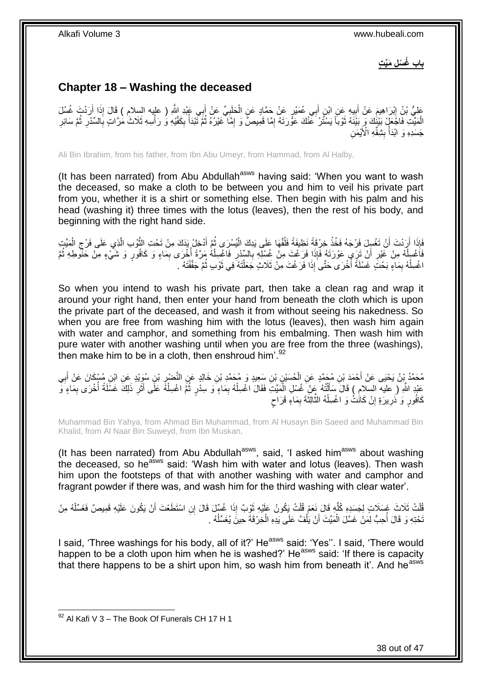**باب ُغ ْس ِل َمِّي ت**

## <span id="page-37-0"></span>**Chapter 18 – Washing the deceased**

َ عَلِيُّ بْنُ إِبْرَاهِيمَ عَنْ أَبِيهِ عَنِ ابْنِ أَبِي عُمَيْرٍ عَنْ حَمَّادٍ عَنِ الْحَلَبِيِّ عَنْ أَبِي عَبْدِ اللَّهِ ( عليه السِلام ) قَالَ إِذَا أَرَدْتَ غُسْلَ ِ ْ َ ِ َ ِ َ  $\ddot{\phantom{a}}$ الْمَيِّتِ فَاجْعَلْ بَيْنُكَ وَ بَيْنَهُ ثَوْباً يَسْتُرُ عَنْكَ عَوَّرَتَهُ إِمَّا قَمِيصٌّ وَ إِمَّا غَيْرُهُ ثُمَّ تَبْدَأُ بِكَفَّيْهِ وَ رَأْسِهِ ثَلَاثٌ مُرَّاتٍ بِالسِّدْرِ ثُمَّ سَائِرِ  $\ddot{\phantom{0}}$ ِ ِ َ ْ ِ  $\ddot{\phantom{0}}$ ِ ِ ة<br>أ ِ جَسَدِهِ وَ ابْدَأْ بِشِقِّهِ الْأَيْمَنِ **∣** ْ

Ali Bin Ibrahim, from his father, from Ibn Abu Umeyr, from Hammad, from Al Halby,

(It has been narrated) from Abu Abdullah<sup>asws</sup> having said: 'When you want to wash the deceased, so make a cloth to be between you and him to veil his private part from you, whether it is a shirt or something else. Then begin with his palm and his head (washing it) three times with the lotus (leaves), then the rest of his body, and beginning with the right hand side.

َفَإِذَا أَرَدْتَ أَنْ تَغْسِلَ فَرْجَهُ فَخُذْ خِرْقَةً نَظِيفَةً فَلُقَّهَا عَلَى يَدِكَ الْيُسْرَى ثُمَّ أَدْخِلْ يَذكَ مِنْ تَحْتِ الثَّوْبِ الَّذِي عَلَى فَرْجِ الْمَيِّتِ َ َّ َ  $\ddot{\phantom{0}}$ ْ ֦֦֧֦֧֚֚֡֡֡֝֬֝֬֝֬֝<br>֧֪֪֧֦֧֦֧֦֧֦֧ׅ֪֦֧֚֚֚֚֚֚֚֚֚֚֚֚֚֚֚֚֚֚֚֚֚֚֚֚֚֚֚֝֝֬֜֝֬ ْ ْ ِ َّ فَاَغْسِلْهُ مِنْ غَيْرِ أَنْ تَرَى عَوْرَتَهُ فَإِذَا فَرَغْتَ مِنْ غُسْلِهِ بِالسِّدْرِ فَاغْسِلْهُ مَرَّةً أُخْرَى بِمَاءٍ وَ كَافُورٍ وَ شَيْءٍ مِنْ حَنْوطِهِ ثُمَّ ِ ِ اً **∶** ْ ِ j  $\ddot{\phantom{0}}$ اغْسِلْهُ بِمَاءٍ بَحْتَ غَسْلَةً أُخْرَى حَتَّىَ إِذَا فَرَغْتَ مِنْ ثَلَاثٍ جَعَلْتَهُ فِي ثَوْبٍ ثُمَّ جَفَّفْتَهُ .  $\ddot{\phantom{0}}$ َ ْ j ِ ْ

So when you intend to wash his private part, then take a clean rag and wrap it around your right hand, then enter your hand from beneath the cloth which is upon the private part of the deceased, and wash it from without seeing his nakedness. So when you are free from washing him with the lotus (leaves), then wash him again with water and camphor, and something from his embalming. Then wash him with pure water with another washing until when you are free from the three (washings), then make him to be in a cloth, then enshroud him'.<sup>92</sup>

مُحَمَّدُ بِنُ يَحْيَى عَنْ أَحْمَدَ بْنِ مُحَمَّدٍ عَنِ الْحُسَيْنِ بْنِ سِعِيدٍ وَ مُحَمَّدِ بْنِ خَالِدٍ عَنِ النَّضْرِ بْنِ سُوَيْدٍ عَنِ ابْنِ مُسْكَانَ عَنْ أَبِي ِ ْ ِ َ عَبْدِ اللَّهِ ( عليه السلامِ ) قَالَ سَأَلْتُهُ عَنْ ِغُسْلِ الْمَيِّتَ فَقَالَ اغْسِلْهُ بِمَاءٍ وَ سِذْرٍ ثُمَّ اغْسِلْهُ عَلَى أَثَرِ ذَلِكَ غَسْلَةً أُخْرَى بِمَاءٍ وَ ْ  $\ddot{\cdot}$ ِ ْ ْ ֺ֦֪֦֧֦֦֦֪֦֪֦֪֦֪֦֧֦֪֦֪֦֪֪֦֪֦֪֦֪֦֧֦֪֦֧֝֟֟֟֟֟֟֟֟֟֟֟֟֟֟֟֓֟֘֟֟֟֓֕֟֟֟֓֡֟֓֟֓֟֓֡֟֓֟֓֡֟֟֓֟֟֟֟֟֟֟֟֟֟֟֟֟֟ َ ِ ĺ ِ َ ٍ كَافُورٍ وَ ذَرِيرَةٍ إِنْ كَاتَٰتْ وَ اغْسِلْهُ الثَّالِثَةَ بِمَاءٍ قَرَاحٍ ِ َّ ْ **׀ ∶** 

Muhammad Bin Yahya, from Ahmad Bin Muhammad, from Al Husayn Bin Saeed and Muhammad Bin Khalid, from Al Naar Bin Suweyd, from Ibn Muskan,

(It has been narrated) from Abu Abdullah<sup>asws</sup>, said, 'I asked him<sup>asws</sup> about washing the deceased, so he<sup>asws</sup> said: 'Wash him with water and lotus (leaves). Then wash him upon the footsteps of that with another washing with water and camphor and fragrant powder if there was, and wash him for the third washing with clear water'.

قُلْتُ ثَلَاثَ غَسَلَاتٍ لِجَسَدِهِ كُلِّهِ قَالَ نَعَمْ قُلْتُ يَكُونُ عَلَيْهِ ثَوْبٌ إِذَا غُسِّلَ قَالَ إنِ اسْتَطَعْتَ أَنْ يَكُونَ عَلَيْهِ قَمِيصٌ فَغَسِّلْهُ مِنْ<br>نِيفِ الْمَسْرِينِ فَجَمَعُوا فَسَلَّمْ مِنْ الْم َ ْ ِّ ْ ْ َ تَحْتِهِ وَ قَالَ أُحِبُّ لِمَنْ غَسَّلَ الْمَيِّتَ أَنْ يَلُّفَّ عَلَى يَدِهِ الْخِرْقَةَ حِينَ يُغَسِّلُهُ .  $\ddot{\phantom{0}}$ ْ ĺ َ ْ j

I said, 'Three washings for his body, all of it?' He<sup>asws</sup> said: 'Yes''. I said, 'There would happen to be a cloth upon him when he is washed?' He<sup>asws</sup> said: 'If there is capacity that there happens to be a shirt upon him, so wash him from beneath it'. And he<sup>asws</sup>

<sup>1</sup>  $92$  Al Kafi V 3 – The Book Of Funerals CH 17 H 1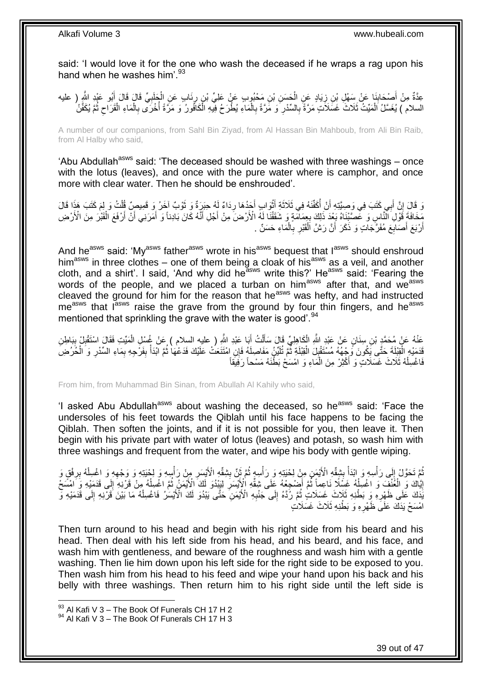said: 'I would love it for the one who wash the deceased if he wraps a rag upon his hand when he washes him'.<sup>93</sup>

عِدَّةٌ مِنْ أَصْحَابِذَا عَنْ سَهْلِ بْنِ زِيَادٍ عَنِ الْحَسَنِ بْنِ مَحْبُوبٍ عَنْ عَلِيٍّ بْنِ رِئَابٍ عَنِ الْجَلَبِيِّ قَالَ قَالَ أَبُو عَبْدِ الثَّهِ ( عليه<br>مَعْنَةٌ مِنْ أَصْحَابِنَا \* فَيَرْجَعَ الْعَمَانِ الْحَس **∣** َ َ ِ ْ ِ ْ ِ السلام ) يُغَسَّلُ الْمَيِّتُ ثَلَاثَ غَسَلاَتٍ مَرَّةً بِالسِّدْرِ ۖ وَ مَّرَّةً بِالْمَاءِ يُطْرَحُ فِيَّهِ الْكَافُورُ وَ مَرَّةً اُخْرَى بِالْمَاءِ الْقَرَاحِ ثُمَّ يُكَفَّنُ ْ ْ ِ ِ ِ  $\ddot{\phantom{0}}$  $\zeta$ ْ ْ ِ j

A number of our companions, from Sahl Bin Ziyad, from Al Hassan Bin Mahboub, from Ali Bin Raib, from Al Halby who said,

'Abu Abdullah<sup>asws</sup> said: 'The deceased should be washed with three washings – once with the lotus (leaves), and once with the pure water where is camphor, and once more with clear water. Then he should be enshrouded'.

َ دَ قَالَ إِنَّ أَبِي كَتَبَ فِي وَصِيَّتِهِ أَنْ أَكَفَّنَهُ فِي ثَلَاثَةِ أَنْوَابٍ أَجَدُهَا رِدَاءٌ لَهُ حَبَرَةٌ وَ نَوْبٌ آخَرُ وَ قَمِيصٍ قُلْتُ وَ لِمَ كَتَبَ هَذَا قَالَ ِ َ ْ َ َ j َ َ ا<br>با ْ مَخَافَةَ قَوْلِ َالَّذَّاسِ وَ عَّصَّيْنَاهُ بَعْدَ ذَلِكَ بِعِمَامَةٍ وَ شَقَقْنَا لَهُ الْأَرْضَ مِنْ أَجْلِ أَنَّهُ كَانَ بَادِناً وَ أَمَرَنِي أَنَّ أَرْفَعَ الْقَبْرَ مِنَ الْأَرْضِ َ َ **∶** ْ َ َ َ ِ أَرْبَعَ أَصَابِعَ مُفَرَّجَاتٍ وَ ذَكَرَ أَنَّ رَشَّ اَلْقَبْرِ بِالْمَاءِ حَسَنٌ . َ اً ْ ِ **∶** ْ

And he<sup>asws</sup> said: 'My<sup>asws</sup> father<sup>asws</sup> wrote in his<sup>asws</sup> bequest that l<sup>asws</sup> should enshroud him<sup>asws</sup> in three clothes – one of them being a cloak of his<sup>asws</sup> as a veil, and another cloth, and a shirt'. I said, 'And why did he<sup>asws</sup> write this?' He<sup>asws</sup> said: 'Fearing the words of the people, and we placed a turban on him<sup>asws</sup> after that, and we<sup>asws</sup> cleaved the ground for him for the reason that he<sup>asws</sup> was hefty, and had instructed me<sup>asws</sup> that l<sup>asws</sup> raise the grave from the ground by four thin fingers, and he<sup>asws</sup> mentioned that sprinkling the grave with the water is good'.<sup>94</sup>

عَذْهُ عَنْ مُحَمَّدٍ بْنِ سِنَانٍ عَنْ عَبْدِ اللَّهِ الْكَاهِلِيِّ قَالَ سَأَلْتُ أَبَا عَبْدِ اللَّهِ ( عليه السلام ) عَنْ غُسْلِ الْمَيِّتِ فَقَالَ اسْتَقْبِلْ بِبَاطِنِ<br>سَنْ عُسْلِ الْمَيِّتِ فَقَالَ اسْتَقْبِلْ بِبَا َ ْ َ ْ ِ ِ ْ قَدَمَدْهِ الْقِلِّلَةَ حَتَّى يَكُونَ وَجْهُهُ مُسْتَقْبِلَ الْقِبْلَةِ ثُمَّ تُلَيِّنُ مَفَاصِلَهُ فَإِنِ امْتَنَعَتْ عَلَيْكَ فَدَعْهَا ثُمَّ الْذَا بِفَرْجِهِ بِمَاءِ السِّدْرِ وَ الْخُرُضِ لَ  $\ddot{\phantom{0}}$ :<br>ا ِ ْ ْ ِ ِ ِ ْ  $\ddot{\cdot}$ فَاغْسِلْهُ ثَلَاثَ غَسَلَاتٍۖ وَ أَكْثِرْ مِنَ الْمَاءِ وَ امْسَحْ بَطْٰنَهُ مَسْحاً رَفِيقَاً ْ ْ َ

From him, from Muhammad Bin Sinan, from Abullah Al Kahily who said,

'I asked Abu Abdullah<sup>asws</sup> about washing the deceased, so he<sup>asws</sup> said: 'Face the undersoles of his feet towards the Qiblah until his face happens to be facing the Qiblah. Then soften the joints, and if it is not possible for you, then leave it. Then begin with his private part with water of lotus (leaves) and potash, so wash him with three washings and frequent from the water, and wipe his body with gentle wiping.

ِ ُمَّ تَحَوَّلْ إِلَى رَأْسِهِ وَ ابْدَأْ بِشِقِّهِ الْأَيْمَنِ مِنْ لِحْيَتِهِ وَ رَأْسِهٍ ثُمَّ ثَنِّ بِشِقَّهِ الْأَيْسَرِ مِنْ رَأْسِهِ وَ لِحْيَتِهِ وَ وَجْهِهِ وَ اغْسِلْهُ بِرِفْقٍ وَ ِ َ  $\ddot{\phantom{a}}$  $\frac{1}{2}$ *<u><sup></sup>*</u> ْ ِ ِ ْ ِ **ٔ** إِيَّاكَ وَ الْغُنْفَ وَ اغْسِلْهُ غَسِّلًا نَاعِماً ثُمَّ أَصْبِعْهُ عَلَى شِقِّهِ الْإِيْسَرَ لِيَبْدُوَ لَكَ الْأَيْمَنُ ثُمَّ اغْسِلْهُ مِنْ قَرْنِهِ إِلَى قَدَمَيْهِ وَ اَمْسَعْ <u>֖֖֚֚֚֚֚֓</u> ْ  $\ddot{\ddot{\cdot}}$ **∶**  $\ddot{\phantom{0}}$ ْ لَ ِ يَٰٓدَكَ عَلَى ظَهْرِهِۚ وَ بَطْنِهِ ثَلَاثَ غَسَلَاتٍۢ ثُمَّ رُدَّهُ إِلَى جَنْبِهِ الْأَيْمَنِۙ حَتَّى يَبْدُوَ لَكَ الْأَيْمَنِٰ فَاغْسِلْهُ مَا بَيْنَ قَرْبِهِ إِلَى قَدَمَيْهِ وَ ِ ِ Ľ **∶** ِ ْ اَمْسَحْ يَدَكَ عَلَى ظَّهْرِهِ وَ بَطْنِهِ ثَلَاثَ غَسَلَاتٍ ِ

Then turn around to his head and begin with his right side from his beard and his head. Then deal with his left side from his head, and his beard, and his face, and wash him with gentleness, and beware of the roughness and wash him with a gentle washing. Then lie him down upon his left side for the right side to be exposed to you. Then wash him from his head to his feed and wipe your hand upon his back and his belly with three washings. Then return him to his right side until the left side is

 $93$  Al Kafi V 3 – The Book Of Funerals CH 17 H 2

 $94$  Al Kafi V 3 – The Book Of Funerals CH 17 H 3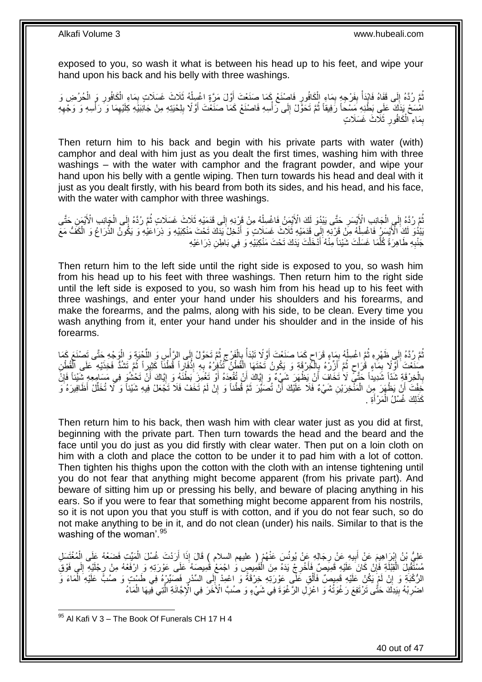exposed to you, so wash it what is between his head up to his feet, and wipe your hand upon his back and his belly with three washings.

نُّمَّ رُدَّهُ إِلَى قَفَاهُ فَابْدَأْ بِفَرْجِهٍ بِمَاءِ الْكَافُورِ فَاصِنْغْ بِمَمَا صَنَعْتَ أَوَّلَ مَرَّةٍ اغْسِلْهُ ثَلَاثَ غَسَلَاتٍ بِمَاءِ الْكَافُورِ وَ الْحُرُضِ وَ ْ َ ِ ْ ِ **ِ** ْ  $\frac{1}{2}$ ْ ِ ْ ِ لَ ِ امْسَحْ يَذَكَ ۚ عَلَى بَطْنِهِ مَسْحاً رَفِيقاً ثُمَّ تَحَوَّلْ إِلَى رَأْسِهِ فَاصْنَعْ كَمَا صَنَعْتَ أَوَّلًا بِلِحْيَتِهِ مِنْ جَانِبَيْهِ كِلَيْهِمَا وَ رَأْسِهِ وَ وَجْهِهِ  $\ddot{\phantom{0}}$ ِ **ٔ** ِ ِ َ **ٔ** بِمَاءِ ۖ الْكَافُورِ ۚ ثَلَاثَ غَسَلَاتٍ **∶** ْ ِ

Then return him to his back and begin with his private parts with water (with) camphor and deal with him just as you dealt the first times, washing him with three washings – with the water with camphor and the fragrant powder, and wipe your hand upon his belly with a gentle wiping. Then turn towards his head and deal with it just as you dealt firstly, with his beard from both its sides, and his head, and his face, with the water with camphor with three washings.

تُّمَّ رُدَّهُ إِلَى الْجَانِبِ الْأَيْسَرِ حَتَّى يَبْدُوَ لَكَ الْأَيْمَنُ فَاغْسِلْهُ مِنْ قَرْنِهِ إِلَى قَدَمَيْهِ ثَلَاثَ غَسَلَاتٍ ثُمَّ رُدَّهُ إِلَى الْجَانِبِ الْأَيْمَنِ حَتَّى  $\frac{1}{2}$ ْ **∶** ْ ِ į  $\ddot{\cdot}$ ْ ِ َبَدُوَ لَكَ الْأَيْسَرِ فَاغْسِلْهُ مِنْ قَرْنِهِ إِلَى قَدَمَيْهِ ثَلَاثَ غَسَلَاتٍ وَ أَذْخِلْ يَدَكَ تَحْتَ مَنْكِبَيْهِ وَ ذِرَاعَيْهِ وَ يَكُونُ الذِّرَاعُ وَ الْكَفُّ مَعَ َ ِ ْ ْ جَنْبِهِ طَاهِرَةً كُلِّمَا غَسَلْتَ شَيْئاً مِنْهُ أَدْخَلْتَ يَدَكَ تَحْتَ مَنْكِبَيْهِ وَ فِي بَاطِنِ ذِرَاعَيْهِ ْ َّ ِ ْ َ

Then return him to the left side until the right side is exposed to you, so wash him from his head up to his feet with three washings. Then return him to the right side until the left side is exposed to you, so wash him from his head up to his feet with three washings, and enter your hand under his shoulders and his forearms, and make the forearms, and the palms, along with his side, to be clean. Every time you wash anything from it, enter your hand under his shoulder and in the inside of his forearms.

لَ  $\frac{1}{2}$ تُمَّ رُدَّهُ إِلَى ظَهْرِهِ ثُمَّ اغْسِلْهُ بِمَاءٍ قَرَاحٍ كَمَا صَنَعْتَ أَوَّلًا تَبْدَأُ بِالْفَرْجِ ثُمَّ تَحَوَّلْ إِلَى الرَّأْسِ وَ اللَّحْيَةِ وَ الْوَجْهِ حَتَّى تَصْنَعَ كَمَا<br>..................................  $\ddot{\cdot}$  $\zeta$ ْ ِ Í َ ٍ ¦ ْ  $\ddot{\cdot}$ **∶** ∣l<br>∶ ْ ِّ **ٔ** صُنَعْتَ أَوَّلًا بِمَاءٍ قُرَاحٍ ثُمَّ أَزِّرْهُ بِالْخِرْقَةِ وَ يَكُونُ تَحْتَهَا الْقُطْنُ تَّنْزُوْرُهُ بِهِ إِذْفَارِاً قُطْنَاً كَثِيراً ثُمَّ تَشُدُّ فَخِذَيْهِ عَلَى الْقُطْنِ ْ ِ **ٔ** ْ ֡֡֡֡֡֡֡֡֡֡֡֡֡֬֞֟ ِ<br>پُ َ  $\ddot{\cdot}$ ٍ ِ َ ْ  $\ddot{\phantom{0}}$ بِالْخِرْقَةِ شَدَّاً شَدِيداً حَتَّى لَا تَخَافَ أَنْ يَظْهَرَ شَيْءٌ وَ إِيَّاكَ أَنْ تُقْوِدَهُ أَوْ تَغْمِزَ بَطْنَهُ وَ إِيَّاكَ أَنْ تَحْشُوَ فِي مَسَامِعِهِ شَيْئاً فَإِنَّ ْ **∶** ∣ļ َ ِ َ َ ِ خِفْتَ أَنْ يَظْهَرَ مِنَ الْمَنْْخِرَيْنِ شَيْءٌ فَلَا عَلَيْكَ أَنْ تُصَبِّرَ ثَمَّ قُطْناً وَ إِنْ لَمْ تَخَفْ فَلا تَخَمَّلْ فِيهِ شَيْئاً وَ لَا تُخَلِّلْ أَظَافِيرَهُ وَ ْ اً ِ َ َ ِّ كَذَلِكَ غُسْلُ الْمَرْأَةِ . َ ْ

Then return him to his back, then wash him with clear water just as you did at first, beginning with the private part. Then turn towards the head and the beard and the face until you do just as you did firstly with clear water. Then put on a loin cloth on him with a cloth and place the cotton to be under it to pad him with a lot of cotton. Then tighten his thighs upon the cotton with the cloth with an intense tightening until you do not fear that anything might become apparent (from his private part). And beware of sitting him up or pressing his belly, and beware of placing anything in his ears. So if you were to fear that something might become apparent from his nostrils, so it is not upon you that you stuff is with cotton, and if you do not fear such, so do not make anything to be in it, and do not clean (under) his nails. Similar to that is the washing of the woman'.<sup>95</sup>

عَلِيُّ بْنُ إِبْرَاهِيمَ عَنْ أَبِيهِ عَنْ رِجَالِهِ عَنْ يُونُسَ عَنْهُمْ ( عليهم السلام ) قَالَ إِذَا أَرَدْتَ غُسْلَ الْمَيِّتِ فَضَعْهُ عَلَى الْمُغْتَسِّلِ ِ **! ֽו** ْ ْ َ مُسْتَّقْبِلَ الْقِبْلَةِ فَإِنْ كَانَ عَلَيْهِ قَمِيَصٌ فَأُخْرِجْ يَدَهُ مِنَ الْقَمِيصِ وَ اجْمَعْ قَمِيصَهُ عَلَى عَوْرَتِهِ وَ ارْفَعْهُ مِنْ رِجْلَيْهِ إِلَى فَوْقِ ْ ِ َ ِ :<br>ا ِ ِ ِ الرُّكْبَةِ وَ إِنْ لَمْ يَكُنْ عَلَيْهِ قَمِيصٌ فَأَلْقِ عَلَّى عَوْرَتِهِ خِرْقَةً وَ اعْمِدْ إِلَى السِّدْرِ فَصِّيِّرْهُ فِي طَسْتٍ وَ صُبًّ عَلَيْهِ الْمَاءَ وَ ِ ِ ْ َ  $\sum_{i=1}^{n}$ ْ اضْرِبْهُ بِبَدِكَ حَتَّى تَرْتَفِعَ رَغْوَتُهُ وَ اعْزِلِ الرَّغْوَةَ فِي شَيْءٍ وَ صُبَّ الْأَخَرَ فِي الْإِجَّانَةِ الَّتِي فِّيهَا الْمَاءُ **∶ !** ِ ْ َّ

 $95$  Al Kafi V 3 – The Book Of Funerals CH 17 H 4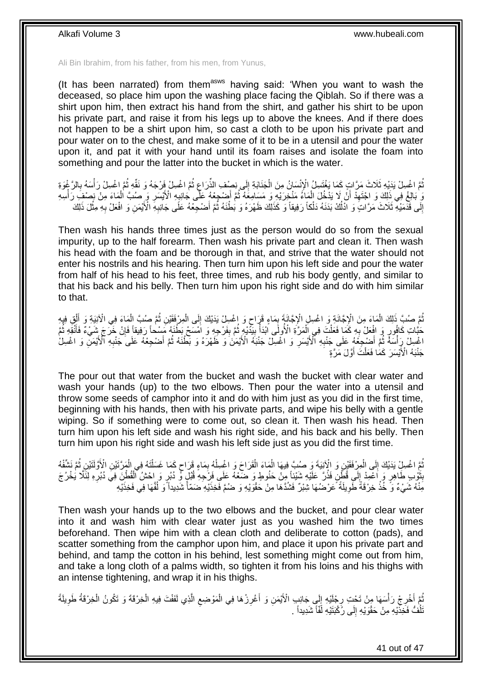Ali Bin Ibrahim, from his father, from his men, from Yunus,

(It has been narrated) from them $a<sup>asws</sup>$  having said: 'When you want to wash the deceased, so place him upon the washing place facing the Qiblah. So if there was a shirt upon him, then extract his hand from the shirt, and gather his shirt to be upon his private part, and raise it from his legs up to above the knees. And if there does not happen to be a shirt upon him, so cast a cloth to be upon his private part and pour water on to the chest, and make some of it to be in a utensil and pour the water upon it, and pat it with your hand until its foam raises and isolate the foam into something and pour the latter into the bucket in which is the water.

ثُمَّ اغْسِلْ يَذَيْهِ ثَلَاثَ مَرَّاتٍ كَمَا يَغْتَسِلُ الْإِنْسَانُ مِنَ الْجَنَابَةِ إِلَى نِصِفِ الذِّرَاع<br>الْمَسِلِّ الْمَسِلِّ مِنْ مَعْ أَوْ مَ اللَّهِ الْمَسْلِمِينَ مِنَ الْجَنَابَةِ إِلَى نِصِفِ الذِّرَاعِ ثُمَّ  $\ddot{\phantom{0}}$ ِ ∣∣<br>∶ ْ ِ ْ  $\ddot{\phantom{0}}$ يَ بَالِغْ فِي ذَلِكَ وَ اجْتَهِدْ أَنْ لَا يَدْخُلَ الْمَاءُ مَنْخِرَيْهِ وَ مَسَامِعَهُ ثُمَّ أَضْجِعْهُ عَلَى جَانِبِهِ الْأَيْسَرِ وَ صُبَّ الْمَاعَ مِنْ نِصْفِ رَأْسِهِ ْ َ ِ ْ ْ ِ ِ َ  $\ddot{\cdot}$ إِلَى قَدْمَيْهِ ثَلَاثَ مَرَّاتٍ وَ اَدْلُكْ بَدَنَهُ دَلْكاً رَفِيقاً وَ كَذَلِكَ ظَهْرَهُ وَ بُطْنَهُ ثُمَّ أَضْحِعْهُ عَلَى جَانِبِهِ الْأَيْمَنِ وَ افْعَلْ بِهِ مِثْلَ ذَلِكَ َ  $\ddot{\phantom{0}}$ ْ ľ ِ **∶** ِ

Then wash his hands three times just as the person would do so from the sexual impurity, up to the half forearm. Then wash his private part and clean it. Then wash his head with the foam and be thorough in that, and strive that the water should not enter his nostrils and his hearing. Then turn him upon his left side and pour the water from half of his head to his feet, three times, and rub his body gently, and similar to that his back and his belly. Then turn him upon his right side and do with him similar to that.

مُّمَّ صُبِّ ذَٰلِكَ الْمَاءَ مِنَ الْإِجَّانَةِ وَ اغْسِلِ الْإِجَّانَةَ بِمَاءٍ قَرَاحٍ وَ اغْسِلْ يَدَيْكَ إِلَى الْمِرْفَقَيْنِ ثُمَّ صُبِّ الْمَاءَ فِي الْآنِيَةِ وَ أَلْقِ فِيهِ<br>يَمَيْنُ ذَٰلِكَ الْمَاءَ فِي الْإِجْ ْ ِ ٍ ِ ْ ْ َ ْ  $\ddot{\phantom{0}}$ حَبَّاتِ كَافُورٍ وَ افْعَلْ بِهِ كَمَا فَعَلْتَ فِي الْمَرَّةِ الْأُولَى اَبْدَأْ بِيَدْيْهِ ثُمَّ بِفَرْجِهِ وَ اَمْسَحْ بَطْنَهُ مَسْحاً رَفِيقاً فَإِنْ خَرَجَ شَيْءٌ فَأَنْقِهِ ثُمَّ ْ **∶** ∣ļ  $\frac{1}{2}$  $\ddot{\phantom{0}}$ ¦ ا<br>أ  $\ddot{\phantom{0}}$ َ  $\ddot{\ddot{\cdot}}$ اغْسِلْ رِأْسَةً ثُمَّ أَضْبِجَعْهُ عَلَى جَنْدِهِ ٱلْأَيْسَرِ وَ اغْسِلْ جَنْبَهُ الْأَيْمَنَ وَ ظَهْرَهُ وَ بَطْنَهُ ثُمَّ أَضْجِعْهُ عَلَى جَنْدِهِ الْأَيْمَنِّ وَ اغْسِلْ **∶ ∶** َ į ْ ِ َ جَنْبَهُ الْأََيْسَرَ كَمَا فَعَلْتَ أَوَّلَ مَرَّةٍ َ ْ

The pour out that water from the bucket and wash the bucket with clear water and wash your hands (up) to the two elbows. Then pour the water into a utensil and throw some seeds of camphor into it and do with him just as you did in the first time, beginning with his hands, then with his private parts, and wipe his belly with a gentle wiping. So if something were to come out, so clean it. Then wash his head. Then turn him upon his left side and wash his right side, and his back and his belly. Then turn him upon his right side and wash his left side just as you did the first time.

ُّمَّ اعْسِلِْ يَدَيْكَ إِلَى الْمِرْفَقَيْنِ وَ الْآنِيَةَ وَ صُبَّ فِيهَا الْمَاءَ الْقَرَاحَ وَ اغْسِلْهُ بِمَاءٍ قَرَاحٍ كَمَا غَسَلْتَهُ فِي الْمَرَّتَيْنِ الْأَوَّلَتَيْنِ ثُمَّ نَشْفُهُ ْ  $\frac{1}{2}$  $\ddot{\phantom{0}}$ ْ ْ ٍ ِ ْ ْ ْ َثُوْبِ طَاهِرٍ ۖ وَ اُعْمِدْ إِلَى قُطِّنٍۗ فَذُرَّ عَلَيْهِ شَيْئاً مِنْ حَنُوطٍ وَ ضَعْهُ عَلَى فَرْجِهِ قُلْلٍ وَّ دُبُرٍ وَ إِحْشُ الْقُطْنِّ فِي دُبُرِ وَ لِنَّكَّا يَخْرُجَ ِ  $\ddot{\phantom{0}}$ **ِ** ِ مِّنْهُ شَيْءٌ وَ خُذْ خِرْقَةَ طَوِيلَةً عَرْضُهَا شِبْرٌ فَشُدَّهَا مِنْ حَقْوَيْهِ وَ ضُمَّ فَخِذَيْهِ ضَمَّأْ شَدِيداً وَ لُفَّهَا فِي فَخِذَيْهِ ֖֖֖֚֚֚֚֡֡֡֝֬֝֬֝֬<br>֧ׅ֧ׅ֧ׅ֧֧֧֪ׅ֧֧֪ׅ֖֧֪ׅ֧֪ׅ֧֪ׅ֧֪ׅ֧֧֧֚֚֚֚֚֚֚֚֚֚֚֚֚֚֚֚֚֚֚֚֚֚֚֚֚֚֚֚֚֚֚֚֚֚֚֚֚֜֝֬֡֟֩֟֓֝֬֝֬ **∶ ٔ** 

Then wash your hands up to the two elbows and the bucket, and pour clear water into it and wash him with clear water just as you washed him the two times beforehand. Then wipe him with a clean cloth and deliberate to cotton (pads), and scatter something from the camphor upon him, and place it upon his private part and behind, and tamp the cotton in his behind, lest something might come out from him, and take a long cloth of a palms width, so tighten it from his loins and his thighs with an intense tightening, and wrap it in his thighs.

نُمَّ أَخْرِجْ رَأْسَهَا مِنْ تَحْتِ رِجْلَيْهِ إِلَي جَانِبِ الْأَيْمَنِ وَ أَغْرِزْهَا فِي الْمَوْضِعِ الَّذِي لَفَفْتَ فِيهِ الْخِرْقَةَ وَ تَكُونُ الْخِرْقَةُ طَوِيلَةً **∶** ِ َ į ِ ْ ْ َّ ِ ْ **∶** َ  $\frac{1}{2}$ ّنَّلُفُّ فَخَذَّيْهِ مِنْ حَقْوَيْهِ إِلَى رُكْبَتَيْهِ لَّفَّاً شَدِيداً . ِ Ĭ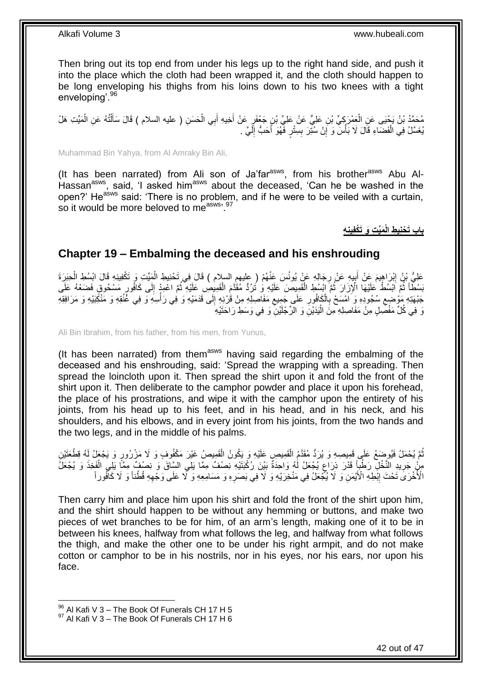Then bring out its top end from under his legs up to the right hand side, and push it into the place which the cloth had been wrapped it, and the cloth should happen to be long enveloping his thighs from his loins down to his two knees with a tight enveloping<sup>'.96</sup>

مُحَمَّدُ بْنُ يَحْيَى عَنِ الْعَمْرَكِيِّ بْنِ عَلِيٍّ عَنْ عَلِيِّ بْنٍ جَعْفَرٍ عَنْ أُخِيهِ أَبِي الْحَسَنِ ( عليه السلام ) قَالَ سَأَلْتُهُ عَنِ الْمَيِّتِ هَلْ<br>رحمَنه ْ ْ ْ َ ْ َ َ يُغَسَّلُ فِي الْفَضَاءِ قَالَ لَا بَأْسَ وَ إِنْ سُٰتِرَ بِسِنْرٍ فََهُوَ أَحَبُّ إِلَيَّ . لَ ِ َ **!** יִי (ֽו **ٔ** ْ

Muhammad Bin Yahya, from Al Amraky Bin Ali,

(It has been narrated) from Ali son of Ja'far<sup>asws</sup>, from his brother<sup>asws</sup> Abu Al-Hassan<sup>asws</sup>, said, 'I asked him<sup>asws</sup> about the deceased, 'Can he be washed in the open?' He<sup>asws</sup> said: 'There is no problem, and if he were to be veiled with a curtain, so it would be more beloved to measure,  $5.53$ 

**َمِّي ِت َو َتْكفِينِ ِه باب َت ْحنِي ِط الْ**

### <span id="page-41-0"></span>**Chapter 19 – Embalming the deceased and his enshrouding**

عَلِيُّ بِْنُ اِبْرَاهِيمَ عَنْ أَبِيهِ عَنْ رِجَالِهِ عَنْ يُونُسَ عَنْهُمْ ( عليهمِ السلام ) قَالَ فِي تَحْنِيطِ الْمِيِّتِ وَ تَكْفِينِهِ قَالَ ابْسُطِ الْحِبَرَةَ ْ ِ **∣ ֝**ׇ֖֦֦֧֖֖֖֖֖֖֖֖֧֧֦֧֦֦֦֦֦֖֖֖֧֦֚֚֚֚֚֚֚֚֚֚֚֚֚֚֚֓֘֝֟֘֝֝֝֓֝֝֘֝֟֡֘ ْ بَسْطاً ثُمَّ اَبْسُطْ عَلَيْهَا الْإِزَارَ ثُمَّ إِبْسُطِ الْقَمِيصَ عَلَيْهِ وَ تُرُدُّ مُقَدَّمَ الْقَمِيصِ عَلَيْهِ ثُمَّ اعْمِدْ إِلَى كَافُورٍ مَسْحُوقٍ فَضَعْهُ عَلَى  $\ddot{\cdot}$ ْ ْ  $\ddot{\phantom{0}}$  $\ddot{\phantom{a}}$ ِ ْ جَبْهَنِّهِ مَوْضِع سُجُودِهِ وَ َامْسَحْ بِالْكَافُورِ عَلَى جَمِيع مَفَاصِلِهِ مِنْ قَرْنِهِ إِلَى قَدَمَيْهِ وَ فِي رَأْسِهِ وَ فِي غُنُقِهِ وَ مَنْكَبَيْهِ وَ مَرَافِقِهِ **∶**  $\zeta$ **ٔ** ِ ِ ِ نَ فِي كُلِّ مَفْصِلٍ مِنْ مَفَاصِلِهِ مِنَ الْيَدَيْنِ وَ الرِّجْلَيْنِۗ وَ فِي وَسَطِ رَاحَتَيْهِ :<br>إ

Ali Bin Ibrahim, from his father, from his men, from Yunus,

(It has been narrated) from them<sup>asws</sup> having said regarding the embalming of the deceased and his enshrouding, said: 'Spread the wrapping with a spreading. Then spread the loincloth upon it. Then spread the shirt upon it and fold the front of the shirt upon it. Then deliberate to the camphor powder and place it upon his forehead, the place of his prostrations, and wipe it with the camphor upon the entirety of his joints, from his head up to his feet, and in his head, and in his neck, and his shoulders, and his elbows, and in every joint from his joints, from the two hands and the two legs, and in the middle of his palms.

ُّمَّ يُحْمَلُ فَيُوضَعُ عَلَى قَمِيصِهِ وَ يُرَدُّ مُقَدَّمُ الْقَمِيصِ عَلَيْهِ وَ يَكُونُ الْقَمِيصُ غَيْرَ مَكْفُوفٍ وَ لَا مَزْرُورِ وَ يَجْعَلُ لَهُ قِطْعَتَيْنِ ْ ْ į مِنْ جَرِيدِ النَّخْلِ رَطْبِأَ قَدْرَ ذِرَاحٍ يُجْعَلُ لَٰهُ وَاحِدَةٌ بَيْنَ رُكْبَتَيْهِ نِصْفٌ مِمَّا بَلِي السَّاقَ وَ نِصْفٌ مِمَّا يَلِّي الْفَخِذَ وَ يُجْعَلُ ٍ ِ ْ الْأَخْرَى َتَحْتَ إِبْطِهِ الْأَيْمَنِ وَ لَا يُجْعَلُ فِي مَنْخِرَيْهِ وَ لَا فِي بَصَرِهِ وَ مَسَامِعِهِ وَ لَا عَلَى وَجْهِهِ قُطْناً وَ لَا كَأَفُوراً **ֽוּ** ِ ِ

Then carry him and place him upon his shirt and fold the front of the shirt upon him, and the shirt should happen to be without any hemming or buttons, and make two pieces of wet branches to be for him, of an arm's length, making one of it to be in between his knees, halfway from what follows the leg, and halfway from what follows the thigh, and make the other one to be under his right armpit, and do not make cotton or camphor to be in his nostrils, nor in his eyes, nor his ears, nor upon his face.

 $96$  Al Kafi V 3 – The Book Of Funerals CH 17 H 5

 $97$  Al Kafi V 3 – The Book Of Funerals CH 17 H 6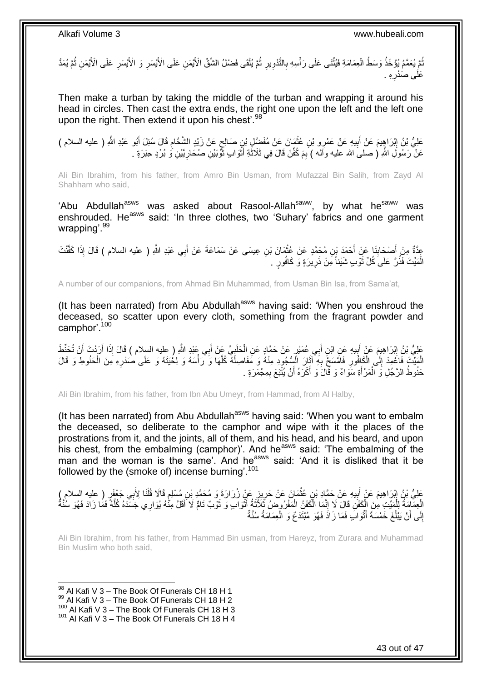ُّمَّ يُعَمَّمُ يُؤْخَذُ وَسَطُ الْعِمَامَةِ فَيُثْنَى عَلَى رَأْسِهِ بِالتَّذْوِيرِ ثُمَّ يُلْقَى فَضْلُ الشُّقِّ الْأَيْمَنِ عَلَى الْأَيْسَرِ وَ الْأَيْسَرِ عَلَى الْأَيْمَنِ ثُمَّ يُمَدُّ ْ  $\ddot{\cdot}$ ِ **∶** ِ ْ **ٔ** ْ į  $\ddot{\phantom{a}}$ **∶ ∶** ِه . **∶** عَلَ*ى* صَدْرِ

Then make a turban by taking the middle of the turban and wrapping it around his head in circles. Then cast the extra ends, the right one upon the left and the left one upon the right. Then extend it upon his chest'.<sup>98</sup>

عَلِيُّ بْنُ إِبْرَاهِيمَ عَنْ أَبِيهِ عَنْ عَمْرِو بْنِ عُثْمَانَ عَنْ مُفَضِّلٍ بْنِ صَالِحٍ عَنْ زَيْدٍ الشَّحَامِ قَالَ سُئِلَ أَبُو عَبْدِ اللَّهِ ( عليه السلام )<br>-ِ ٍ **ٔ !** َ ِ َ عَنْ رَسُولِ اللَّهِ ( صلىَ الله عليه وأله ) بِمَ كُفِّنَ قَالَ فِي ثَلَاثَةِ أَثْوَابٍ ثُّوْبَيْنِ صُحَارِيَّيْنِ وَ بُرْدٍ حِبَرَةٍ . ِ َ **ٔ** َ

Ali Bin Ibrahim, from his father, from Amro Bin Usman, from Mufazzal Bin Salih, from Zayd Al Shahham who said,

'Abu Abdullah<sup>asws</sup> was asked about Rasool-Allah<sup>saww</sup>, by what he<sup>saww</sup> was enshrouded. He<sup>asws</sup> said: 'In three clothes, two 'Suhary' fabrics and one garment wrapping<sup>'.99</sup>

عِدَّةٌ مِنْ أَصْحَابِذَا عَنْ أَحْمَدَ بْنِ مُحَمَّدٍ عَنْ عُثْمَانَ بْنِ عِيسَى عَنْ سَمَاعَةَ عَنْ أَبِي عَبْدِ اللَّهِ ( عليه السلام ) قَالَ إِذَا كَفَّنْتَ َ **ٔ** َ ِ الْمَيِّتَ فَذُرَّ عَلَىَ كُلِّ ثَوْبٍ شَيْئاً مِنْ ذَرِيرَةٍ وَ كَافُورٍ ۖ . **ٍ** َ ْ

A number of our companions, from Ahmad Bin Muhammad, from Usman Bin Isa, from Sama'at,

(It has been narrated) from Abu Abdullah<sup>asws</sup> having said: 'When you enshroud the deceased, so scatter upon every cloth, something from the fragrant powder and camphor'.<sup>100</sup>

عَلِيُّ بْنُ إِبْرَاهِيمَ عَنْ أَبِيهِ عَنِ ابْنِ أَبِي عُمَيْرٍ عَنْ حَمَّادٍ عَنِ الْحَلَبِيِّ عَنْ أَبِي عَبْدِ اللَّهِ ( عليه السلام ) قَالَ إِذَا أَرَدْتَ أَنْ تُخَفِّظَ َ ِ ْ َ **∣** َ יִי י َ َ الْمَيِّتَ فَاعْمِدْ إِلَى الْكَافُورِ فَامْسَحْ بِهِ آثَانَ الْمِنْجُودِ مِنْهُ وَ مَفَاصِلَهُ كُلَّهَا وَ رَأْسَهُ وَ لِخُيَتَهُ وَ عَلَى صَدْرِهِ مِنَ الْحَنُوطِ وَ قَالَ **ٔ** َّ َ ِ ِ ْ ِ ْ ِ ِ حَنُوطُ الرَّجُلِ وَ الْمَرْ أَةِ سَوَاءٌ وَ قَالَ وَ أَكْرَهُ أَنْ يُثْبَعَ بِمِجْمَرَةٍ . َ َ ْ

Ali Bin Ibrahim, from his father, from Ibn Abu Umeyr, from Hammad, from Al Halby,

(It has been narrated) from Abu Abdullah<sup>asws</sup> having said: 'When you want to embalm the deceased, so deliberate to the camphor and wipe with it the places of the prostrations from it, and the joints, all of them, and his head, and his beard, and upon his chest, from the embalming (camphor)'. And he<sup>asws</sup> said: 'The embalming of the man and the woman is the same'. And he<sup>asws</sup> said: 'And it is disliked that it be followed by the (smoke of) incense burning'.<sup>101</sup>

عَلِيُّ بْنُ إِبْرَاهِيمَ عَنْ أَبِيهِ عَنْ حَمَّادِ بْنِ عُثْمَانَ عَنْ حَرِيزِ عَنْ زُرَارَةَ وَ مُحَمَّدٍ بْنِ مُسْلِمٍ قَالَا قُلْنَا لِأَبِي جَعْفَرٍ ( عليه السلام )ِ ¦<br>} ِ ْ **!** َ ׅ֚֚֚֚֚֚֚֚֚֚֚֚֚֚֬֡֡֡֡֡֡֡֡֡֡֡֡֡֡֡֡֬֝֩ ْ الْعِمَّامَةُ لِلْمَيِّتِ مِنَ الْكَفَنِ قَالَ لَا إِنَّمَا الْكَفَنُ الْمَفْرُوضُ ثَلاَّتَةُ أَثْوَابٍ وَ ثَوْبٌ تَامٍّ لَا أَقَلَّ مِنَّهُ يُوَارِي جَسَّدَهُ كُلَّهُ فَمَا زَادَ فَهُوَ سُنَّةٌ ْ ْ َّ َ َ ة<br>أ َ َ ْ ْ ِ إِلَى أَنْ يَبْلُغَ خَمْسَةَ أَثْوَابَ فَمَا زَادَ فَهُوَ مُبْتَدَعٌ وَ الْعِمَامَةُ سُنَّةٌ ْ **ٔ** َ  $\overline{\phantom{a}}$ َ ِ

Ali Bin Ibrahim, from his father, from Hammad Bin usman, from Hareyz, from Zurara and Muhammad Bin Muslim who both said,

1  $98$  Al Kafi V 3 – The Book Of Funerals CH 18 H 1  $^{99}$  Al Kafi V 3 – The Book Of Funerals CH 18 H 2 100 Al Kafi V 3 – The Book Of Funerals CH 18 H 3 <sup>101</sup> Al Kafi V 3 – The Book Of Funerals CH 18 H 4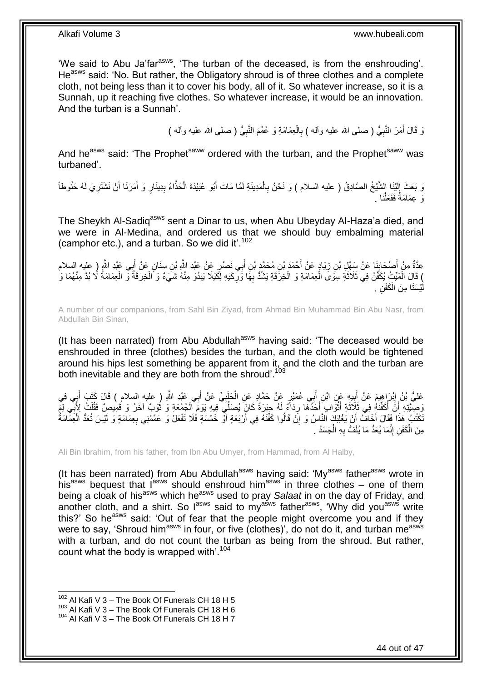'We said to Abu Ja'far<sup>asws</sup>, 'The turban of the deceased, is from the enshrouding'. He<sup>asws</sup> said: 'No. But rather, the Obligatory shroud is of three clothes and a complete cloth, not being less than it to cover his body, all of it. So whatever increase, so it is a Sunnah, up it reaching five clothes. So whatever increase, it would be an innovation. And the turban is a Sunnah'.

> **∶** رَ قَالَ أَمَرَ النَّبِيُّ ( صلى الله عليه وآلـه ) بِالْعِمَامَةِ وَ عُمِّمَ النَّبِيُّ ( صلى الله عليه وآلـه ) َ **∶** ْ **∶**

And he<sup>asws</sup> said: 'The Prophet<sup>saww</sup> ordered with the turban, and the Prophet<sup>saww</sup> was turbaned'.

وَ بَعَثَ إِلَيْنَا الشَّيْخُ الصَّادِقُ ( عليه السلام ) وَ نَحْنُ بِالْمَدِينَةِ لَمَّا مَاتَ أَبُو عُبَيْدَةَ الْحَذَّاءُ بِدِينَارٍ وَ أَمَرَنَا أَنْ نَشْتَرِيَ لَهُ حَنُوطاً ْ ِ لَ  $\frac{1}{2}$ ِ َ َ ِ ْ وَ عِمَامَةً فَفَعَلْنَا . ْ

The Sheykh Al-Sadiq<sup>asws</sup> sent a Dinar to us, when Abu Ubeyday Al-Haza'a died, and we were in Al-Medina, and ordered us that we should buy embalming material (camphor etc.), and a turban. So we did it'.<sup>102</sup>

عِدَّةٌ مِنْ أَصْحَابِنَا عَنْ سِهْلِ بْنِ زِيَادٍ عَنْ أَحْمَدَ بْنِ مُحَمَّدٍ بْنِ أَبِي نَصْرٍ عَنْ عَبْدِ اللَّهِ بْنِ سِنَانٍ عَنْ أَبِي عَبْدِ اللَّهِ ( عليه السلام<br>يَسْمَعُونَ أَسْمَدُ بَيْنِ اللَّهِ الْمَسْلام َ َ ِ **∣** َ َ ) قَالَ الْمَيِّتُ يُكَفَّنُ فِي ثَلاثَةٍ سِوَى الْعِمَامَةِ وَ الْخِرْقَةِ يَشْدُّ بِهَا وَرِكَيْهِ لِكَيْلَا يَبْدُوَ مِنْهُ شَيْءٌ وَ الْخِرْقَةُ وَ الْعِمَامَةُ لَا بُدَّ مِنْهُمَا وَ **ٍ** ِ ْ ْ  $\ddot{\cdot}$ ْ ْ يْسَتَا مِنَ الْكَفَنِ <sub>.</sub> ْ لَ

A number of our companions, from Sahl Bin Ziyad, from Ahmad Bin Muhammad Bin Abu Nasr, from Abdullah Bin Sinan,

(It has been narrated) from Abu Abdullah<sup>asws</sup> having said: 'The deceased would be enshrouded in three (clothes) besides the turban, and the cloth would be tightened around his hips lest something be apparent from it, and the cloth and the turban are both inevitable and they are both from the shroud'.<sup>103</sup>

عَلِيُّ بْنُ إِبْرَاهِيمَ عَنْ أَبِيهِ عَنِ ابْنِ أَبِي عُمَيْرٍ عَنْ حَمَّادٍ عَنِ الْحَلَبِيِّ عَنْ أَبِي عَبْدِ اللَّهِ ( عليه السلام ) قَالَ كَتَبَ أَبِي فِي َ ِ ْ َ **∣** َ ِ ِ َ َ مَعِّيَّتِهِ ۚ أَنَّ أَكَفَّنَهُ فِي ثَلاَثَةِ أَثْوَابٍ ۖ أَحَدُهَا رِدَاءٌ لَهُ حِبَرَةٌ كَانٍَ يُصَلِّيَ فِيهِ يَوْمَ الْجُمُعَةِ وَ ثُوبٌ اخَرُ وَ قَمِيصٍّ فَقُلْتُ لِأَبِي لِمَ ْ ¦ َ ْ َ َ Í اً ْ ة<br>-<br>-ِ ْكَتُبُ هَذَا فَقَالَ أَخَافُ أَنْ يَغْلِبَكَ النَّاسُ وَ إِنْ قَالُوا كَفِّنْهُ فِي أَرْبَعَةٍ أَوْ خَمْسَةٍ فَلَا تَفْعَلْ وَ عَمِّمْنِي بِعِمَامَةٍ وَ لَيْسَ تُعَدُّ الْعِمَامَةُ َ ْ ِ َ مِنَ الْكَفَنِ إِنَّمَا يُعَدُّ مَا يُلَفُّ بِهِ الْجَسَدُ . ْ ِ ِ ْ

Ali Bin Ibrahim, from his father, from Ibn Abu Umyer, from Hammad, from Al Halby,

(It has been narrated) from Abu Abdullah<sup>asws</sup> having said: 'My<sup>asws</sup> father<sup>asws</sup> wrote in his<sup>asws</sup> bequest that  $I^{asws}$  should enshroud him<sup>asws</sup> in three clothes – one of them being a cloak of his<sup>asws</sup> which he<sup>asws</sup> used to pray *Salaat* in on the day of Friday, and another cloth, and a shirt. So l<sup>asws</sup> said to my<sup>asws</sup> father<sup>asws</sup>, 'Why did you<sup>asws'</sup> write this?' So he<sup>asws</sup> said: 'Out of fear that the people might overcome you and if they were to say, 'Shroud him<sup>asws</sup> in four, or five (clothes)', do not do it, and turban me<sup>asws</sup> with a turban, and do not count the turban as being from the shroud. But rather, count what the body is wrapped with<sup>'.104</sup>

 $102$  Al Kafi V 3 – The Book Of Funerals CH 18 H 5

 $103$  Al Kafi V  $3 -$  The Book Of Funerals CH 18 H 6

<sup>104</sup> Al Kafi V 3 – The Book Of Funerals CH 18 H 7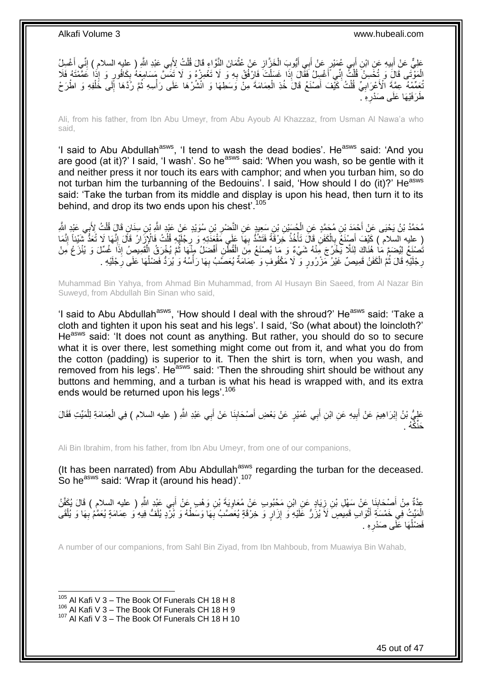

Ali, from his father, from Ibn Abu Umeyr, from Abu Ayoub Al Khazzaz, from Usman Al Nawa'a who said,

'I said to Abu Abdullah<sup>asws</sup>, 'I tend to wash the dead bodies'. He<sup>asws</sup> said: 'And you are good (at it)?' I said, 'I wash'. So he<sup>asws</sup> said: 'When you wash, so be gentle with it and neither press it nor touch its ears with camphor; and when you turban him, so do not turban him the turbanning of the Bedouins'. I said, 'How should I do (it)?' Heasws said: 'Take the turban from its middle and display is upon his head, then turn it to its behind, and drop its two ends upon his chest<sup>'.105</sup>

مُحَمَّدُ بْنُ يَحْيَى عَنْ أَحْمَدَ بْنِ مُحَمَّدٍ عَنِ الْجُسَيْنِ بْنِ سَعِيدٍ عَنِ النَّصْئِرِ بْنِ سُوَيْدٍ عَنْ عَبْدِ اللَّهِ بْنِ سِنَانٍ قَالَ قُلْتُ لِأَبِي عَبْدِ اللَّهِ ِ ْ َ ْ ( عليه السلام ) كَيْفَ أَصِنْغُ بِالْكَفَنِ قَالَ تَأْخُذُ خَرْقَةً فَتَشَدُّ بِهَا عَلَى مَقْعَذَتِهِ وَ رِجْلَيْهِ قُلْتُ فَالْإِزَارُ قَالَ إِنَّهَا لَا تُعَدُّ شَيْئِاً إِنَّمَا<br>( عَذِين الصالام ) كَيْفَ أَشْئِئاً إِنَ ِ ْ ْ **∶** ِ ْ **∶** َنُصِنَعُ لِيُضَمَّ مَا هُذَاكَ لِئَلّا يَخْرُجَ مِّنْهُ شَيْءٌ وَ مَا يُصنْعَ مِنَ الْقُطْنِ أَفْضَلُ مِنْهَا ثُمَّ يُخْرَقُ الْمُقَمِيصِ إِذَا غُسِّلَ وَ يُنْزَعُ مِنْ ْ  $\ddot{\cdot}$ َ رِجْلَيْهِ قَالَ ثُمَّ الْكَفَنُ قَمِيصٌ غَيْرُ مِّزْرُورٍ وَّ لَا مَكْفُوفٍ وَ عِمَامَةٌ يُعَصَّبُ بِهَا رَأْسُهُ وَ يُرَدُّ فَضْلُهَا عَلَى رِجْلَيْهِ . ْ **∶** ْ Ï ِ  $\overline{a}$ 

Muhammad Bin Yahya, from Ahmad Bin Muhammad, from Al Husayn Bin Saeed, from Al Nazar Bin Suweyd, from Abdullah Bin Sinan who said,

'I said to Abu Abdullah<sup>asws</sup>, 'How should I deal with the shroud?' He<sup>asws</sup> said: 'Take a cloth and tighten it upon his seat and his legs'. I said, 'So (what about) the loincloth?' He<sup>asws</sup> said: 'It does not count as anything. But rather, you should do so to secure what it is over there, lest something might come out from it, and what you do from the cotton (padding) is superior to it. Then the shirt is torn, when you wash, and removed from his legs'. He<sup>asws</sup> said: 'Then the shrouding shirt should be without any buttons and hemming, and a turban is what his head is wrapped with, and its extra ends would be returned upon his legs'.<sup>106</sup>

ِ عَلِيُّ بْنُ إِبْرَاهِيمَ عَنْ أَبِيهِ عَنِ ابْنِ أَبِي عُمَيْرٍ عَنْ بَعْضِ أَصْحَابِنَا عَنْ أَبِي عَبْدِ اللَّهِ ( عليه السلام ) فِي الْعِمَامَةِ لِلْمَيِّتِ فَقَالَ َ  $\frac{1}{2}$ َ َ **!** َ <u>֖֓</u> ْ ْ حَنِّكُهُ .

Ali Bin Ibrahim, from his father, from Ibn Abu Umeyr, from one of our companions,

(It has been narrated) from Abu Abdullah $a<sup>asws</sup>$  regarding the turban for the deceased. So he<sup>asws</sup> said: 'Wrap it (around his head)'.<sup>107</sup>

عِدَّةٌ مِنْ أَصْحَابِذَا عَنْ سَهْلِ بْنِ زِيَادٍ عَنِ ابْنِ مَحْبُوبٍ عَنْ مُعَاوِيَةَ بْنِ وَهْبٍ عَنْ أَبِي عَبْدِ اللَّهِ ( عليه السلامِ ) قَالَ بُكَفِّنُ َ **∶** ِ **∣** َ الْمَيِّتُ فِي خَمْسَةٍ أَثْوَابٍ قَمِيصٍ لَاَ يُزَرُّ عَلَيْهِ وَ إِزَارٍ وَ خِرْقَةٍ يُعَصَّبُ بِهَا وَسَطُهُ وَ بُرْدٍ يُلَفُّ فِيهِ وَ عِمَامَةٍ يُعَمَّمُ بِهَا وَ يُلْقَى ْ َ ْ ِ ِ ِ لَ فَضْلُهَا عَلَى صَدْرِهِ . ِ  $\overline{a}$ 

A number of our companions, from Sahl Bin Ziyad, from Ibn Mahboub, from Muawiya Bin Wahab,

 $105$  Al Kafi V 3 – The Book Of Funerals CH 18 H 8

 $^{106}$  Al Kafi V 3 – The Book Of Funerals CH 18 H 9

<sup>107</sup> Al Kafi V 3 – The Book Of Funerals CH 18 H 10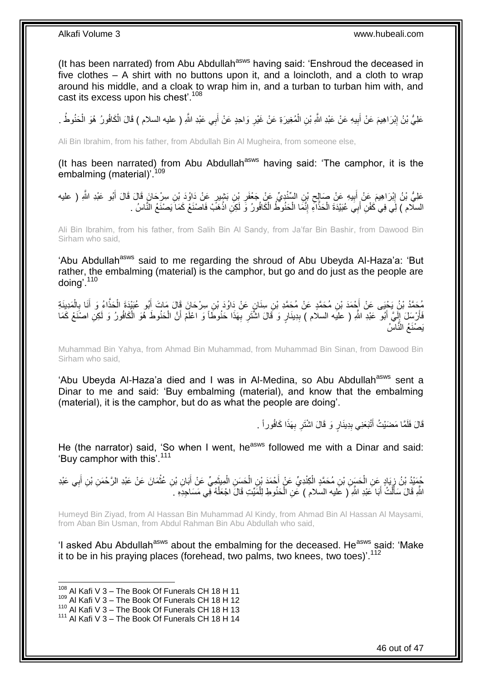(It has been narrated) from Abu Abdullah<sup>asws</sup> having said: 'Enshroud the deceased in five clothes – A shirt with no buttons upon it, and a loincloth, and a cloth to wrap around his middle, and a cloak to wrap him in, and a turban to turban him with, and cast its excess upon his chest'.<sup>108</sup>

عَلِيُّ بْنُ إِبْرَاهِيمَ عَنْ أَبِيهِ عَنْ عَبْدِ اللَّهِ بْنِ الْمُغِيرَةِ عَنْ غَيْرِ وَاحِدٍ عَنْ أَبِي عَبْدِ اللَّهِ ( عليه السلام ) قَالَ الْكَافُورُ هُوَ الْحَنُوطُ <sub>.</sub> َ ِ ْ ِ َ ِ ْ ْ

Ali Bin Ibrahim, from his father, from Abdullah Bin Al Mugheira, from someone else,

(It has been narrated) from Abu Abdullah<sup>asws</sup> having said: 'The camphor, it is the embalming (material)<sup>'109</sup>

### َمْلِيُّ بْنُ إِبْرَاهِيمَ عَنْ أَبِيهِ عَنْ صَالِحٍ بْنِ السِّنْدِيِّ عَنْ جَعْفَرِ بْنِ بَشْيِرٍ عَنْ دَاوُدَ بْنِ سِرْحَانَ قَالَ قَالَ أَبُو عَبْدِ اللَّهِ ( عليه ِ ِ ِ َ <u>֖֚֚֚</u> َ السلّام ) لِّي فِي كَفْنِ أَبِيَ عُبَيْدَةَ الْحَذَّاءِ إِنَّمَا الْحَنُوطُ الْكَافُورُ وَ لَكِنِ اذْهَبْ فَاصْنَعْ كَمَا يَصنَعُ النَّاسُ . ْ ْ ْ ِ ْ َ

Ali Bin Ibrahim, from his father, from Salih Bin Al Sandy, from Ja'far Bin Bashir, from Dawood Bin Sirham who said,

'Abu Abdullah<sup>asws</sup> said to me regarding the shroud of Abu Ubeyda Al-Haza'a: 'But rather, the embalming (material) is the camphor, but go and do just as the people are doing'.<sup>110</sup>

مُحَمَّدُ بْنُ يَخْيَى عَنْ أَحْمَدَ بْنِ مُحَمَّدٍ عَنْ مُحَمَّدِ بْنِ سِنَانٍ عَنْ دَاوُدَ بْنِ سِرْحَانَ قَالَ مَاتَ أَبُو عُبَيْدَةَ الْحَذَّاءُ وَ أَنَا بِالْمَدِينَةِ<br>كَيْمَسْنُكُمْ بَنُ يَخْيَى عَنْ أَحْمَدَ بْنِ م َ ْ ِ َ ْ َ فَأَرْسِلَ إِلَيَّ أَبُو ۖ عَبْدِ اللَّهِ ( عليه السلام ) بِدِينَارٍ وَ قَالَ اشْتَرِ بِهَذَا حَنُوطَاً وَ اعْلَمْ أَنَّ الْحَنُوطَ هُوَ الْكَافُورُ وَ لَكِنِ اصْنَعْ كَمَا ْ َ ِ **ٍ** ِ َ لَ ِ َ ْ يَصْنَعُ النَّاسُ

Muhammad Bin Yahya, from Ahmad Bin Muhammad, from Muhammad Bin Sinan, from Dawood Bin Sirham who said,

'Abu Ubeyda Al-Haza'a died and I was in Al-Medina, so Abu Abdullah<sup>asws</sup> sent a Dinar to me and said: 'Buy embalming (material), and know that the embalming (material), it is the camphor, but do as what the people are doing'.

> قَالَ فَلَمَّا مَضَيْتُ أَنْبَعَنِي بِدِينَارٍ وَ قَالَ اشْتَرِ بِهَذَا كَافُوراً . ِ **∶** ِ َ

He (the narrator) said, 'So when I went, he<sup>asws</sup> followed me with a Dinar and said: 'Buy camphor with this'.<sup>111</sup>

جُمَّئِذُ بْنُ زِيَادٍ عَنِ الْحَسَنِ بْنِ مُحَمَّدٍ الْكِنْدِيِّ عَنْ أَحْمَدَ بْنِ الْحَسَنِ الْمِيثَمِيِّ عَنْ أَبَانِ بْنِ عُثْمَانَ عَنْ عَبْدِ الرَّحْمَنِ بْنِ أَبِي عَبْدِ َ َ ْ ْ َ ْ ْ ِ ِ َ **ٔ** اللَّهِ قَالَ سَأَلْتُ أَبَا عَبْدِ اللَّهِ ( عَليه السلام ) عَنِ الْحَنُوطِ لِلْمََيِّتِ قَالَ اجْعَلْهُ فِي مَسَاجِدِهِ . ْ ْ ْ َ ْ ĺ

Humeyd Bin Ziyad, from Al Hassan Bin Muhammad Al Kindy, from Ahmad Bin Al Hassan Al Maysami, from Aban Bin Usman, from Abdul Rahman Bin Abu Abdullah who said,

'I asked Abu Abdullah<sup>asws</sup> about the embalming for the deceased. He<sup>asws</sup> said: 'Make it to be in his praying places (forehead, two palms, two knees, two toes)<sup>'.112</sup>

 $108$  Al Kafi V 3 – The Book Of Funerals CH 18 H 11

<sup>109</sup> Al Kafi V 3 – The Book Of Funerals CH 18 H 12

<sup>110</sup> Al Kafi V 3 – The Book Of Funerals CH 18 H 13

 $111$  Al Kafi V  $3$  – The Book Of Funerals CH 18 H 14